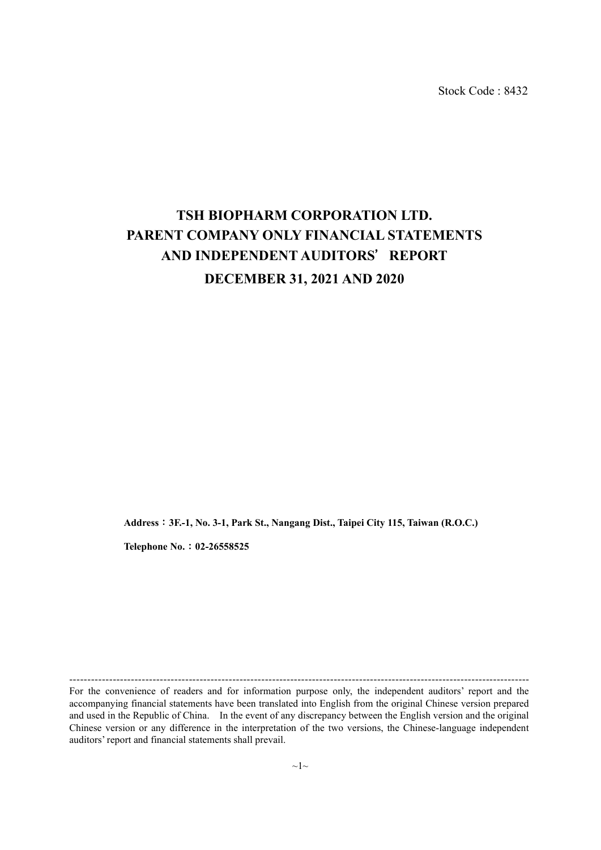Stock Code : 8432

# **TSH BIOPHARM CORPORATION LTD. PARENT COMPANY ONLY FINANCIAL STATEMENTS AND INDEPENDENT AUDITORS**'**REPORT DECEMBER 31, 2021 AND 2020**

**Address**:**3F.-1, No. 3-1, Park St., Nangang Dist., Taipei City 115, Taiwan (R.O.C.)**

**Telephone No.**:**02-26558525**

For the convenience of readers and for information purpose only, the independent auditors' report and the accompanying financial statements have been translated into English from the original Chinese version prepared and used in the Republic of China. In the event of any discrepancy between the English version and the original Chinese version or any difference in the interpretation of the two versions, the Chinese-language independent auditors' report and financial statements shall prevail.

-------------------------------------------------------------------------------------------------------------------------------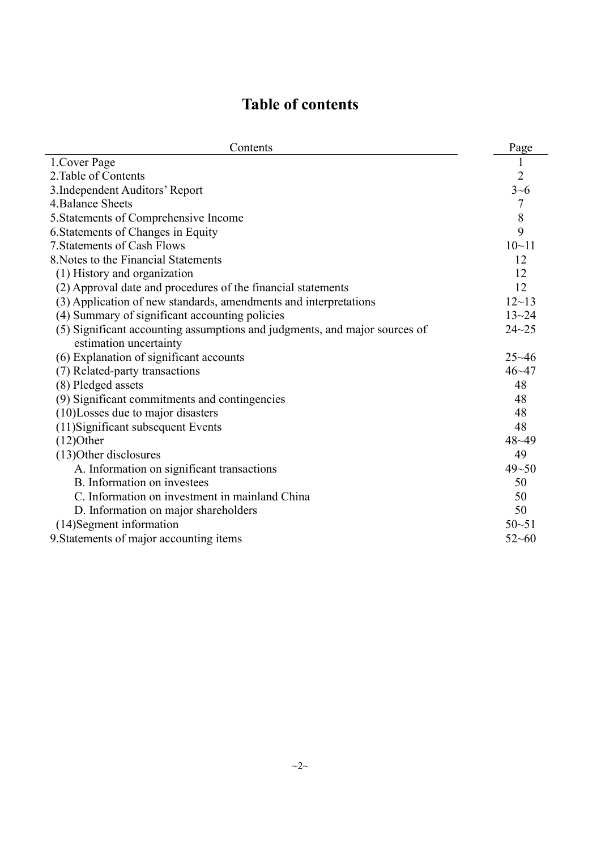# **Table of contents**

| Contents                                                                   | Page           |
|----------------------------------------------------------------------------|----------------|
| 1. Cover Page                                                              | 1              |
| 2. Table of Contents                                                       | $\overline{2}$ |
| 3. Independent Auditors' Report                                            | $3 - 6$        |
| 4. Balance Sheets                                                          | $\overline{7}$ |
| 5. Statements of Comprehensive Income                                      | 8              |
| 6. Statements of Changes in Equity                                         | 9              |
| 7. Statements of Cash Flows                                                | $10 - 11$      |
| 8. Notes to the Financial Statements                                       | 12             |
| (1) History and organization                                               | 12             |
| (2) Approval date and procedures of the financial statements               | 12             |
| (3) Application of new standards, amendments and interpretations           | $12 - 13$      |
| (4) Summary of significant accounting policies                             | $13 - 24$      |
| (5) Significant accounting assumptions and judgments, and major sources of | $24 - 25$      |
| estimation uncertainty                                                     |                |
| (6) Explanation of significant accounts                                    | $25 - 46$      |
| (7) Related-party transactions                                             | $46 - 47$      |
| (8) Pledged assets                                                         | 48             |
| (9) Significant commitments and contingencies                              | 48             |
| (10)Losses due to major disasters                                          | 48             |
| (11) Significant subsequent Events                                         | 48             |
| $(12)$ Other                                                               | $48 - 49$      |
| (13) Other disclosures                                                     | 49             |
| A. Information on significant transactions                                 | $49 - 50$      |
| B. Information on investees                                                | 50             |
| C. Information on investment in mainland China                             | 50             |
| D. Information on major shareholders                                       | 50             |
| (14) Segment information                                                   | $50 - 51$      |
| 9. Statements of major accounting items                                    | $52 - 60$      |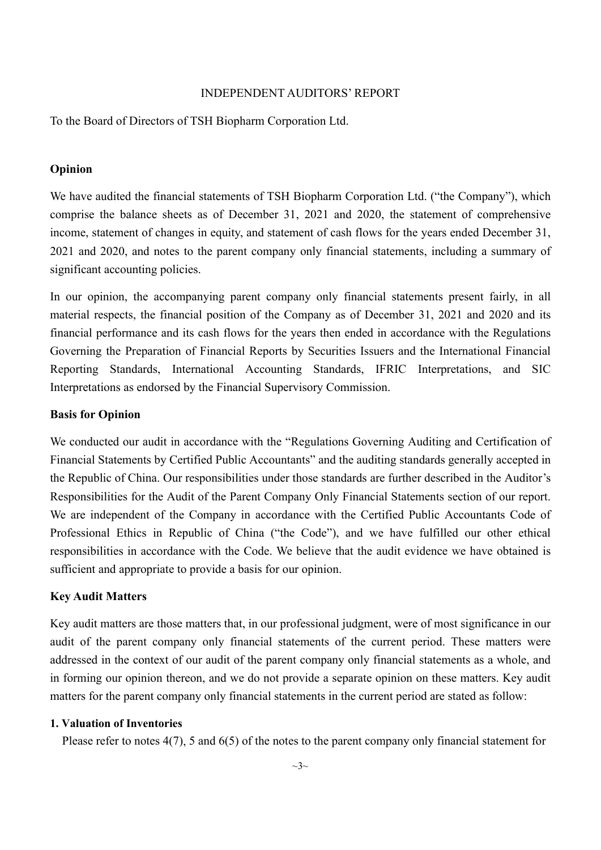#### INDEPENDENT AUDITORS' REPORT

To the Board of Directors of TSH Biopharm Corporation Ltd.

#### **Opinion**

We have audited the financial statements of TSH Biopharm Corporation Ltd. ("the Company"), which comprise the balance sheets as of December 31, 2021 and 2020, the statement of comprehensive income, statement of changes in equity, and statement of cash flows for the years ended December 31, 2021 and 2020, and notes to the parent company only financial statements, including a summary of significant accounting policies.

In our opinion, the accompanying parent company only financial statements present fairly, in all material respects, the financial position of the Company as of December 31, 2021 and 2020 and its financial performance and its cash flows for the years then ended in accordance with the Regulations Governing the Preparation of Financial Reports by Securities Issuers and the International Financial Reporting Standards, International Accounting Standards, IFRIC Interpretations, and SIC Interpretations as endorsed by the Financial Supervisory Commission.

## **Basis for Opinion**

We conducted our audit in accordance with the "Regulations Governing Auditing and Certification of Financial Statements by Certified Public Accountants" and the auditing standards generally accepted in the Republic of China. Our responsibilities under those standards are further described in the Auditor's Responsibilities for the Audit of the Parent Company Only Financial Statements section of our report. We are independent of the Company in accordance with the Certified Public Accountants Code of Professional Ethics in Republic of China ("the Code"), and we have fulfilled our other ethical responsibilities in accordance with the Code. We believe that the audit evidence we have obtained is sufficient and appropriate to provide a basis for our opinion.

#### **Key Audit Matters**

Key audit matters are those matters that, in our professional judgment, were of most significance in our audit of the parent company only financial statements of the current period. These matters were addressed in the context of our audit of the parent company only financial statements as a whole, and in forming our opinion thereon, and we do not provide a separate opinion on these matters. Key audit matters for the parent company only financial statements in the current period are stated as follow:

#### **1. Valuation of Inventories**

Please refer to notes 4(7), 5 and 6(5) of the notes to the parent company only financial statement for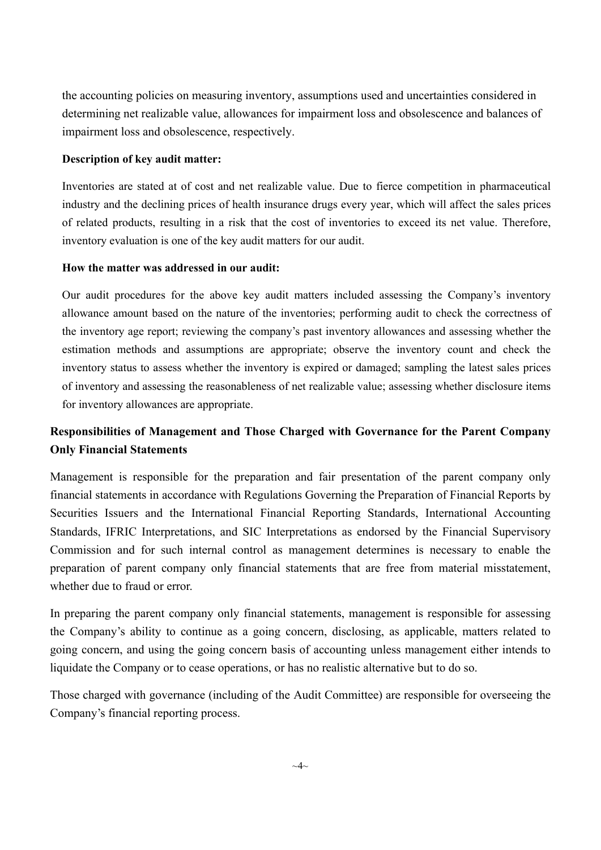the accounting policies on measuring inventory, assumptions used and uncertainties considered in determining net realizable value, allowances for impairment loss and obsolescence and balances of impairment loss and obsolescence, respectively.

#### **Description of key audit matter:**

Inventories are stated at of cost and net realizable value. Due to fierce competition in pharmaceutical industry and the declining prices of health insurance drugs every year, which will affect the sales prices of related products, resulting in a risk that the cost of inventories to exceed its net value. Therefore, inventory evaluation is one of the key audit matters for our audit.

#### **How the matter was addressed in our audit:**

Our audit procedures for the above key audit matters included assessing the Company's inventory allowance amount based on the nature of the inventories; performing audit to check the correctness of the inventory age report; reviewing the company's past inventory allowances and assessing whether the estimation methods and assumptions are appropriate; observe the inventory count and check the inventory status to assess whether the inventory is expired or damaged; sampling the latest sales prices of inventory and assessing the reasonableness of net realizable value; assessing whether disclosure items for inventory allowances are appropriate.

## **Responsibilities of Management and Those Charged with Governance for the Parent Company Only Financial Statements**

Management is responsible for the preparation and fair presentation of the parent company only financial statements in accordance with Regulations Governing the Preparation of Financial Reports by Securities Issuers and the International Financial Reporting Standards, International Accounting Standards, IFRIC Interpretations, and SIC Interpretations as endorsed by the Financial Supervisory Commission and for such internal control as management determines is necessary to enable the preparation of parent company only financial statements that are free from material misstatement, whether due to fraud or error.

In preparing the parent company only financial statements, management is responsible for assessing the Company's ability to continue as a going concern, disclosing, as applicable, matters related to going concern, and using the going concern basis of accounting unless management either intends to liquidate the Company or to cease operations, or has no realistic alternative but to do so.

Those charged with governance (including of the Audit Committee) are responsible for overseeing the Company's financial reporting process.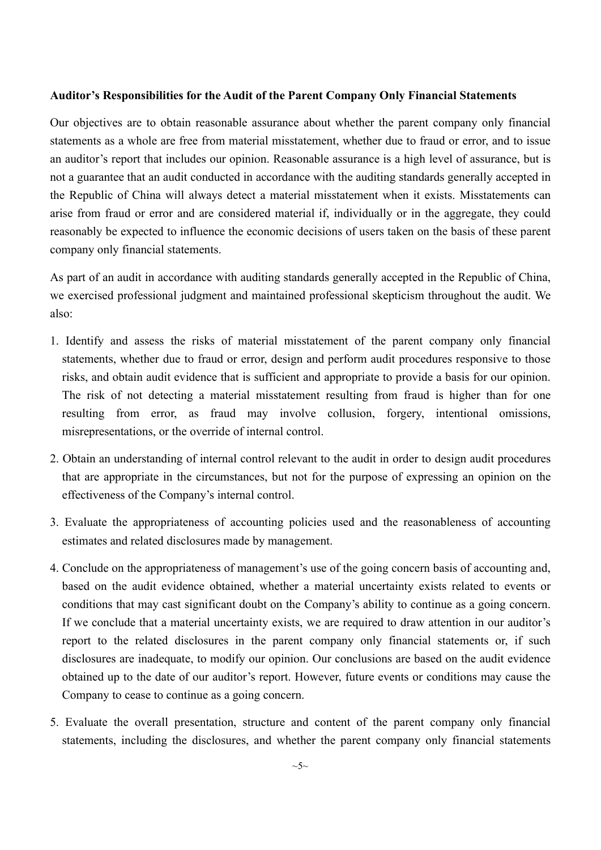#### **Auditor's Responsibilities for the Audit of the Parent Company Only Financial Statements**

Our objectives are to obtain reasonable assurance about whether the parent company only financial statements as a whole are free from material misstatement, whether due to fraud or error, and to issue an auditor's report that includes our opinion. Reasonable assurance is a high level of assurance, but is not a guarantee that an audit conducted in accordance with the auditing standards generally accepted in the Republic of China will always detect a material misstatement when it exists. Misstatements can arise from fraud or error and are considered material if, individually or in the aggregate, they could reasonably be expected to influence the economic decisions of users taken on the basis of these parent company only financial statements.

As part of an audit in accordance with auditing standards generally accepted in the Republic of China, we exercised professional judgment and maintained professional skepticism throughout the audit. We also:

- 1. Identify and assess the risks of material misstatement of the parent company only financial statements, whether due to fraud or error, design and perform audit procedures responsive to those risks, and obtain audit evidence that is sufficient and appropriate to provide a basis for our opinion. The risk of not detecting a material misstatement resulting from fraud is higher than for one resulting from error, as fraud may involve collusion, forgery, intentional omissions, misrepresentations, or the override of internal control.
- 2. Obtain an understanding of internal control relevant to the audit in order to design audit procedures that are appropriate in the circumstances, but not for the purpose of expressing an opinion on the effectiveness of the Company's internal control.
- 3. Evaluate the appropriateness of accounting policies used and the reasonableness of accounting estimates and related disclosures made by management.
- 4. Conclude on the appropriateness of management's use of the going concern basis of accounting and, based on the audit evidence obtained, whether a material uncertainty exists related to events or conditions that may cast significant doubt on the Company's ability to continue as a going concern. If we conclude that a material uncertainty exists, we are required to draw attention in our auditor's report to the related disclosures in the parent company only financial statements or, if such disclosures are inadequate, to modify our opinion. Our conclusions are based on the audit evidence obtained up to the date of our auditor's report. However, future events or conditions may cause the Company to cease to continue as a going concern.
- 5. Evaluate the overall presentation, structure and content of the parent company only financial statements, including the disclosures, and whether the parent company only financial statements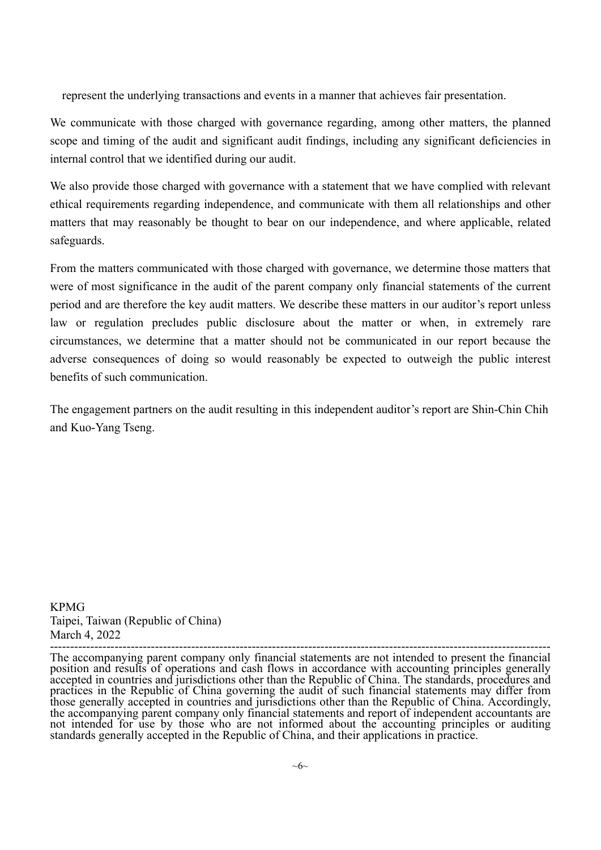represent the underlying transactions and events in a manner that achieves fair presentation.

We communicate with those charged with governance regarding, among other matters, the planned scope and timing of the audit and significant audit findings, including any significant deficiencies in internal control that we identified during our audit.

We also provide those charged with governance with a statement that we have complied with relevant ethical requirements regarding independence, and communicate with them all relationships and other matters that may reasonably be thought to bear on our independence, and where applicable, related safeguards.

From the matters communicated with those charged with governance, we determine those matters that were of most significance in the audit of the parent company only financial statements of the current period and are therefore the key audit matters. We describe these matters in our auditor's report unless law or regulation precludes public disclosure about the matter or when, in extremely rare circumstances, we determine that a matter should not be communicated in our report because the adverse consequences of doing so would reasonably be expected to outweigh the public interest benefits of such communication.

The engagement partners on the audit resulting in this independent auditor's report are Shin-Chin Chih and Kuo-Yang Tseng.

KPMG Taipei, Taiwan (Republic of China)

March 4, 2022 ---------------------------------------------------------------------------------------------------------------------------- The accompanying parent company only financial statements are not intended to present the financial position and results of operations and cash flows in accordance with accounting principles generally accepted in countries and jurisdictions other than the Republic of China. The standards, procedures and practices in the Republic of China governing the audit of such financial statements may differ from those generally accepted in countries and jurisdictions other than the Republic of China. Accordingly, the accompanying parent company only financial statements and report of independent accountants are not intended for use by those who are not informed about the accounting principles or auditing standards generally accepted in the Republic of China, and their applications in practice.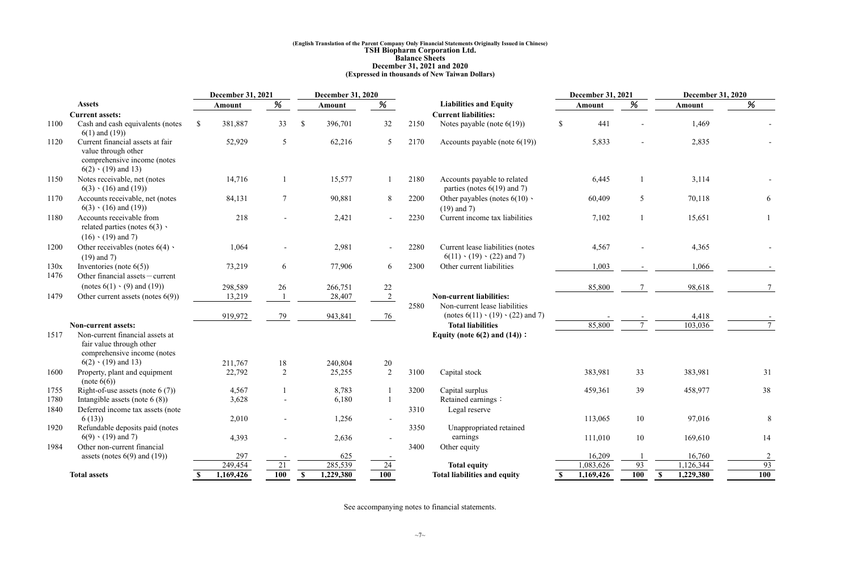#### **(English Translation of the Parent Company Only Financial Statements Originally Issued in Chinese) TSH Biopharm Corporation Ltd. Balance Sheets December 31, 2021 and 2020 (Expressed in thousands of New Taiwan Dollars)**

|      |                                                                                                                     |              | <b>December 31, 2021</b><br><b>December 31, 2020</b> |                          |               | <b>December 31, 2021</b> |                |      | <b>December 31, 2020</b>                                                 |              |               |     |                            |         |                |
|------|---------------------------------------------------------------------------------------------------------------------|--------------|------------------------------------------------------|--------------------------|---------------|--------------------------|----------------|------|--------------------------------------------------------------------------|--------------|---------------|-----|----------------------------|---------|----------------|
|      | <b>Assets</b>                                                                                                       |              | Amount                                               | %                        |               | Amount                   | %              |      | <b>Liabilities and Equity</b>                                            |              | <b>Amount</b> | %   | Amount                     |         | %              |
|      | <b>Current assets:</b>                                                                                              |              |                                                      |                          |               |                          |                |      | <b>Current liabilities:</b>                                              |              |               |     |                            |         |                |
| 1100 | Cash and cash equivalents (notes<br>$6(1)$ and $(19)$ )                                                             | -8           | 381,887                                              | 33                       | $\mathcal{S}$ | 396,701                  | 32             | 2150 | Notes payable (note $6(19)$ )                                            | $\mathbb{S}$ | 441           |     |                            | 1,469   |                |
| 1120 | Current financial assets at fair<br>value through other<br>comprehensive income (notes<br>$6(2) \cdot (19)$ and 13) |              | 52,929                                               | $5\overline{)}$          |               | 62,216                   | 5              | 2170 | Accounts payable (note $6(19)$ )                                         |              | 5,833         |     |                            | 2,835   |                |
| 1150 | Notes receivable, net (notes<br>$6(3) \cdot (16)$ and $(19)$ )                                                      |              | 14,716                                               |                          |               | 15,577                   |                | 2180 | Accounts payable to related<br>parties (notes $6(19)$ and 7)             |              | 6,445         |     |                            | 3,114   |                |
| 1170 | Accounts receivable, net (notes<br>$6(3) \cdot (16)$ and $(19)$                                                     |              | 84,131                                               | $\tau$                   |               | 90,881                   | 8              | 2200 | Other payables (notes $6(10)$ )<br>$(19)$ and 7)                         |              | 60,409        | 5   |                            | 70,118  | 6              |
| 1180 | Accounts receivable from<br>related parties (notes $6(3)$ )<br>$(16) \cdot (19)$ and 7)                             |              | 218                                                  |                          |               | 2,421                    |                | 2230 | Current income tax liabilities                                           |              | 7,102         |     |                            | 15,651  |                |
| 1200 | Other receivables (notes $6(4)$ )<br>$(19)$ and 7)                                                                  |              | 1,064                                                | $\sim$                   |               | 2,981                    | $\sim$         | 2280 | Current lease liabilities (notes<br>$6(11) \cdot (19) \cdot (22)$ and 7) |              | 4,567         |     |                            | 4,365   |                |
| 130x | Inventories (note $6(5)$ )                                                                                          |              | 73,219                                               | 6                        |               | 77,906                   | 6              | 2300 | Other current liabilities                                                |              | 1,003         |     |                            | 1,066   |                |
| 1476 | Other financial assets - current                                                                                    |              |                                                      |                          |               |                          |                |      |                                                                          |              |               |     |                            |         |                |
|      | (notes $6(1) \cdot (9)$ and $(19)$ )                                                                                |              | 298,589                                              | 26                       |               | 266,751                  | 22             |      |                                                                          |              | 85,800        |     |                            | 98,618  |                |
| 1479 | Other current assets (notes $6(9)$ )                                                                                |              | 13,219                                               |                          |               | 28,407                   | $\overline{2}$ |      | <b>Non-current liabilities:</b>                                          |              |               |     |                            |         |                |
|      |                                                                                                                     |              |                                                      |                          |               |                          |                | 2580 | Non-current lease liabilities                                            |              |               |     |                            |         |                |
|      |                                                                                                                     |              | 919,972                                              | 79                       |               | 943,841                  | 76             |      | (notes $6(11) \cdot (19) \cdot (22)$ and 7)                              |              |               |     |                            | 4,418   |                |
|      | <b>Non-current assets:</b>                                                                                          |              |                                                      |                          |               |                          |                |      | <b>Total liabilities</b>                                                 |              | 85,800        |     |                            | 103,036 |                |
| 1517 | Non-current financial assets at<br>fair value through other<br>comprehensive income (notes                          |              |                                                      |                          |               |                          |                |      | Equity (note $6(2)$ and $(14)$ ):                                        |              |               |     |                            |         |                |
|      | $6(2) \cdot (19)$ and 13)                                                                                           |              | 211,767                                              | 18                       |               | 240,804                  | 20             |      |                                                                          |              |               |     |                            |         |                |
| 1600 | Property, plant and equipment<br>(note 6(6))                                                                        |              | 22,792                                               | $\overline{2}$           |               | 25,255                   | 2              | 3100 | Capital stock                                                            |              | 383,981       | 33  | 383,981                    |         | 31             |
| 1755 | Right-of-use assets (note $6(7)$ )                                                                                  |              | 4,567                                                |                          |               | 8,783                    |                | 3200 | Capital surplus                                                          |              | 459,361       | 39  | 458,977                    |         | 38             |
| 1780 | Intangible assets (note $6(8)$ )                                                                                    |              | 3,628                                                |                          |               | 6,180                    |                |      | Retained earnings:                                                       |              |               |     |                            |         |                |
| 1840 | Deferred income tax assets (note                                                                                    |              |                                                      |                          |               |                          |                | 3310 | Legal reserve                                                            |              |               |     |                            |         |                |
|      | 6(13)                                                                                                               |              | 2,010                                                | $\sim$                   |               | 1,256                    |                |      |                                                                          |              | 113,065       | 10  |                            | 97,016  | 8              |
| 1920 | Refundable deposits paid (notes                                                                                     |              |                                                      |                          |               |                          |                | 3350 | Unappropriated retained                                                  |              |               |     |                            |         |                |
|      | $6(9) \cdot (19)$ and 7)                                                                                            |              | 4,393                                                | $\overline{\phantom{a}}$ |               | 2,636                    |                |      | earnings                                                                 |              | 111,010       | 10  |                            | 169,610 | 14             |
| 1984 | Other non-current financial                                                                                         |              |                                                      |                          |               |                          |                | 3400 | Other equity                                                             |              |               |     |                            |         |                |
|      | assets (notes $6(9)$ and $(19)$ )                                                                                   |              | 297                                                  | $\sim$                   |               | 625                      |                |      |                                                                          |              | 16,209        |     |                            | 16,760  | $\overline{2}$ |
|      |                                                                                                                     |              | 249,454                                              | 21                       |               | 285,539                  | 24             |      | <b>Total equity</b>                                                      |              | 1,083,626     | 93  | 1,126,344                  |         | 93             |
|      | <b>Total assets</b>                                                                                                 | <sup>S</sup> | 1,169,426                                            | 100                      | SS.           | 1,229,380                | 100            |      | <b>Total liabilities and equity</b>                                      | $\mathbb{S}$ | 1,169,426     | 100 | 1,229,380<br>$\mathbf{\$}$ |         | <b>100</b>     |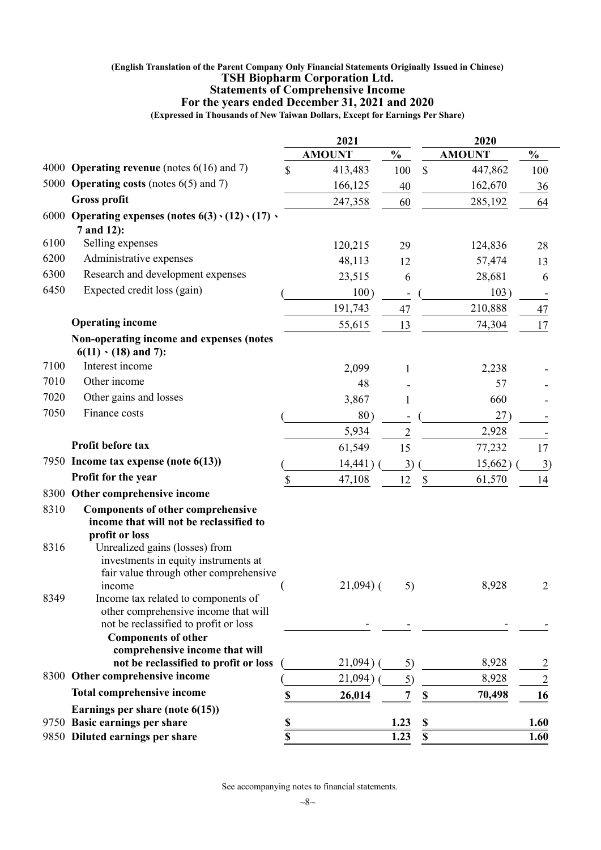#### **(English Translation of the Parent Company Only Financial Statements Originally Issued in Chinese) TSH Biopharm Corporation Ltd. Statements of Comprehensive Income For the years ended December 31, 2021 and 2020**

**(Expressed in Thousands of New Taiwan Dollars, Except for Earnings Per Share)**

|              |                                                                                                                                                                                                                           |                 | 2021          |                |               | 2020          |                |
|--------------|---------------------------------------------------------------------------------------------------------------------------------------------------------------------------------------------------------------------------|-----------------|---------------|----------------|---------------|---------------|----------------|
|              |                                                                                                                                                                                                                           |                 | <b>AMOUNT</b> | $\frac{0}{0}$  |               | <b>AMOUNT</b> | $\frac{0}{0}$  |
|              | 4000 <b>Operating revenue</b> (notes $6(16)$ and 7)                                                                                                                                                                       | \$              | 413,483       | 100            | $\mathcal{S}$ | 447,862       | 100            |
|              | 5000 Operating costs (notes 6(5) and 7)                                                                                                                                                                                   |                 | 166,125       | 40             |               | 162,670       | 36             |
|              | <b>Gross profit</b>                                                                                                                                                                                                       |                 | 247,358       | 60             |               | 285,192       | 64             |
|              | 6000 Operating expenses (notes $6(3) \cdot (12) \cdot (17)$ )                                                                                                                                                             |                 |               |                |               |               |                |
|              | 7 and 12):                                                                                                                                                                                                                |                 |               |                |               |               |                |
| 6100         | Selling expenses                                                                                                                                                                                                          |                 | 120,215       | 29             |               | 124,836       | 28             |
| 6200         | Administrative expenses                                                                                                                                                                                                   |                 | 48,113        | 12             |               | 57,474        | 13             |
| 6300         | Research and development expenses                                                                                                                                                                                         |                 | 23,515        | 6              |               | 28,681        | 6              |
| 6450         | Expected credit loss (gain)                                                                                                                                                                                               |                 | 100)          |                |               | 103)          |                |
|              |                                                                                                                                                                                                                           |                 | 191,743       | 47             |               | 210,888       | 47             |
|              | <b>Operating income</b>                                                                                                                                                                                                   |                 | 55,615        | 13             |               | 74,304        | 17             |
|              | Non-operating income and expenses (notes<br>$6(11) \cdot (18)$ and 7):                                                                                                                                                    |                 |               |                |               |               |                |
| 7100         | Interest income                                                                                                                                                                                                           |                 | 2,099         | 1              |               | 2,238         |                |
| 7010         | Other income                                                                                                                                                                                                              |                 | 48            |                |               | 57            |                |
| 7020         | Other gains and losses                                                                                                                                                                                                    |                 | 3,867         | $\mathbf{1}$   |               | 660           |                |
| 7050         | Finance costs                                                                                                                                                                                                             |                 | 80)           |                |               | 27)           |                |
|              |                                                                                                                                                                                                                           |                 | 5,934         | $\overline{2}$ |               | 2,928         |                |
|              | Profit before tax                                                                                                                                                                                                         |                 | 61,549        | 15             |               | 77,232        | 17             |
|              | 7950 Income tax expense (note 6(13))                                                                                                                                                                                      |                 | 14,441        | 3)             |               | 15,662)       | 3)             |
|              | Profit for the year                                                                                                                                                                                                       | \$              | 47,108        | 12             | \$            | 61,570        | 14             |
|              | 8300 Other comprehensive income                                                                                                                                                                                           |                 |               |                |               |               |                |
| 8310<br>8316 | <b>Components of other comprehensive</b><br>income that will not be reclassified to<br>profit or loss<br>Unrealized gains (losses) from<br>investments in equity instruments at<br>fair value through other comprehensive |                 |               |                |               |               |                |
| 8349         | income<br>Income tax related to components of<br>other comprehensive income that will<br>not be reclassified to profit or loss                                                                                            |                 | $21,094$ (    | 5)             |               | 8,928         | 2              |
|              | <b>Components of other</b>                                                                                                                                                                                                |                 |               |                |               |               |                |
|              | comprehensive income that will                                                                                                                                                                                            |                 |               |                |               |               |                |
|              | not be reclassified to profit or loss                                                                                                                                                                                     |                 | 21,094)       | 5)             |               | 8,928         | $\overline{c}$ |
|              | 8300 Other comprehensive income                                                                                                                                                                                           |                 | 21,094)       | 5)             |               | 8,928         | $\overline{2}$ |
|              | <b>Total comprehensive income</b>                                                                                                                                                                                         |                 | 26,014        | 7              | \$            | 70,498        | 16             |
|              | Earnings per share (note $6(15)$ )                                                                                                                                                                                        |                 |               |                |               |               |                |
|              | 9750 Basic earnings per share<br>9850 Diluted earnings per share                                                                                                                                                          | <u>\$</u><br>\$ |               | 1.23<br>1.23   | \$<br>\$      |               | 1.60<br>1.60   |
|              |                                                                                                                                                                                                                           |                 |               |                |               |               |                |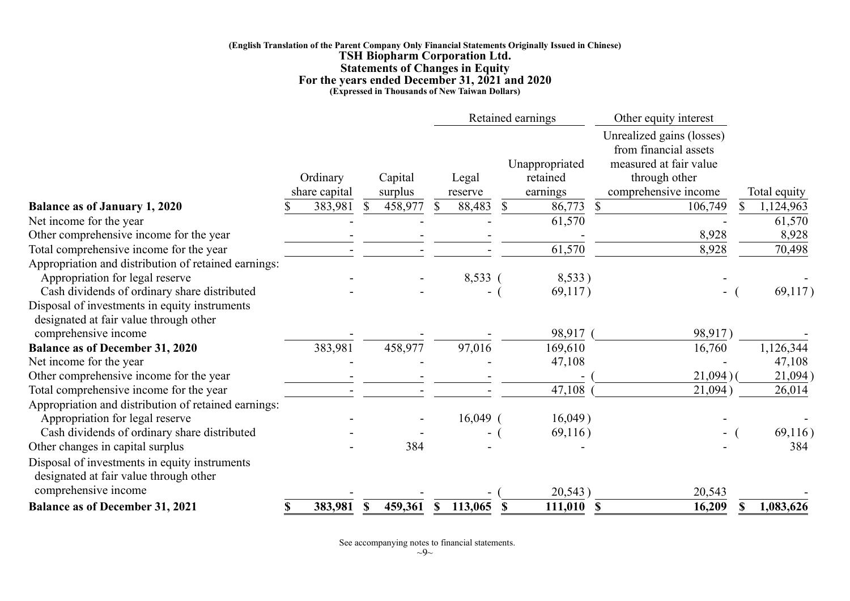#### **(English Translation of the Parent Company Only Financial Statements Originally Issued in Chinese) TSH Biopharm Corporation Ltd. Statements of Changes in Equity For the years ended December 31, 2021 and 2020 (Expressed in Thousands of New Taiwan Dollars)**

|                                                                                         |    |                           |   |                    |              | Retained earnings |          |                                        | Other equity interest                                                                                                 |                 |
|-----------------------------------------------------------------------------------------|----|---------------------------|---|--------------------|--------------|-------------------|----------|----------------------------------------|-----------------------------------------------------------------------------------------------------------------------|-----------------|
|                                                                                         |    | Ordinary<br>share capital |   | Capital<br>surplus |              | Legal<br>reserve  |          | Unappropriated<br>retained<br>earnings | Unrealized gains (losses)<br>from financial assets<br>measured at fair value<br>through other<br>comprehensive income | Total equity    |
| <b>Balance as of January 1, 2020</b>                                                    |    | 383,981                   |   | 458,977            | \$           | 88,483            | \$       | 86,773                                 | $\boldsymbol{\mathsf{S}}$<br>106,749                                                                                  | 1,124,963       |
| Net income for the year                                                                 |    |                           |   |                    |              |                   |          | 61,570                                 |                                                                                                                       | 61,570          |
| Other comprehensive income for the year                                                 |    |                           |   |                    |              |                   |          |                                        | 8,928                                                                                                                 | 8,928           |
| Total comprehensive income for the year                                                 |    |                           |   |                    |              |                   |          | 61,570                                 | 8,928                                                                                                                 | 70,498          |
| Appropriation and distribution of retained earnings:                                    |    |                           |   |                    |              |                   |          |                                        |                                                                                                                       |                 |
| Appropriation for legal reserve                                                         |    |                           |   |                    |              | 8,533 (           |          | 8,533)                                 |                                                                                                                       |                 |
| Cash dividends of ordinary share distributed                                            |    |                           |   |                    |              |                   |          | 69,117)                                | $\sim$                                                                                                                | 69,117)         |
| Disposal of investments in equity instruments<br>designated at fair value through other |    |                           |   |                    |              |                   |          |                                        |                                                                                                                       |                 |
| comprehensive income                                                                    |    |                           |   |                    |              |                   |          | 98,917                                 | 98,917)                                                                                                               |                 |
| <b>Balance as of December 31, 2020</b>                                                  |    | 383,981                   |   | 458,977            |              | 97,016            |          | 169,610                                | 16,760                                                                                                                | 1,126,344       |
| Net income for the year                                                                 |    |                           |   |                    |              |                   |          | 47,108                                 |                                                                                                                       | 47,108          |
| Other comprehensive income for the year                                                 |    |                           |   |                    |              |                   |          |                                        | 21,094)                                                                                                               | 21,094)         |
| Total comprehensive income for the year                                                 |    |                           |   |                    |              |                   |          | 47,108                                 | 21,094)                                                                                                               | 26,014          |
| Appropriation and distribution of retained earnings:                                    |    |                           |   |                    |              |                   |          |                                        |                                                                                                                       |                 |
| Appropriation for legal reserve                                                         |    |                           |   |                    |              | $16,049$ (        |          | 16,049)                                |                                                                                                                       |                 |
| Cash dividends of ordinary share distributed                                            |    |                           |   |                    |              | $\blacksquare$    |          | 69,116)                                |                                                                                                                       | 69,116)         |
| Other changes in capital surplus                                                        |    |                           |   | 384                |              |                   |          |                                        |                                                                                                                       | 384             |
| Disposal of investments in equity instruments<br>designated at fair value through other |    |                           |   |                    |              |                   |          |                                        |                                                                                                                       |                 |
| comprehensive income                                                                    |    |                           |   |                    |              |                   |          | 20,543                                 | 20,543                                                                                                                |                 |
| <b>Balance as of December 31, 2021</b>                                                  | S. | 383,981                   | S | 459,361            | $\mathbb{S}$ | 113,065           | <b>S</b> | 111,010                                | 16,209<br>-S                                                                                                          | \$<br>1,083,626 |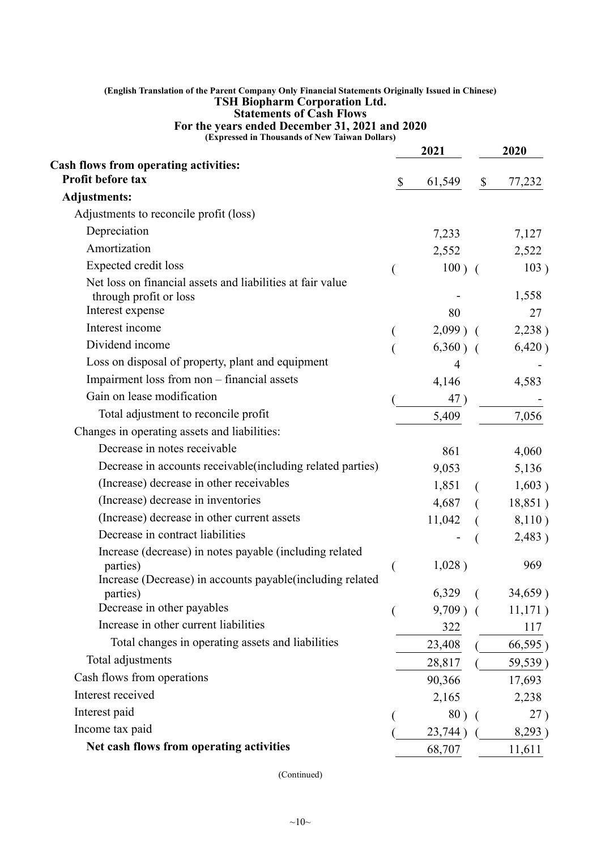## **(English Translation of the Parent Company Only Financial Statements Originally Issued in Chinese) TSH Biopharm Corporation Ltd. Statements of Cash Flows For the years ended December 31, 2021 and 2020**

**(Expressed in Thousands of New Taiwan Dollars)**

|                                                                                      |              | 2021        |                           | 2020    |
|--------------------------------------------------------------------------------------|--------------|-------------|---------------------------|---------|
| <b>Cash flows from operating activities:</b>                                         |              |             |                           |         |
| Profit before tax                                                                    | $\mathbb{S}$ | 61,549      | $\boldsymbol{\mathsf{S}}$ | 77,232  |
| <b>Adjustments:</b>                                                                  |              |             |                           |         |
| Adjustments to reconcile profit (loss)                                               |              |             |                           |         |
| Depreciation                                                                         |              | 7,233       |                           | 7,127   |
| Amortization                                                                         |              | 2,552       |                           | 2,522   |
| Expected credit loss                                                                 |              | $100)$ (    |                           | 103)    |
| Net loss on financial assets and liabilities at fair value<br>through profit or loss |              |             |                           | 1,558   |
| Interest expense                                                                     |              | 80          |                           | 27      |
| Interest income                                                                      |              | $2,099$ ) ( |                           | 2,238)  |
| Dividend income                                                                      |              | $6,360$ ) ( |                           | 6,420)  |
| Loss on disposal of property, plant and equipment                                    |              | 4           |                           |         |
| Impairment loss from non - financial assets                                          |              | 4,146       |                           | 4,583   |
| Gain on lease modification                                                           |              | 47)         |                           |         |
| Total adjustment to reconcile profit                                                 |              | 5,409       |                           | 7,056   |
| Changes in operating assets and liabilities:                                         |              |             |                           |         |
| Decrease in notes receivable                                                         |              | 861         |                           | 4,060   |
| Decrease in accounts receivable (including related parties)                          |              | 9,053       |                           | 5,136   |
| (Increase) decrease in other receivables                                             |              | 1,851       |                           | 1,603)  |
| (Increase) decrease in inventories                                                   |              | 4,687       |                           | 18,851) |
| (Increase) decrease in other current assets                                          |              | 11,042      |                           | 8,110)  |
| Decrease in contract liabilities                                                     |              |             |                           | 2,483)  |
| Increase (decrease) in notes payable (including related                              |              |             |                           |         |
| parties)<br>Increase (Decrease) in accounts payable (including related               |              | 1,028)      |                           | 969     |
| parties)                                                                             |              | $6,329$ (   |                           | 34,659) |
| Decrease in other payables                                                           | €            | $9,709$ ) ( |                           | 11,171) |
| Increase in other current liabilities                                                |              | 322         |                           | 117     |
| Total changes in operating assets and liabilities                                    |              | 23,408      |                           | 66,595) |
| Total adjustments                                                                    |              | 28,817      |                           | 59,539) |
| Cash flows from operations                                                           |              | 90,366      |                           | 17,693  |
| Interest received                                                                    |              | 2,165       |                           | 2,238   |
| Interest paid                                                                        |              | $80)$ (     |                           | 27)     |
| Income tax paid                                                                      |              | 23,744)     |                           | 8,293)  |
| Net cash flows from operating activities                                             |              | 68,707      |                           | 11,611  |

(Continued)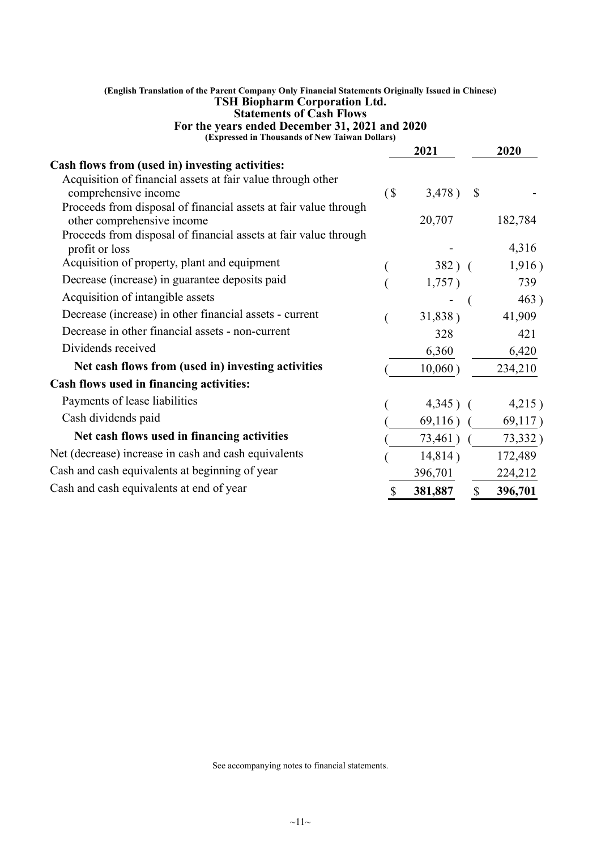| (English Translation of the Parent Company Only Financial Statements Originally Issued in Chinese)<br><b>TSH Biopharm Corporation Ltd.</b><br><b>Statements of Cash Flows</b> |              |             |               |         |
|-------------------------------------------------------------------------------------------------------------------------------------------------------------------------------|--------------|-------------|---------------|---------|
| For the years ended December 31, 2021 and 2020<br>(Expressed in Thousands of New Taiwan Dollars)                                                                              |              |             |               |         |
|                                                                                                                                                                               |              | 2021        |               | 2020    |
| Cash flows from (used in) investing activities:                                                                                                                               |              |             |               |         |
| Acquisition of financial assets at fair value through other                                                                                                                   |              |             |               |         |
| comprehensive income                                                                                                                                                          | (            | 3,478)      | $\mathcal{S}$ |         |
| Proceeds from disposal of financial assets at fair value through                                                                                                              |              |             |               |         |
| other comprehensive income                                                                                                                                                    |              | 20,707      |               | 182,784 |
| Proceeds from disposal of financial assets at fair value through<br>profit or loss                                                                                            |              |             |               | 4,316   |
| Acquisition of property, plant and equipment                                                                                                                                  |              | $382)$ (    |               | 1,916)  |
| Decrease (increase) in guarantee deposits paid                                                                                                                                |              | 1,757)      |               | 739     |
| Acquisition of intangible assets                                                                                                                                              |              |             |               | 463)    |
| Decrease (increase) in other financial assets - current                                                                                                                       |              | 31,838)     |               | 41,909  |
| Decrease in other financial assets - non-current                                                                                                                              |              | 328         |               | 421     |
| Dividends received                                                                                                                                                            |              | 6,360       |               | 6,420   |
| Net cash flows from (used in) investing activities                                                                                                                            |              | 10,060)     |               | 234,210 |
| Cash flows used in financing activities:                                                                                                                                      |              |             |               |         |
| Payments of lease liabilities                                                                                                                                                 |              | $4,345$ ) ( |               | 4,215)  |
| Cash dividends paid                                                                                                                                                           |              | 69,116)     |               | 69,117) |
| Net cash flows used in financing activities                                                                                                                                   |              | $73,461$ (  |               | 73,332) |
| Net (decrease) increase in cash and cash equivalents                                                                                                                          |              | 14,814)     |               | 172,489 |
| Cash and cash equivalents at beginning of year                                                                                                                                |              | 396,701     |               | 224,212 |
| Cash and cash equivalents at end of year                                                                                                                                      | $\mathbb{S}$ | 381,887     | $\mathbb{S}$  | 396,701 |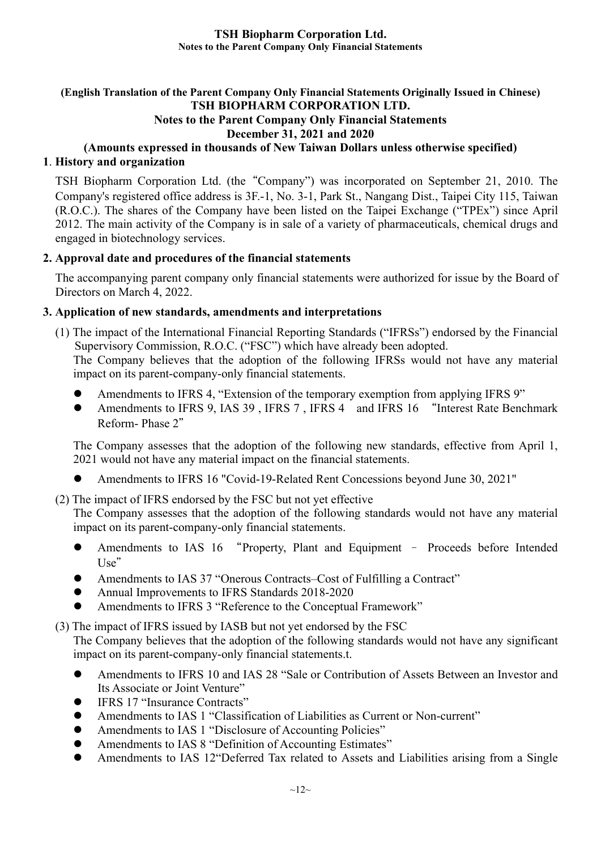## **(English Translation of the Parent Company Only Financial Statements Originally Issued in Chinese) TSH BIOPHARM CORPORATION LTD.**

# **Notes to the Parent Company Only Financial Statements**

**December 31, 2021 and 2020**

# **(Amounts expressed in thousands of New Taiwan Dollars unless otherwise specified)**

## **1**. **History and organization**

TSH Biopharm Corporation Ltd. (the"Company") was incorporated on September 21, 2010. The Company's registered office address is 3F.-1, No. 3-1, Park St., Nangang Dist., Taipei City 115, Taiwan (R.O.C.). The shares of the Company have been listed on the Taipei Exchange ("TPEx") since April 2012. The main activity of the Company is in sale of a variety of pharmaceuticals, chemical drugs and engaged in biotechnology services.

## **2. Approval date and procedures of the financial statements**

The accompanying parent company only financial statements were authorized for issue by the Board of Directors on March 4, 2022.

## **3. Application of new standards, amendments and interpretations**

- (1) The impact of the International Financial Reporting Standards ("IFRSs") endorsed by the Financial Supervisory Commission, R.O.C. ("FSC") which have already been adopted. The Company believes that the adoption of the following IFRSs would not have any material impact on its parent-company-only financial statements.
	- Amendments to IFRS 4, "Extension of the temporary exemption from applying IFRS 9"
	- Amendments to IFRS 9, IAS 39, IFRS 7, IFRS 4 and IFRS 16 "Interest Rate Benchmark Reform- Phase 2"

The Company assesses that the adoption of the following new standards, effective from April 1, 2021 would not have any material impact on the financial statements.

- Amendments to IFRS 16 "Covid-19-Related Rent Concessions beyond June 30, 2021"
- (2) The impact of IFRS endorsed by the FSC but not yet effective

The Company assesses that the adoption of the following standards would not have any material impact on its parent-company-only financial statements.

- Amendments to IAS 16 "Property, Plant and Equipment Proceeds before Intended  $Use''$
- Amendments to IAS 37 "Onerous Contracts–Cost of Fulfilling a Contract"
- Annual Improvements to IFRS Standards 2018-2020
- Amendments to IFRS 3 "Reference to the Conceptual Framework"

(3) The impact of IFRS issued by IASB but not yet endorsed by the FSC

The Company believes that the adoption of the following standards would not have any significant impact on its parent-company-only financial statements.t.

- Amendments to IFRS 10 and IAS 28 "Sale or Contribution of Assets Between an Investor and Its Associate or Joint Venture"
- IFRS 17 "Insurance Contracts"
- Amendments to IAS 1 "Classification of Liabilities as Current or Non-current"
- Amendments to IAS 1 "Disclosure of Accounting Policies"
- Amendments to IAS 8 "Definition of Accounting Estimates"
- Amendments to IAS 12"Deferred Tax related to Assets and Liabilities arising from a Single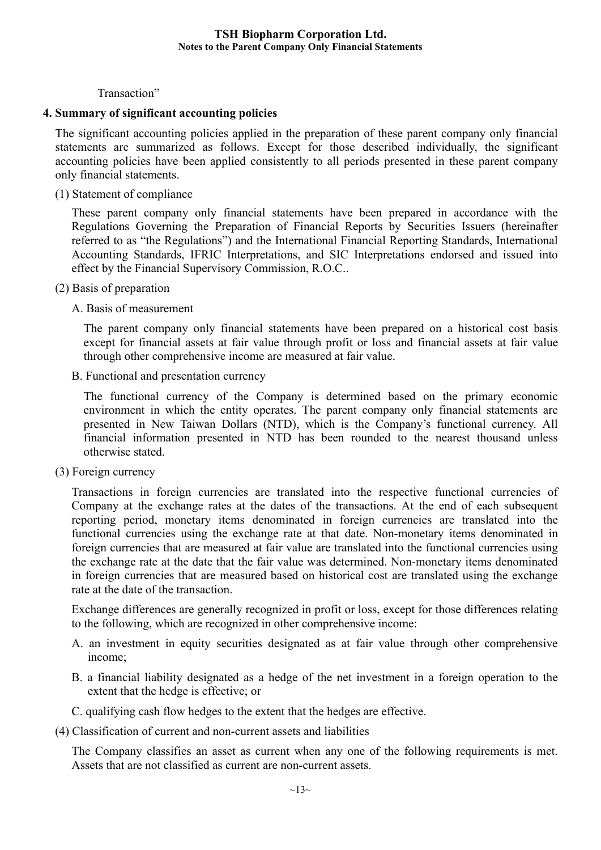## Transaction"

#### **4. Summary of significant accounting policies**

The significant accounting policies applied in the preparation of these parent company only financial statements are summarized as follows. Except for those described individually, the significant accounting policies have been applied consistently to all periods presented in these parent company only financial statements.

(1) Statement of compliance

These parent company only financial statements have been prepared in accordance with the Regulations Governing the Preparation of Financial Reports by Securities Issuers (hereinafter referred to as "the Regulations") and the International Financial Reporting Standards, International Accounting Standards, IFRIC Interpretations, and SIC Interpretations endorsed and issued into effect by the Financial Supervisory Commission, R.O.C..

- (2) Basis of preparation
	- A. Basis of measurement

The parent company only financial statements have been prepared on a historical cost basis except for financial assets at fair value through profit or loss and financial assets at fair value through other comprehensive income are measured at fair value.

B. Functional and presentation currency

The functional currency of the Company is determined based on the primary economic environment in which the entity operates. The parent company only financial statements are presented in New Taiwan Dollars (NTD), which is the Company's functional currency. All financial information presented in NTD has been rounded to the nearest thousand unless otherwise stated.

(3) Foreign currency

Transactions in foreign currencies are translated into the respective functional currencies of Company at the exchange rates at the dates of the transactions. At the end of each subsequent reporting period, monetary items denominated in foreign currencies are translated into the functional currencies using the exchange rate at that date. Non-monetary items denominated in foreign currencies that are measured at fair value are translated into the functional currencies using the exchange rate at the date that the fair value was determined. Non-monetary items denominated in foreign currencies that are measured based on historical cost are translated using the exchange rate at the date of the transaction.

Exchange differences are generally recognized in profit or loss, except for those differences relating to the following, which are recognized in other comprehensive income:

- A. an investment in equity securities designated as at fair value through other comprehensive income;
- B. a financial liability designated as a hedge of the net investment in a foreign operation to the extent that the hedge is effective; or
- C. qualifying cash flow hedges to the extent that the hedges are effective.
- (4) Classification of current and non-current assets and liabilities

The Company classifies an asset as current when any one of the following requirements is met. Assets that are not classified as current are non-current assets.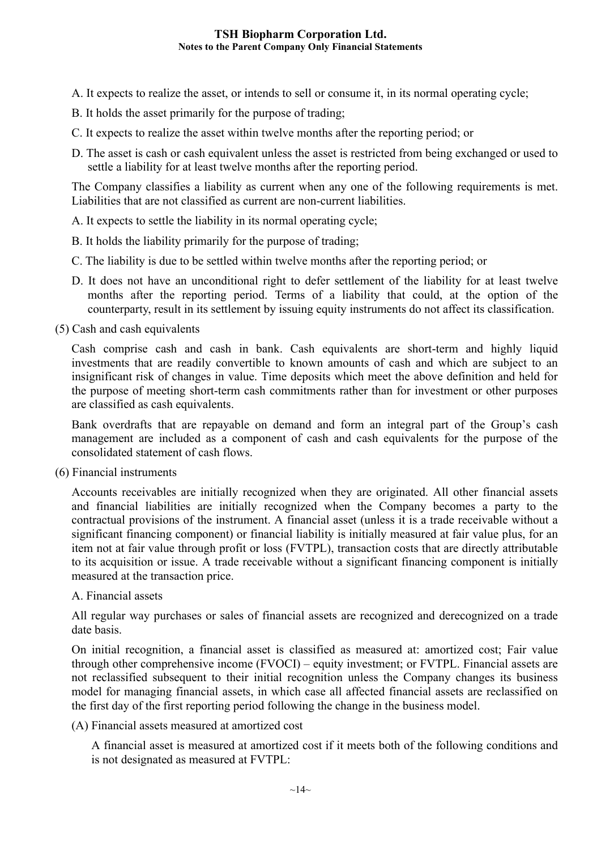- A. It expects to realize the asset, or intends to sell or consume it, in its normal operating cycle;
- B. It holds the asset primarily for the purpose of trading;
- C. It expects to realize the asset within twelve months after the reporting period; or
- D. The asset is cash or cash equivalent unless the asset is restricted from being exchanged or used to settle a liability for at least twelve months after the reporting period.

The Company classifies a liability as current when any one of the following requirements is met. Liabilities that are not classified as current are non-current liabilities.

A. It expects to settle the liability in its normal operating cycle;

- B. It holds the liability primarily for the purpose of trading;
- C. The liability is due to be settled within twelve months after the reporting period; or
- D. It does not have an unconditional right to defer settlement of the liability for at least twelve months after the reporting period. Terms of a liability that could, at the option of the counterparty, result in its settlement by issuing equity instruments do not affect its classification.

(5) Cash and cash equivalents

Cash comprise cash and cash in bank. Cash equivalents are short-term and highly liquid investments that are readily convertible to known amounts of cash and which are subject to an insignificant risk of changes in value. Time deposits which meet the above definition and held for the purpose of meeting short-term cash commitments rather than for investment or other purposes are classified as cash equivalents.

Bank overdrafts that are repayable on demand and form an integral part of the Group's cash management are included as a component of cash and cash equivalents for the purpose of the consolidated statement of cash flows.

(6) Financial instruments

Accounts receivables are initially recognized when they are originated. All other financial assets and financial liabilities are initially recognized when the Company becomes a party to the contractual provisions of the instrument. A financial asset (unless it is a trade receivable without a significant financing component) or financial liability is initially measured at fair value plus, for an item not at fair value through profit or loss (FVTPL), transaction costs that are directly attributable to its acquisition or issue. A trade receivable without a significant financing component is initially measured at the transaction price.

#### A. Financial assets

All regular way purchases or sales of financial assets are recognized and derecognized on a trade date basis.

On initial recognition, a financial asset is classified as measured at: amortized cost; Fair value through other comprehensive income (FVOCI) – equity investment; or FVTPL. Financial assets are not reclassified subsequent to their initial recognition unless the Company changes its business model for managing financial assets, in which case all affected financial assets are reclassified on the first day of the first reporting period following the change in the business model.

(A) Financial assets measured at amortized cost

A financial asset is measured at amortized cost if it meets both of the following conditions and is not designated as measured at FVTPL: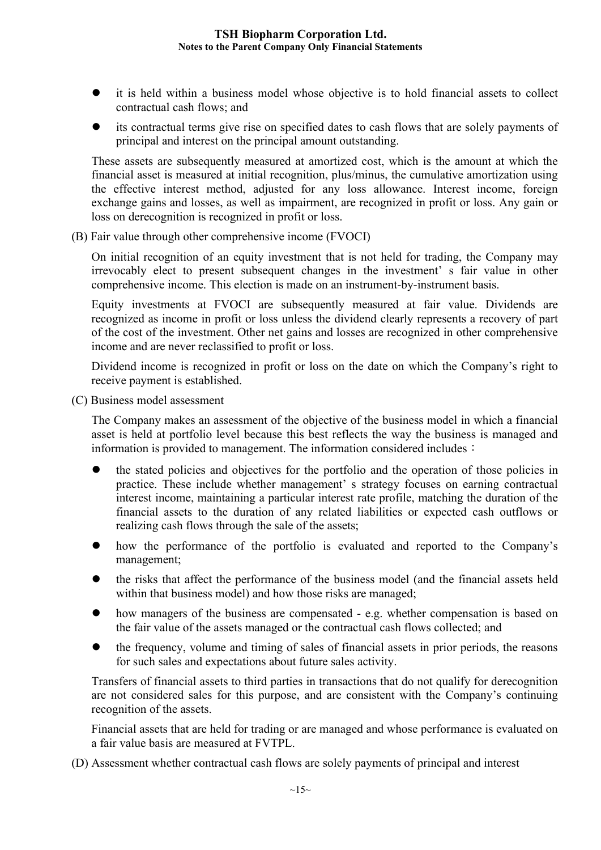- it is held within a business model whose objective is to hold financial assets to collect contractual cash flows; and
- its contractual terms give rise on specified dates to cash flows that are solely payments of principal and interest on the principal amount outstanding.

These assets are subsequently measured at amortized cost, which is the amount at which the financial asset is measured at initial recognition, plus/minus, the cumulative amortization using the effective interest method, adjusted for any loss allowance. Interest income, foreign exchange gains and losses, as well as impairment, are recognized in profit or loss. Any gain or loss on derecognition is recognized in profit or loss.

(B) Fair value through other comprehensive income (FVOCI)

On initial recognition of an equity investment that is not held for trading, the Company may irrevocably elect to present subsequent changes in the investment' s fair value in other comprehensive income. This election is made on an instrument-by-instrument basis.

Equity investments at FVOCI are subsequently measured at fair value. Dividends are recognized as income in profit or loss unless the dividend clearly represents a recovery of part of the cost of the investment. Other net gains and losses are recognized in other comprehensive income and are never reclassified to profit or loss.

Dividend income is recognized in profit or loss on the date on which the Company's right to receive payment is established.

(C) Business model assessment

The Company makes an assessment of the objective of the business model in which a financial asset is held at portfolio level because this best reflects the way the business is managed and information is provided to management. The information considered includes:

- the stated policies and objectives for the portfolio and the operation of those policies in practice. These include whether management' s strategy focuses on earning contractual interest income, maintaining a particular interest rate profile, matching the duration of the financial assets to the duration of any related liabilities or expected cash outflows or realizing cash flows through the sale of the assets;
- how the performance of the portfolio is evaluated and reported to the Company's management;
- the risks that affect the performance of the business model (and the financial assets held within that business model) and how those risks are managed;
- how managers of the business are compensated e.g. whether compensation is based on the fair value of the assets managed or the contractual cash flows collected; and
- the frequency, volume and timing of sales of financial assets in prior periods, the reasons for such sales and expectations about future sales activity.

Transfers of financial assets to third parties in transactions that do not qualify for derecognition are not considered sales for this purpose, and are consistent with the Company's continuing recognition of the assets.

Financial assets that are held for trading or are managed and whose performance is evaluated on a fair value basis are measured at FVTPL.

(D) Assessment whether contractual cash flows are solely payments of principal and interest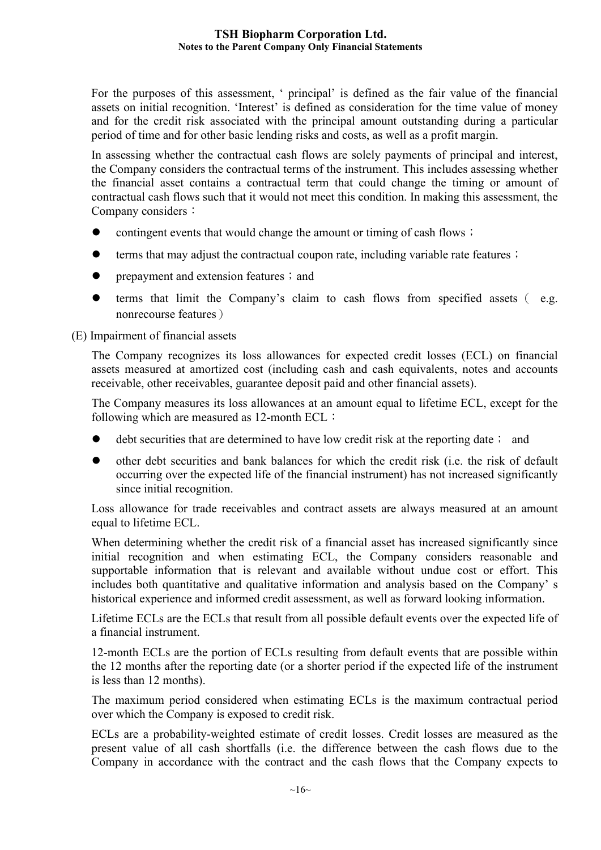For the purposes of this assessment, ' principal' is defined as the fair value of the financial assets on initial recognition. 'Interest' is defined as consideration for the time value of money and for the credit risk associated with the principal amount outstanding during a particular period of time and for other basic lending risks and costs, as well as a profit margin.

In assessing whether the contractual cash flows are solely payments of principal and interest, the Company considers the contractual terms of the instrument. This includes assessing whether the financial asset contains a contractual term that could change the timing or amount of contractual cash flows such that it would not meet this condition. In making this assessment, the Company considers:

- contingent events that would change the amount or timing of cash flows;
- terms that may adjust the contractual coupon rate, including variable rate features;
- prepayment and extension features; and
- terms that limit the Company's claim to cash flows from specified assets( e.g. nonrecourse features)

## (E) Impairment of financial assets

The Company recognizes its loss allowances for expected credit losses (ECL) on financial assets measured at amortized cost (including cash and cash equivalents, notes and accounts receivable, other receivables, guarantee deposit paid and other financial assets).

The Company measures its loss allowances at an amount equal to lifetime ECL, except for the following which are measured as 12-month ECL:

- debt securities that are determined to have low credit risk at the reporting date; and
- other debt securities and bank balances for which the credit risk (i.e. the risk of default occurring over the expected life of the financial instrument) has not increased significantly since initial recognition.

Loss allowance for trade receivables and contract assets are always measured at an amount equal to lifetime ECL.

When determining whether the credit risk of a financial asset has increased significantly since initial recognition and when estimating ECL, the Company considers reasonable and supportable information that is relevant and available without undue cost or effort. This includes both quantitative and qualitative information and analysis based on the Company' s historical experience and informed credit assessment, as well as forward looking information.

Lifetime ECLs are the ECLs that result from all possible default events over the expected life of a financial instrument.

12-month ECLs are the portion of ECLs resulting from default events that are possible within the 12 months after the reporting date (or a shorter period if the expected life of the instrument is less than 12 months).

The maximum period considered when estimating ECLs is the maximum contractual period over which the Company is exposed to credit risk.

ECLs are a probability-weighted estimate of credit losses. Credit losses are measured as the present value of all cash shortfalls (i.e. the difference between the cash flows due to the Company in accordance with the contract and the cash flows that the Company expects to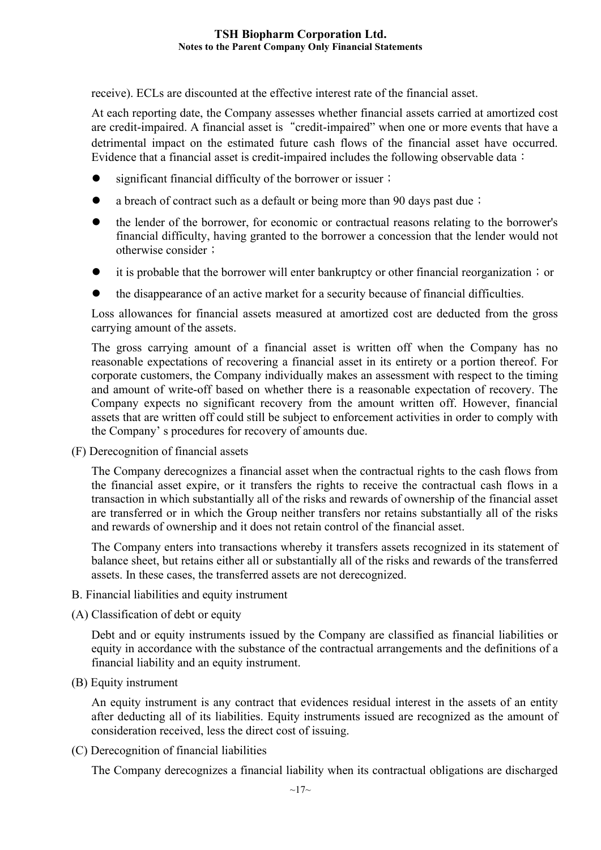receive). ECLs are discounted at the effective interest rate of the financial asset.

At each reporting date, the Company assesses whether financial assets carried at amortized cost are credit-impaired. A financial asset is "credit-impaired" when one or more events that have a detrimental impact on the estimated future cash flows of the financial asset have occurred. Evidence that a financial asset is credit-impaired includes the following observable data:

- significant financial difficulty of the borrower or issuer;
- a breach of contract such as a default or being more than 90 days past due;
- the lender of the borrower, for economic or contractual reasons relating to the borrower's financial difficulty, having granted to the borrower a concession that the lender would not otherwise consider;
- it is probable that the borrower will enter bankruptcy or other financial reorganization; or
- the disappearance of an active market for a security because of financial difficulties.

Loss allowances for financial assets measured at amortized cost are deducted from the gross carrying amount of the assets.

The gross carrying amount of a financial asset is written off when the Company has no reasonable expectations of recovering a financial asset in its entirety or a portion thereof. For corporate customers, the Company individually makes an assessment with respect to the timing and amount of write-off based on whether there is a reasonable expectation of recovery. The Company expects no significant recovery from the amount written off. However, financial assets that are written off could still be subject to enforcement activities in order to comply with the Company' s procedures for recovery of amounts due.

(F) Derecognition of financial assets

The Company derecognizes a financial asset when the contractual rights to the cash flows from the financial asset expire, or it transfers the rights to receive the contractual cash flows in a transaction in which substantially all of the risks and rewards of ownership of the financial asset are transferred or in which the Group neither transfers nor retains substantially all of the risks and rewards of ownership and it does not retain control of the financial asset.

The Company enters into transactions whereby it transfers assets recognized in its statement of balance sheet, but retains either all or substantially all of the risks and rewards of the transferred assets. In these cases, the transferred assets are not derecognized.

- B. Financial liabilities and equity instrument
- (A) Classification of debt or equity

Debt and or equity instruments issued by the Company are classified as financial liabilities or equity in accordance with the substance of the contractual arrangements and the definitions of a financial liability and an equity instrument.

(B) Equity instrument

An equity instrument is any contract that evidences residual interest in the assets of an entity after deducting all of its liabilities. Equity instruments issued are recognized as the amount of consideration received, less the direct cost of issuing.

(C) Derecognition of financial liabilities

The Company derecognizes a financial liability when its contractual obligations are discharged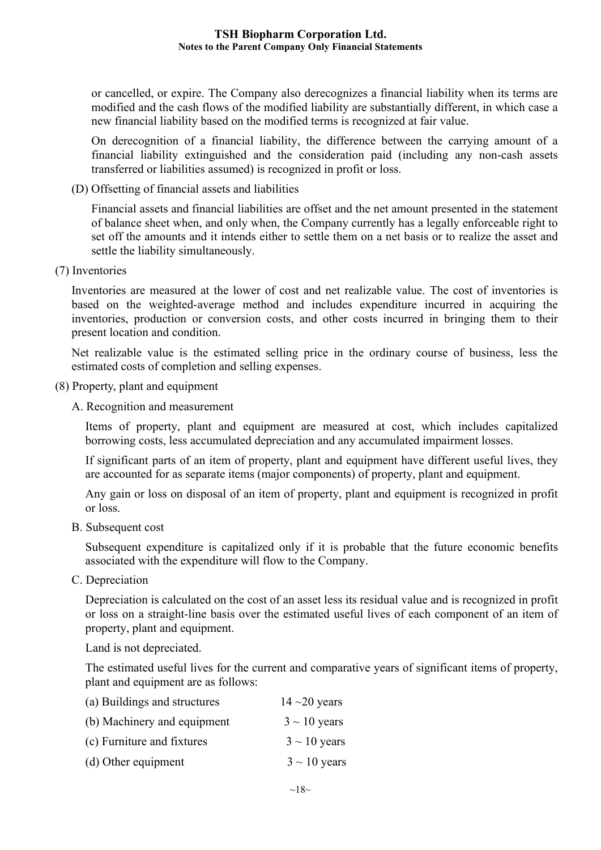or cancelled, or expire. The Company also derecognizes a financial liability when its terms are modified and the cash flows of the modified liability are substantially different, in which case a new financial liability based on the modified terms is recognized at fair value.

On derecognition of a financial liability, the difference between the carrying amount of a financial liability extinguished and the consideration paid (including any non-cash assets transferred or liabilities assumed) is recognized in profit or loss.

(D) Offsetting of financial assets and liabilities

Financial assets and financial liabilities are offset and the net amount presented in the statement of balance sheet when, and only when, the Company currently has a legally enforceable right to set off the amounts and it intends either to settle them on a net basis or to realize the asset and settle the liability simultaneously.

(7) Inventories

Inventories are measured at the lower of cost and net realizable value. The cost of inventories is based on the weighted-average method and includes expenditure incurred in acquiring the inventories, production or conversion costs, and other costs incurred in bringing them to their present location and condition.

Net realizable value is the estimated selling price in the ordinary course of business, less the estimated costs of completion and selling expenses.

(8) Property, plant and equipment

A. Recognition and measurement

Items of property, plant and equipment are measured at cost, which includes capitalized borrowing costs, less accumulated depreciation and any accumulated impairment losses.

If significant parts of an item of property, plant and equipment have different useful lives, they are accounted for as separate items (major components) of property, plant and equipment.

Any gain or loss on disposal of an item of property, plant and equipment is recognized in profit or loss.

B. Subsequent cost

Subsequent expenditure is capitalized only if it is probable that the future economic benefits associated with the expenditure will flow to the Company.

C. Depreciation

Depreciation is calculated on the cost of an asset less its residual value and is recognized in profit or loss on a straight-line basis over the estimated useful lives of each component of an item of property, plant and equipment.

Land is not depreciated.

The estimated useful lives for the current and comparative years of significant items of property, plant and equipment are as follows:

| (a) Buildings and structures | $14 - 20$ years   |
|------------------------------|-------------------|
| (b) Machinery and equipment  | $3 \sim 10$ years |
| (c) Furniture and fixtures   | $3 \sim 10$ years |
| (d) Other equipment          | $3 \sim 10$ years |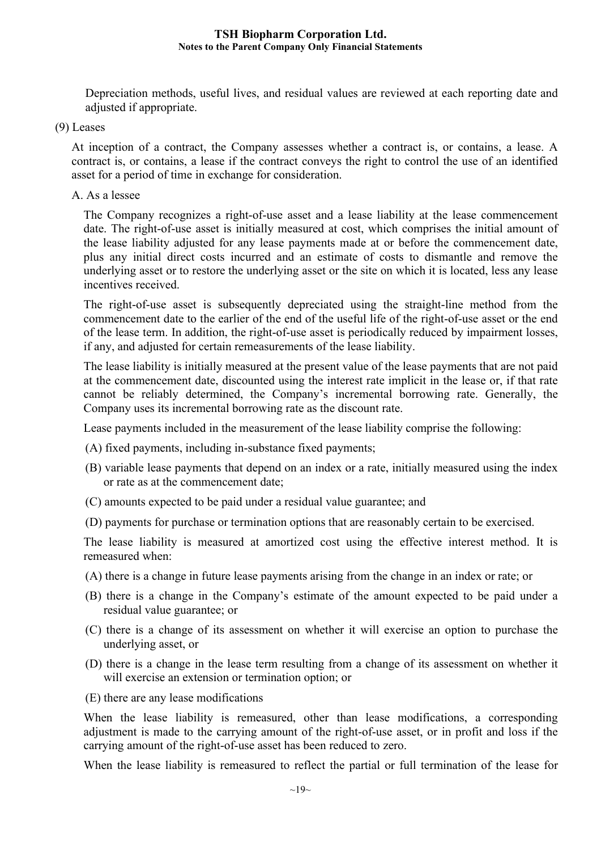Depreciation methods, useful lives, and residual values are reviewed at each reporting date and adjusted if appropriate.

(9) Leases

At inception of a contract, the Company assesses whether a contract is, or contains, a lease. A contract is, or contains, a lease if the contract conveys the right to control the use of an identified asset for a period of time in exchange for consideration.

A. As a lessee

The Company recognizes a right-of-use asset and a lease liability at the lease commencement date. The right-of-use asset is initially measured at cost, which comprises the initial amount of the lease liability adjusted for any lease payments made at or before the commencement date, plus any initial direct costs incurred and an estimate of costs to dismantle and remove the underlying asset or to restore the underlying asset or the site on which it is located, less any lease incentives received.

The right-of-use asset is subsequently depreciated using the straight-line method from the commencement date to the earlier of the end of the useful life of the right-of-use asset or the end of the lease term. In addition, the right-of-use asset is periodically reduced by impairment losses, if any, and adjusted for certain remeasurements of the lease liability.

The lease liability is initially measured at the present value of the lease payments that are not paid at the commencement date, discounted using the interest rate implicit in the lease or, if that rate cannot be reliably determined, the Company's incremental borrowing rate. Generally, the Company uses its incremental borrowing rate as the discount rate.

Lease payments included in the measurement of the lease liability comprise the following:

- (A) fixed payments, including in-substance fixed payments;
- (B) variable lease payments that depend on an index or a rate, initially measured using the index or rate as at the commencement date;
- (C) amounts expected to be paid under a residual value guarantee; and
- (D) payments for purchase or termination options that are reasonably certain to be exercised.

The lease liability is measured at amortized cost using the effective interest method. It is remeasured when:

- (A) there is a change in future lease payments arising from the change in an index or rate; or
- (B) there is a change in the Company's estimate of the amount expected to be paid under a residual value guarantee; or
- (C) there is a change of its assessment on whether it will exercise an option to purchase the underlying asset, or
- (D) there is a change in the lease term resulting from a change of its assessment on whether it will exercise an extension or termination option; or
- (E) there are any lease modifications

When the lease liability is remeasured, other than lease modifications, a corresponding adjustment is made to the carrying amount of the right-of-use asset, or in profit and loss if the carrying amount of the right-of-use asset has been reduced to zero.

When the lease liability is remeasured to reflect the partial or full termination of the lease for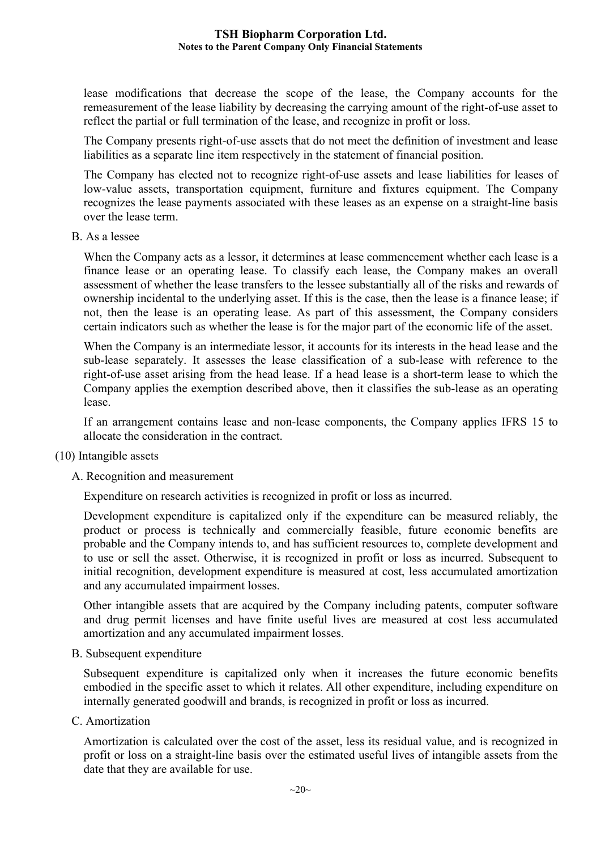lease modifications that decrease the scope of the lease, the Company accounts for the remeasurement of the lease liability by decreasing the carrying amount of the right-of-use asset to reflect the partial or full termination of the lease, and recognize in profit or loss.

The Company presents right-of-use assets that do not meet the definition of investment and lease liabilities as a separate line item respectively in the statement of financial position.

The Company has elected not to recognize right-of-use assets and lease liabilities for leases of low-value assets, transportation equipment, furniture and fixtures equipment. The Company recognizes the lease payments associated with these leases as an expense on a straight-line basis over the lease term.

B. As a lessee

When the Company acts as a lessor, it determines at lease commencement whether each lease is a finance lease or an operating lease. To classify each lease, the Company makes an overall assessment of whether the lease transfers to the lessee substantially all of the risks and rewards of ownership incidental to the underlying asset. If this is the case, then the lease is a finance lease; if not, then the lease is an operating lease. As part of this assessment, the Company considers certain indicators such as whether the lease is for the major part of the economic life of the asset.

When the Company is an intermediate lessor, it accounts for its interests in the head lease and the sub-lease separately. It assesses the lease classification of a sub-lease with reference to the right-of-use asset arising from the head lease. If a head lease is a short-term lease to which the Company applies the exemption described above, then it classifies the sub-lease as an operating lease.

If an arrangement contains lease and non-lease components, the Company applies IFRS 15 to allocate the consideration in the contract.

- (10) Intangible assets
	- A. Recognition and measurement

Expenditure on research activities is recognized in profit or loss as incurred.

Development expenditure is capitalized only if the expenditure can be measured reliably, the product or process is technically and commercially feasible, future economic benefits are probable and the Company intends to, and has sufficient resources to, complete development and to use or sell the asset. Otherwise, it is recognized in profit or loss as incurred. Subsequent to initial recognition, development expenditure is measured at cost, less accumulated amortization and any accumulated impairment losses.

Other intangible assets that are acquired by the Company including patents, computer software and drug permit licenses and have finite useful lives are measured at cost less accumulated amortization and any accumulated impairment losses.

B. Subsequent expenditure

Subsequent expenditure is capitalized only when it increases the future economic benefits embodied in the specific asset to which it relates. All other expenditure, including expenditure on internally generated goodwill and brands, is recognized in profit or loss as incurred.

C. Amortization

Amortization is calculated over the cost of the asset, less its residual value, and is recognized in profit or loss on a straight-line basis over the estimated useful lives of intangible assets from the date that they are available for use.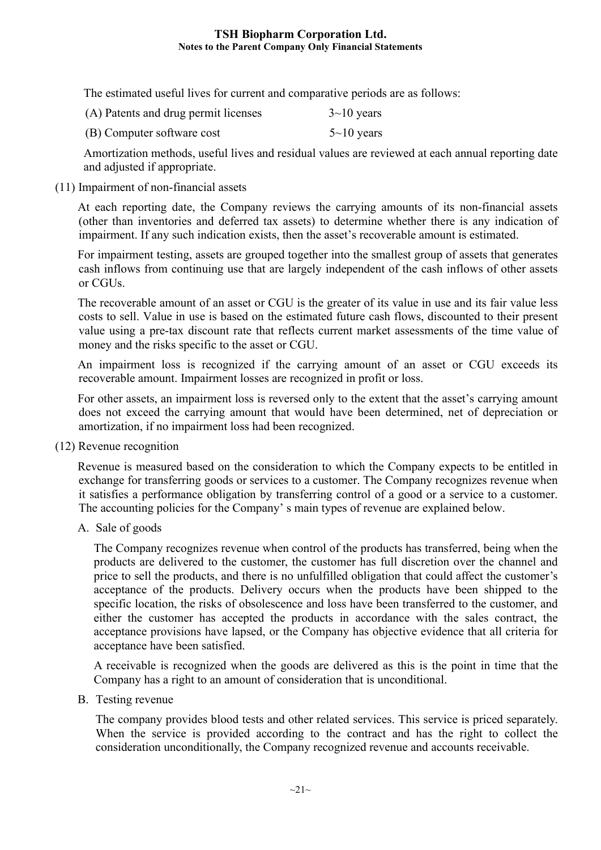The estimated useful lives for current and comparative periods are as follows:

| (A) Patents and drug permit licenses | $3 \sim 10$ years |
|--------------------------------------|-------------------|
| (B) Computer software cost           | $5 \sim 10$ years |

Amortization methods, useful lives and residual values are reviewed at each annual reporting date and adjusted if appropriate.

(11) Impairment of non-financial assets

At each reporting date, the Company reviews the carrying amounts of its non-financial assets (other than inventories and deferred tax assets) to determine whether there is any indication of impairment. If any such indication exists, then the asset's recoverable amount is estimated.

For impairment testing, assets are grouped together into the smallest group of assets that generates cash inflows from continuing use that are largely independent of the cash inflows of other assets or CGUs.

The recoverable amount of an asset or CGU is the greater of its value in use and its fair value less costs to sell. Value in use is based on the estimated future cash flows, discounted to their present value using a pre-tax discount rate that reflects current market assessments of the time value of money and the risks specific to the asset or CGU.

An impairment loss is recognized if the carrying amount of an asset or CGU exceeds its recoverable amount. Impairment losses are recognized in profit or loss.

For other assets, an impairment loss is reversed only to the extent that the asset's carrying amount does not exceed the carrying amount that would have been determined, net of depreciation or amortization, if no impairment loss had been recognized.

(12) Revenue recognition

Revenue is measured based on the consideration to which the Company expects to be entitled in exchange for transferring goods or services to a customer. The Company recognizes revenue when it satisfies a performance obligation by transferring control of a good or a service to a customer. The accounting policies for the Company' s main types of revenue are explained below.

A. Sale of goods

The Company recognizes revenue when control of the products has transferred, being when the products are delivered to the customer, the customer has full discretion over the channel and price to sell the products, and there is no unfulfilled obligation that could affect the customer's acceptance of the products. Delivery occurs when the products have been shipped to the specific location, the risks of obsolescence and loss have been transferred to the customer, and either the customer has accepted the products in accordance with the sales contract, the acceptance provisions have lapsed, or the Company has objective evidence that all criteria for acceptance have been satisfied.

A receivable is recognized when the goods are delivered as this is the point in time that the Company has a right to an amount of consideration that is unconditional.

B. Testing revenue

The company provides blood tests and other related services. This service is priced separately. When the service is provided according to the contract and has the right to collect the consideration unconditionally, the Company recognized revenue and accounts receivable.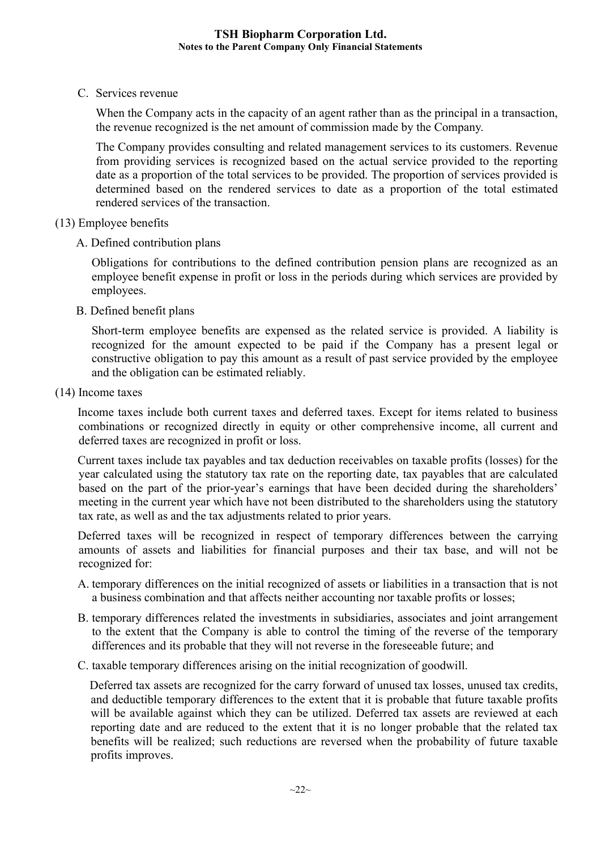C. Services revenue

When the Company acts in the capacity of an agent rather than as the principal in a transaction, the revenue recognized is the net amount of commission made by the Company.

The Company provides consulting and related management services to its customers. Revenue from providing services is recognized based on the actual service provided to the reporting date as a proportion of the total services to be provided. The proportion of services provided is determined based on the rendered services to date as a proportion of the total estimated rendered services of the transaction.

- (13) Employee benefits
	- A. Defined contribution plans

Obligations for contributions to the defined contribution pension plans are recognized as an employee benefit expense in profit or loss in the periods during which services are provided by employees.

B. Defined benefit plans

Short-term employee benefits are expensed as the related service is provided. A liability is recognized for the amount expected to be paid if the Company has a present legal or constructive obligation to pay this amount as a result of past service provided by the employee and the obligation can be estimated reliably.

(14) Income taxes

Income taxes include both current taxes and deferred taxes. Except for items related to business combinations or recognized directly in equity or other comprehensive income, all current and deferred taxes are recognized in profit or loss.

Current taxes include tax payables and tax deduction receivables on taxable profits (losses) for the year calculated using the statutory tax rate on the reporting date, tax payables that are calculated based on the part of the prior-year's earnings that have been decided during the shareholders' meeting in the current year which have not been distributed to the shareholders using the statutory tax rate, as well as and the tax adjustments related to prior years.

Deferred taxes will be recognized in respect of temporary differences between the carrying amounts of assets and liabilities for financial purposes and their tax base, and will not be recognized for:

- A. temporary differences on the initial recognized of assets or liabilities in a transaction that is not a business combination and that affects neither accounting nor taxable profits or losses;
- B. temporary differences related the investments in subsidiaries, associates and joint arrangement to the extent that the Company is able to control the timing of the reverse of the temporary differences and its probable that they will not reverse in the foreseeable future; and
- C. taxable temporary differences arising on the initial recognization of goodwill.

Deferred tax assets are recognized for the carry forward of unused tax losses, unused tax credits, and deductible temporary differences to the extent that it is probable that future taxable profits will be available against which they can be utilized. Deferred tax assets are reviewed at each reporting date and are reduced to the extent that it is no longer probable that the related tax benefits will be realized; such reductions are reversed when the probability of future taxable profits improves.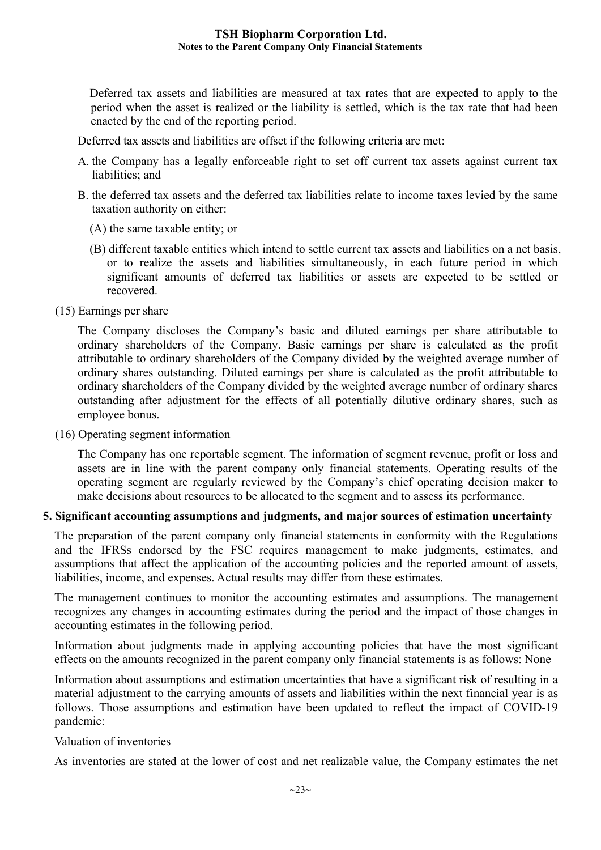Deferred tax assets and liabilities are measured at tax rates that are expected to apply to the period when the asset is realized or the liability is settled, which is the tax rate that had been enacted by the end of the reporting period.

Deferred tax assets and liabilities are offset if the following criteria are met:

- A. the Company has a legally enforceable right to set off current tax assets against current tax liabilities; and
- B. the deferred tax assets and the deferred tax liabilities relate to income taxes levied by the same taxation authority on either:
	- (A) the same taxable entity; or
	- (B) different taxable entities which intend to settle current tax assets and liabilities on a net basis, or to realize the assets and liabilities simultaneously, in each future period in which significant amounts of deferred tax liabilities or assets are expected to be settled or recovered.
- (15) Earnings per share

The Company discloses the Company's basic and diluted earnings per share attributable to ordinary shareholders of the Company. Basic earnings per share is calculated as the profit attributable to ordinary shareholders of the Company divided by the weighted average number of ordinary shares outstanding. Diluted earnings per share is calculated as the profit attributable to ordinary shareholders of the Company divided by the weighted average number of ordinary shares outstanding after adjustment for the effects of all potentially dilutive ordinary shares, such as employee bonus.

(16) Operating segment information

The Company has one reportable segment. The information of segment revenue, profit or loss and assets are in line with the parent company only financial statements. Operating results of the operating segment are regularly reviewed by the Company's chief operating decision maker to make decisions about resources to be allocated to the segment and to assess its performance.

#### **5. Significant accounting assumptions and judgments, and major sources of estimation uncertainty**

The preparation of the parent company only financial statements in conformity with the Regulations and the IFRSs endorsed by the FSC requires management to make judgments, estimates, and assumptions that affect the application of the accounting policies and the reported amount of assets, liabilities, income, and expenses. Actual results may differ from these estimates.

The management continues to monitor the accounting estimates and assumptions. The management recognizes any changes in accounting estimates during the period and the impact of those changes in accounting estimates in the following period.

Information about judgments made in applying accounting policies that have the most significant effects on the amounts recognized in the parent company only financial statements is as follows: None

Information about assumptions and estimation uncertainties that have a significant risk of resulting in a material adjustment to the carrying amounts of assets and liabilities within the next financial year is as follows. Those assumptions and estimation have been updated to reflect the impact of COVID-19 pandemic:

#### Valuation of inventories

As inventories are stated at the lower of cost and net realizable value, the Company estimates the net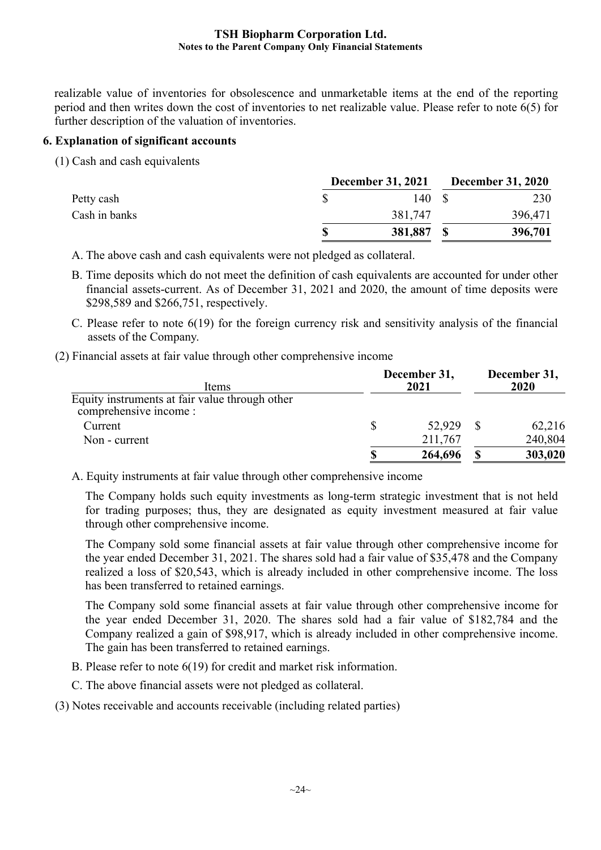realizable value of inventories for obsolescence and unmarketable items at the end of the reporting period and then writes down the cost of inventories to net realizable value. Please refer to note 6(5) for further description of the valuation of inventories.

## **6. Explanation of significant accounts**

(1) Cash and cash equivalents

|               | <b>December 31, 2021</b> | <b>December 31, 2020</b> |
|---------------|--------------------------|--------------------------|
| Petty cash    | 140 S                    | 230                      |
| Cash in banks | 381,747                  | 396,471                  |
|               | 381,887                  | 396,701                  |

A. The above cash and cash equivalents were not pledged as collateral.

- B. Time deposits which do not meet the definition of cash equivalents are accounted for under other financial assets-current. As of December 31, 2021 and 2020, the amount of time deposits were \$298,589 and \$266,751, respectively.
- C. Please refer to note 6(19) for the foreign currency risk and sensitivity analysis of the financial assets of the Company.
- (2) Financial assets at fair value through other comprehensive income

| Items                                          | December 31,<br>2021 | December 31,<br>2020 |
|------------------------------------------------|----------------------|----------------------|
| Equity instruments at fair value through other |                      |                      |
| comprehensive income :                         |                      |                      |
| Current                                        | 52,929               | 62,216               |
| Non - current                                  | 211,767              | 240,804              |
|                                                | 264,696              | 303,020              |

A. Equity instruments at fair value through other comprehensive income

The Company holds such equity investments as long-term strategic investment that is not held for trading purposes; thus, they are designated as equity investment measured at fair value through other comprehensive income.

The Company sold some financial assets at fair value through other comprehensive income for the year ended December 31, 2021. The shares sold had a fair value of \$35,478 and the Company realized a loss of \$20,543, which is already included in other comprehensive income. The loss has been transferred to retained earnings.

The Company sold some financial assets at fair value through other comprehensive income for the year ended December 31, 2020. The shares sold had a fair value of \$182,784 and the Company realized a gain of \$98,917, which is already included in other comprehensive income. The gain has been transferred to retained earnings.

B. Please refer to note 6(19) for credit and market risk information.

C. The above financial assets were not pledged as collateral.

(3) Notes receivable and accounts receivable (including related parties)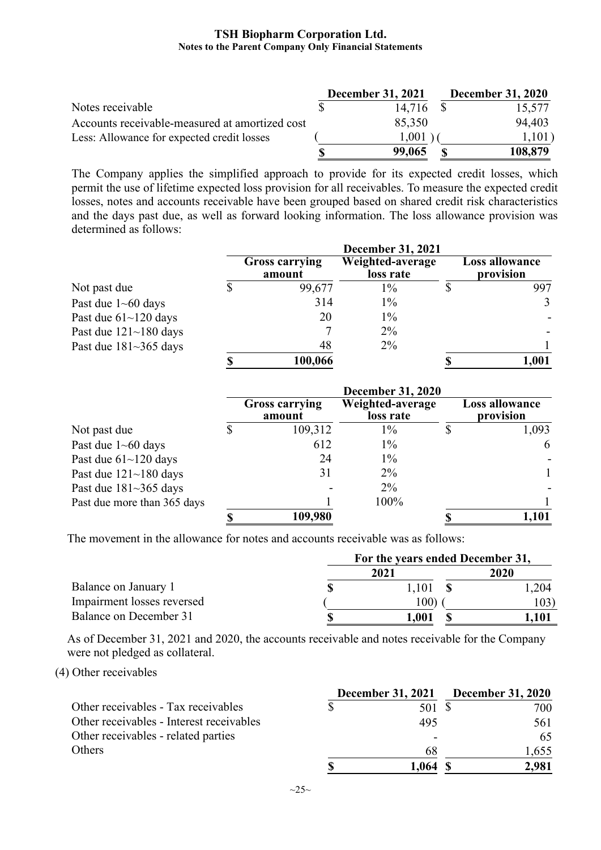|                                                | <b>December 31, 2021</b> | <b>December 31, 2020</b> |
|------------------------------------------------|--------------------------|--------------------------|
| Notes receivable                               | 14.716                   | 15,577                   |
| Accounts receivable-measured at amortized cost | 85,350                   | 94,403                   |
| Less: Allowance for expected credit losses     | 1,001                    | 1,101)                   |
|                                                | 99,065                   | 108,879                  |

The Company applies the simplified approach to provide for its expected credit losses, which permit the use of lifetime expected loss provision for all receivables. To measure the expected credit losses, notes and accounts receivable have been grouped based on shared credit risk characteristics and the days past due, as well as forward looking information. The loss allowance provision was determined as follows:

|                              | <b>December 31, 2021</b>        |                               |  |                                    |  |  |
|------------------------------|---------------------------------|-------------------------------|--|------------------------------------|--|--|
|                              | <b>Gross carrying</b><br>amount | Weighted-average<br>loss rate |  | <b>Loss allowance</b><br>provision |  |  |
| Not past due                 | 99,677                          | $1\%$                         |  | 997                                |  |  |
| Past due $1 \sim 60$ days    | 314                             | $1\%$                         |  | 3                                  |  |  |
| Past due $61 \sim 120$ days  | 20                              | $1\%$                         |  |                                    |  |  |
| Past due $121 - 180$ days    |                                 | $2\%$                         |  |                                    |  |  |
| Past due $181 \sim 365$ days | 48                              | $2\%$                         |  |                                    |  |  |
|                              | 100,066                         |                               |  | 1,001                              |  |  |

|                              |                                 | <b>December 31, 2020</b>      |                                    |
|------------------------------|---------------------------------|-------------------------------|------------------------------------|
|                              | <b>Gross carrying</b><br>amount | Weighted-average<br>loss rate | <b>Loss allowance</b><br>provision |
| Not past due                 | 109,312                         | $1\%$                         | 1,093                              |
| Past due $1 \sim 60$ days    | 612                             | $1\%$                         | 6                                  |
| Past due $61~120$ days       | 24                              | $1\%$                         |                                    |
| Past due $121 - 180$ days    | 31                              | $2\%$                         |                                    |
| Past due $181 \sim 365$ days |                                 | $2\%$                         |                                    |
| Past due more than 365 days  |                                 | 100%                          |                                    |
|                              | 109,980                         |                               | 1,101                              |

The movement in the allowance for notes and accounts receivable was as follows:

|                            | For the years ended December 31, |       |      |  |  |  |  |
|----------------------------|----------------------------------|-------|------|--|--|--|--|
|                            |                                  | 2021  | 2020 |  |  |  |  |
| Balance on January 1       |                                  | 1.101 | .204 |  |  |  |  |
| Impairment losses reversed |                                  | 00)   |      |  |  |  |  |
| Balance on December 31     |                                  | 1.001 |      |  |  |  |  |

As of December 31, 2021 and 2020, the accounts receivable and notes receivable for the Company were not pledged as collateral.

## (4) Other receivables

|                                          | <b>December 31, 2021</b> | <b>December 31, 2020</b> |
|------------------------------------------|--------------------------|--------------------------|
| Other receivables - Tax receivables      | 501 \$                   | 700                      |
| Other receivables - Interest receivables | 495                      | 561                      |
| Other receivables - related parties      | ۰                        | 65                       |
| Others                                   | 68                       | 1,655                    |
|                                          | I.O64                    | 2,981                    |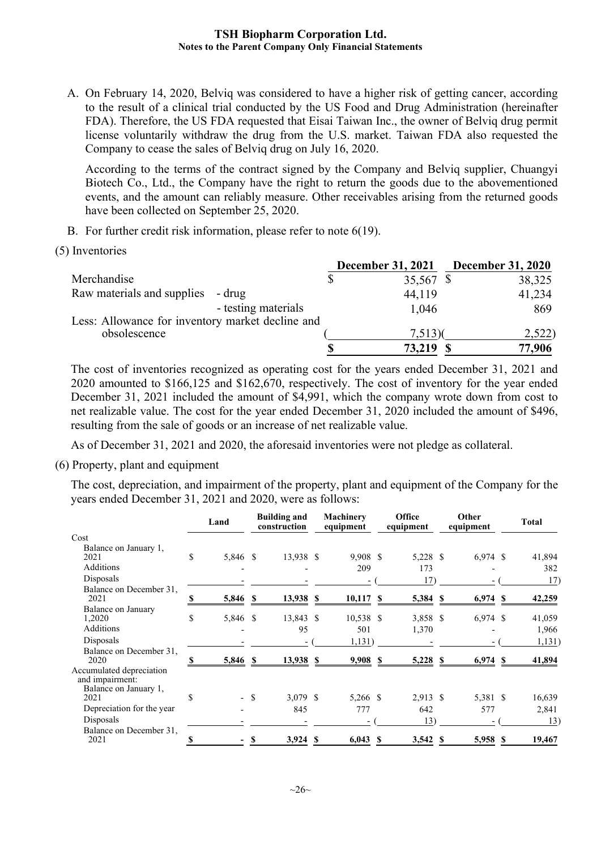A. On February 14, 2020, Belviq was considered to have a higher risk of getting cancer, according to the result of a clinical trial conducted by the US Food and Drug Administration (hereinafter FDA). Therefore, the US FDA requested that Eisai Taiwan Inc., the owner of Belviq drug permit license voluntarily withdraw the drug from the U.S. market. Taiwan FDA also requested the Company to cease the sales of Belviq drug on July 16, 2020.

According to the terms of the contract signed by the Company and Belviq supplier, Chuangyi Biotech Co., Ltd., the Company have the right to return the goods due to the abovementioned events, and the amount can reliably measure. Other receivables arising from the returned goods have been collected on September 25, 2020.

- B. For further credit risk information, please refer to note 6(19).
- (5) Inventories

|                                                  | <b>December 31, 2021</b> | <b>December 31, 2020</b> |
|--------------------------------------------------|--------------------------|--------------------------|
| Merchandise                                      | 35,567 \$                | 38,325                   |
| Raw materials and supplies<br>- drug             | 44,119                   | 41,234                   |
| - testing materials                              | 1,046                    | 869                      |
| Less: Allowance for inventory market decline and |                          |                          |
| obsolescence                                     | 7,513(                   | 2,522)                   |
|                                                  | 73,219                   | 77,906                   |

The cost of inventories recognized as operating cost for the years ended December 31, 2021 and 2020 amounted to \$166,125 and \$162,670, respectively. The cost of inventory for the year ended December 31, 2021 included the amount of \$4,991, which the company wrote down from cost to net realizable value. The cost for the year ended December 31, 2020 included the amount of \$496, resulting from the sale of goods or an increase of net realizable value.

As of December 31, 2021 and 2020, the aforesaid inventories were not pledge as collateral.

(6) Property, plant and equipment

The cost, depreciation, and impairment of the property, plant and equipment of the Company for the years ended December 31, 2021 and 2020, were as follows:

|                                                                              |    | Land     |      | <b>Building and</b><br>construction |    | <b>Machinery</b><br>equipment |   | Office<br>equipment | Other<br>equipment | <b>Total</b>  |
|------------------------------------------------------------------------------|----|----------|------|-------------------------------------|----|-------------------------------|---|---------------------|--------------------|---------------|
| Cost                                                                         |    |          |      |                                     |    |                               |   |                     |                    |               |
| Balance on January 1,<br>2021<br><b>Additions</b>                            | \$ | 5,846 \$ |      | 13,938 \$                           |    | $9,908$ \$<br>209             |   | 5,228 \$<br>173     | $6,974$ \$         | 41,894<br>382 |
| Disposals                                                                    |    |          |      |                                     |    | $\overline{\phantom{0}}$      |   | 17)                 |                    | 17)           |
| Balance on December 31,<br>2021                                              | S  | 5,846 \$ |      | 13,938 \$                           |    | $10,117$ \$                   |   | 5,384 \$            | $6,974$ \$         | 42,259        |
| Balance on January<br>1,2020                                                 | \$ | 5,846 \$ |      | 13,843 \$                           |    | 10,538 \$                     |   | 3,858 \$            | $6,974$ \$         | 41,059        |
| Additions                                                                    |    |          |      | 95                                  |    | 501                           |   | 1,370               |                    | 1,966         |
| Disposals                                                                    |    |          |      |                                     |    | 1,131)                        |   |                     |                    | 1,131)        |
| Balance on December 31,<br>2020                                              | \$ | 5,846 \$ |      | 13,938 \$                           |    | $9,908$ \$                    |   | 5,228 \$            | $6,974$ \$         | 41,894        |
| Accumulated depreciation<br>and impairment:<br>Balance on January 1,<br>2021 | \$ |          | - \$ | $3,079$ \$                          |    |                               |   | $2,913$ \$          |                    |               |
| Depreciation for the year                                                    |    |          |      | 845                                 |    | 5,266 \$<br>777               |   | 642                 | 5,381 \$<br>577    | 16,639        |
|                                                                              |    |          |      |                                     |    |                               |   |                     |                    | 2,841         |
| Disposals<br>Balance on December 31,                                         |    |          |      |                                     |    |                               |   | 13)                 |                    | 13)           |
| 2021                                                                         |    |          | \$   | 3,924                               | -S | 6,043                         | S | 3,542 \$            | 5,958 \$           | 19,467        |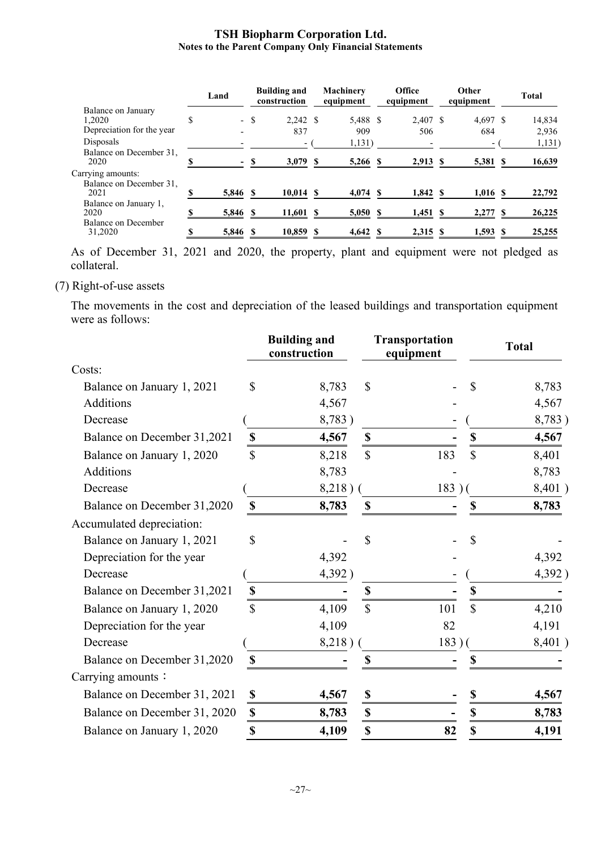|                                                      | Land           |        | <b>Building and</b><br>construction | <b>Machinery</b><br>equipment |    | Office<br>equipment | Other<br>equipment | <b>Total</b> |
|------------------------------------------------------|----------------|--------|-------------------------------------|-------------------------------|----|---------------------|--------------------|--------------|
| Balance on January                                   |                |        |                                     |                               |    |                     |                    |              |
| 1.2020                                               | \$             | $-$ \$ | 2.242S                              | 5,488 \$                      |    | 2,407 \$            | $4.697$ \$         | 14,834       |
| Depreciation for the year                            |                |        | 837                                 | 909                           |    | 506                 | 684                | 2,936        |
| Disposals                                            |                |        |                                     | 1,131)                        |    |                     |                    | 1,131)       |
| Balance on December 31,<br>2020                      |                |        | 3,079                               | 5,266                         |    | $2,913$ \$          | 5,381 \$           | 16,639       |
| Carrying amounts:<br>Balance on December 31.<br>2021 | 5,846 \$       |        | $10,014$ \$                         | 4,074                         | -S | $1,842 \text{ }$ \$ | $1,016$ \$         | 22,792       |
|                                                      |                |        |                                     |                               |    |                     |                    |              |
| Balance on January 1,<br>2020                        | \$<br>5,846 \$ |        | 11,601 \$                           | 5,050                         | S  | $1,451$ \$          | 2,277 \$           | 26,225       |
| Balance on December<br>31,2020                       | 5,846          |        | 10,859                              | 4,642                         | -8 | 2,315 \$            | $1,593$ \$         | 25,255       |

As of December 31, 2021 and 2020, the property, plant and equipment were not pledged as collateral.

## (7) Right-of-use assets

The movements in the cost and depreciation of the leased buildings and transportation equipment were as follows:

|                              |                           | <b>Building and</b><br>construction |                           | <b>Transportation</b><br>equipment |               | <b>Total</b> |
|------------------------------|---------------------------|-------------------------------------|---------------------------|------------------------------------|---------------|--------------|
| Costs:                       |                           |                                     |                           |                                    |               |              |
| Balance on January 1, 2021   | \$                        | 8,783                               | $\mathcal{S}$             |                                    | \$            | 8,783        |
| <b>Additions</b>             |                           | 4,567                               |                           |                                    |               | 4,567        |
| Decrease                     |                           | 8,783)                              |                           |                                    |               | 8,783)       |
| Balance on December 31,2021  | \$                        | 4,567                               | $\mathbb S$               |                                    | \$            | 4,567        |
| Balance on January 1, 2020   | $\mathbb{S}$              | 8,218                               | $\mathbb{S}$              | 183                                | $\mathbb{S}$  | 8,401        |
| <b>Additions</b>             |                           | 8,783                               |                           |                                    |               | 8,783        |
| Decrease                     |                           | 8,218)                              |                           | 183                                |               | 8,401)       |
| Balance on December 31,2020  | $\boldsymbol{\mathsf{S}}$ | 8,783                               | \$                        |                                    |               | 8,783        |
| Accumulated depreciation:    |                           |                                     |                           |                                    |               |              |
| Balance on January 1, 2021   | \$                        |                                     | \$                        |                                    | \$            |              |
| Depreciation for the year    |                           | 4,392                               |                           |                                    |               | 4,392        |
| Decrease                     |                           | 4,392)                              |                           |                                    |               | 4,392)       |
| Balance on December 31,2021  | $\mathbb S$               |                                     | \$                        |                                    | \$            |              |
| Balance on January 1, 2020   | $\mathbf S$               | 4,109                               | $\mathbf{\$}$             | 101                                | $\mathcal{S}$ | 4,210        |
| Depreciation for the year    |                           | 4,109                               |                           | 82                                 |               | 4,191        |
| Decrease                     |                           | 8,218)                              |                           | $183)$ (                           |               | 8,401)       |
| Balance on December 31,2020  | $\mathbf S$               |                                     | \$                        |                                    | \$            |              |
| Carrying amounts:            |                           |                                     |                           |                                    |               |              |
| Balance on December 31, 2021 | \$                        | 4,567                               | $\boldsymbol{\mathsf{S}}$ |                                    | \$            | 4,567        |
| Balance on December 31, 2020 | \$                        | 8,783                               | $\boldsymbol{\mathsf{S}}$ |                                    | \$            | 8,783        |
| Balance on January 1, 2020   | \$                        | 4,109                               | $\mathbb{S}$              | 82                                 | \$            | 4,191        |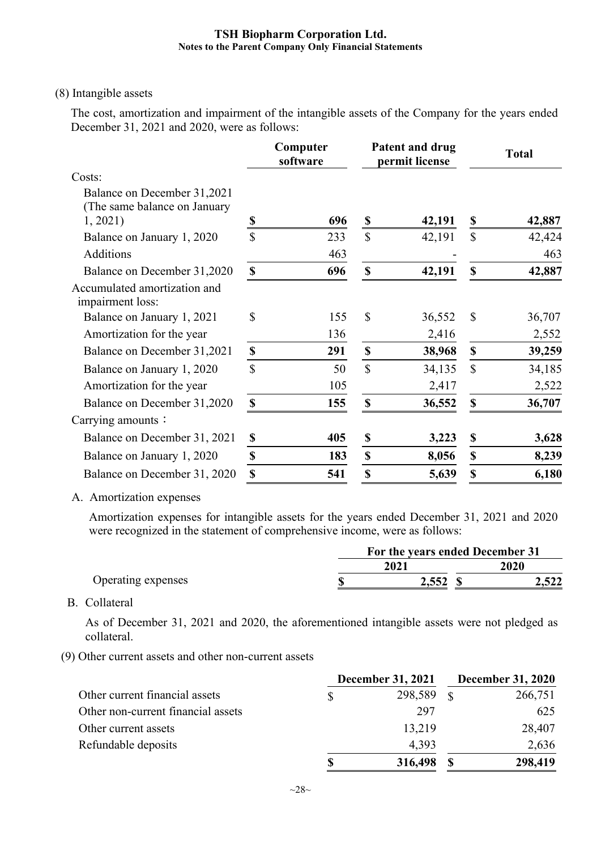#### (8) Intangible assets

The cost, amortization and impairment of the intangible assets of the Company for the years ended December 31, 2021 and 2020, were as follows:

|                                                             |                    | Computer<br>software |                           | Patent and drug<br>permit license | <b>Total</b>  |        |  |
|-------------------------------------------------------------|--------------------|----------------------|---------------------------|-----------------------------------|---------------|--------|--|
| Costs:                                                      |                    |                      |                           |                                   |               |        |  |
| Balance on December 31,2021<br>(The same balance on January |                    |                      |                           |                                   |               |        |  |
| 1, 2021                                                     | \$                 | 696                  | \$                        | 42,191                            | \$            | 42,887 |  |
| Balance on January 1, 2020                                  | \$                 | 233                  | $\mathbb{S}$              | 42,191                            | $\mathbb{S}$  | 42,424 |  |
| Additions                                                   |                    | 463                  |                           |                                   |               | 463    |  |
| Balance on December 31,2020                                 | \$                 | 696                  | $\boldsymbol{\mathsf{S}}$ | 42,191                            | \$            | 42,887 |  |
| Accumulated amortization and<br>impairment loss:            |                    |                      |                           |                                   |               |        |  |
| Balance on January 1, 2021                                  | \$                 | 155                  | $\mathbb{S}$              | 36,552                            | $\mathcal{S}$ | 36,707 |  |
| Amortization for the year                                   |                    | 136                  |                           | 2,416                             |               | 2,552  |  |
| Balance on December 31,2021                                 | $\pmb{\mathbb{S}}$ | 291                  | $\boldsymbol{\mathsf{S}}$ | 38,968                            | \$            | 39,259 |  |
| Balance on January 1, 2020                                  | \$                 | 50                   | $\mathbb{S}$              | 34,135                            | $\mathbb{S}$  | 34,185 |  |
| Amortization for the year                                   |                    | 105                  |                           | 2,417                             |               | 2,522  |  |
| Balance on December 31,2020                                 | \$                 | 155                  | $\boldsymbol{\mathsf{S}}$ | 36,552                            | \$            | 36,707 |  |
| Carrying amounts:                                           |                    |                      |                           |                                   |               |        |  |
| Balance on December 31, 2021                                | \$                 | 405                  | \$                        | 3,223                             | \$            | 3,628  |  |
| Balance on January 1, 2020                                  | \$                 | 183                  | \$                        | 8,056                             | \$            | 8,239  |  |
| Balance on December 31, 2020                                | \$                 | 541                  | \$                        | 5,639                             | \$            | 6,180  |  |

A. Amortization expenses

Amortization expenses for intangible assets for the years ended December 31, 2021 and 2020 were recognized in the statement of comprehensive income, were as follows:

|                    | For the years ended December 31 |       |  |             |  |  |
|--------------------|---------------------------------|-------|--|-------------|--|--|
|                    |                                 | 2021  |  | <b>2020</b> |  |  |
| Operating expenses |                                 | 2,552 |  | 2,522       |  |  |

B. Collateral

As of December 31, 2021 and 2020, the aforementioned intangible assets were not pledged as collateral.

(9) Other current assets and other non-current assets

|                                    | <b>December 31, 2021</b> | <b>December 31, 2020</b> |         |  |
|------------------------------------|--------------------------|--------------------------|---------|--|
| Other current financial assets     | 298,589                  | $\mathcal{R}$            | 266,751 |  |
| Other non-current financial assets | 297                      |                          | 625     |  |
| Other current assets               | 13,219                   |                          | 28,407  |  |
| Refundable deposits                | 4,393                    |                          | 2,636   |  |
|                                    | 316,498                  |                          | 298,419 |  |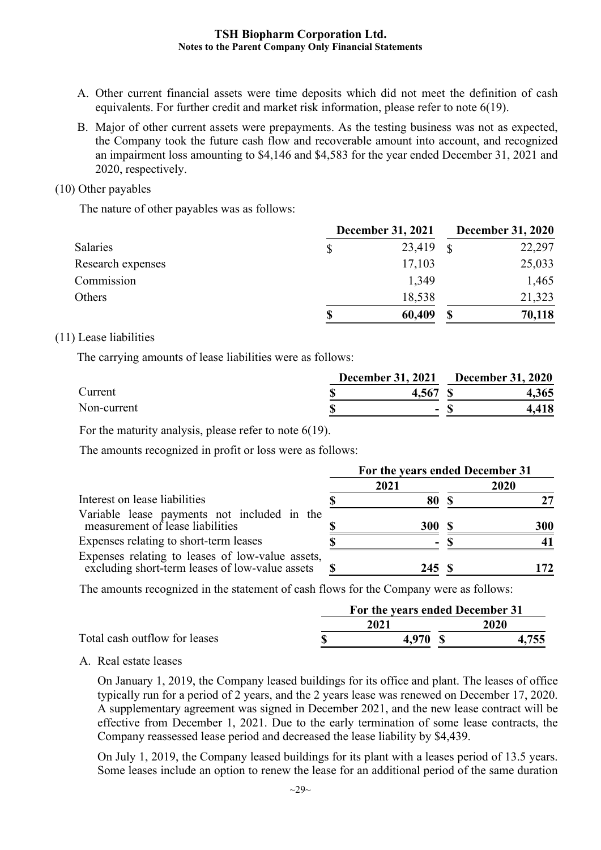- A. Other current financial assets were time deposits which did not meet the definition of cash equivalents. For further credit and market risk information, please refer to note 6(19).
- B. Major of other current assets were prepayments. As the testing business was not as expected, the Company took the future cash flow and recoverable amount into account, and recognized an impairment loss amounting to \$4,146 and \$4,583 for the year ended December 31, 2021 and 2020, respectively.

#### (10) Other payables

The nature of other payables was as follows:

|                   | <b>December 31, 2021</b> |        | <b>December 31, 2020</b> |        |  |
|-------------------|--------------------------|--------|--------------------------|--------|--|
| Salaries          |                          | 23,419 | $\mathcal{S}$            | 22,297 |  |
| Research expenses |                          | 17,103 |                          | 25,033 |  |
| Commission        |                          | 1,349  |                          | 1,465  |  |
| Others            |                          | 18,538 |                          | 21,323 |  |
|                   |                          | 60,409 | \$                       | 70,118 |  |

## (11) Lease liabilities

The carrying amounts of lease liabilities were as follows:

|             | December 31, 2021 | <b>December 31, 2020</b> |  |       |
|-------------|-------------------|--------------------------|--|-------|
| Current     |                   | 4.567                    |  | 4,365 |
| Non-current |                   | $\sim$                   |  | 4,418 |

For the maturity analysis, please refer to note 6(19).

The amounts recognized in profit or loss were as follows:

|                                                                                                     | For the years ended December 31 |            |  |      |  |
|-----------------------------------------------------------------------------------------------------|---------------------------------|------------|--|------|--|
|                                                                                                     |                                 | 2021       |  | 2020 |  |
| Interest on lease liabilities                                                                       |                                 | 80         |  |      |  |
| Variable lease payments not included in the<br>measurement of lease liabilities                     |                                 | <b>300</b> |  | 300  |  |
| Expenses relating to short-term leases                                                              |                                 | ٠          |  |      |  |
| Expenses relating to leases of low-value assets,<br>excluding short-term leases of low-value assets |                                 | 245S       |  | 172  |  |

The amounts recognized in the statement of cash flows for the Company were as follows:

|                               | For the years ended December 31 |       |
|-------------------------------|---------------------------------|-------|
|                               | 2021                            | 2020  |
| Total cash outflow for leases | 4.970                           | 1 7EE |

A. Real estate leases

On January 1, 2019, the Company leased buildings for its office and plant. The leases of office typically run for a period of 2 years, and the 2 years lease was renewed on December 17, 2020. A supplementary agreement was signed in December 2021, and the new lease contract will be effective from December 1, 2021. Due to the early termination of some lease contracts, the Company reassessed lease period and decreased the lease liability by \$4,439.

On July 1, 2019, the Company leased buildings for its plant with a leases period of 13.5 years. Some leases include an option to renew the lease for an additional period of the same duration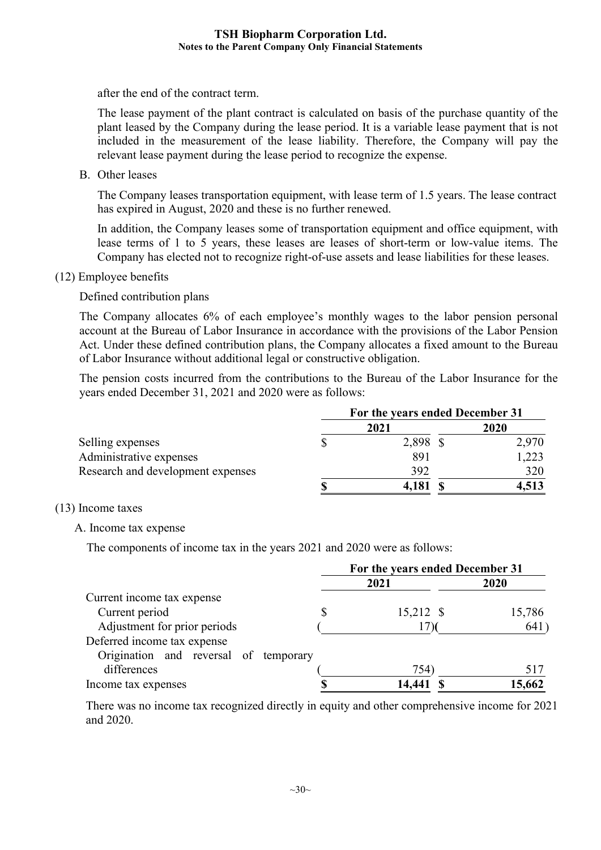after the end of the contract term.

The lease payment of the plant contract is calculated on basis of the purchase quantity of the plant leased by the Company during the lease period. It is a variable lease payment that is not included in the measurement of the lease liability. Therefore, the Company will pay the relevant lease payment during the lease period to recognize the expense.

B. Other leases

The Company leases transportation equipment, with lease term of 1.5 years. The lease contract has expired in August, 2020 and these is no further renewed.

In addition, the Company leases some of transportation equipment and office equipment, with lease terms of 1 to 5 years, these leases are leases of short-term or low-value items. The Company has elected not to recognize right-of-use assets and lease liabilities for these leases.

(12) Employee benefits

Defined contribution plans

The Company allocates 6% of each employee's monthly wages to the labor pension personal account at the Bureau of Labor Insurance in accordance with the provisions of the Labor Pension Act. Under these defined contribution plans, the Company allocates a fixed amount to the Bureau of Labor Insurance without additional legal or constructive obligation.

The pension costs incurred from the contributions to the Bureau of the Labor Insurance for the years ended December 31, 2021 and 2020 were as follows:

|                                   | For the years ended December 31 |          |  |       |  |
|-----------------------------------|---------------------------------|----------|--|-------|--|
|                                   |                                 | 2021     |  | 2020  |  |
| Selling expenses                  |                                 | 2,898 \$ |  | 2,970 |  |
| Administrative expenses           |                                 | 891      |  | 1,223 |  |
| Research and development expenses |                                 | 392      |  | 320   |  |
|                                   |                                 | 4,181    |  | 4,513 |  |

#### (13) Income taxes

#### A. Income tax expense

The components of income tax in the years 2021 and 2020 were as follows:

|                                       | For the years ended December 31 |           |        |  |  |
|---------------------------------------|---------------------------------|-----------|--------|--|--|
|                                       |                                 | 2021      | 2020   |  |  |
| Current income tax expense            |                                 |           |        |  |  |
| Current period                        | \$                              | 15,212 \$ | 15,786 |  |  |
| Adjustment for prior periods          |                                 |           | 641    |  |  |
| Deferred income tax expense           |                                 |           |        |  |  |
| Origination and reversal of temporary |                                 |           |        |  |  |
| differences                           |                                 | 754)      | 517    |  |  |
| Income tax expenses                   |                                 | 14,441    | 15,662 |  |  |

There was no income tax recognized directly in equity and other comprehensive income for 2021 and 2020.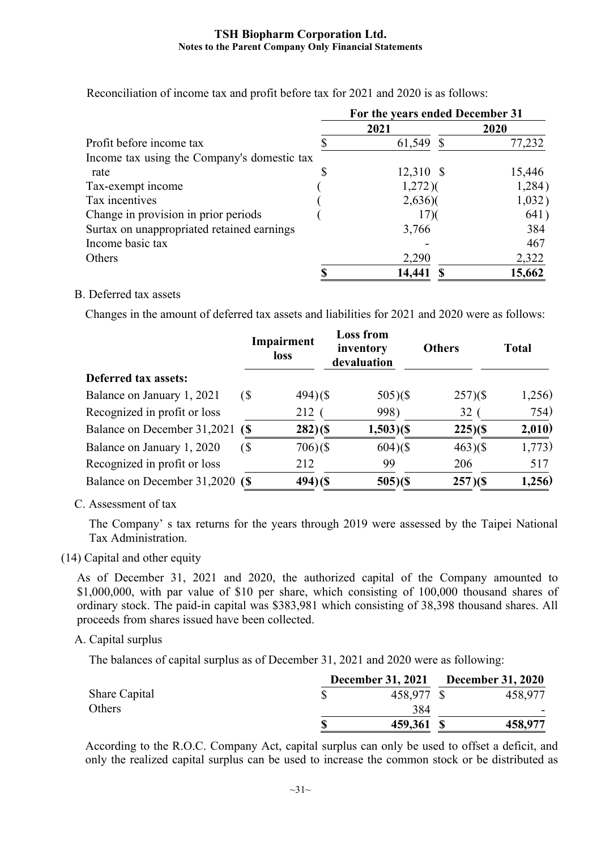|                                             | For the years ended December 31 |        |  |  |  |
|---------------------------------------------|---------------------------------|--------|--|--|--|
|                                             | 2021                            | 2020   |  |  |  |
| Profit before income tax                    | 61,549                          | 77,232 |  |  |  |
| Income tax using the Company's domestic tax |                                 |        |  |  |  |
| rate                                        | 12,310 \$                       | 15,446 |  |  |  |
| Tax-exempt income                           | $1,272$ )(                      | 1,284) |  |  |  |
| Tax incentives                              | $2,636$ )                       | 1,032) |  |  |  |
| Change in provision in prior periods        | 17 <sup>2</sup>                 | 641)   |  |  |  |
| Surtax on unappropriated retained earnings  | 3,766                           | 384    |  |  |  |
| Income basic tax                            |                                 | 467    |  |  |  |
| Others                                      | 2,290                           | 2,322  |  |  |  |
|                                             | 14,441                          | 15,662 |  |  |  |

Reconciliation of income tax and profit before tax for 2021 and 2020 is as follows:

#### B. Deferred tax assets

Changes in the amount of deferred tax assets and liabilities for 2021 and 2020 were as follows:

|                                 |                            | Impairment<br>loss | <b>Loss from</b><br>inventory<br>devaluation | <b>Others</b> | <b>Total</b> |
|---------------------------------|----------------------------|--------------------|----------------------------------------------|---------------|--------------|
| Deferred tax assets:            |                            |                    |                                              |               |              |
| Balance on January 1, 2021      | $\left( \text{\$} \right)$ | $494)(\$$          | $505)(\$$                                    | $257)(\$$     | 1,256)       |
| Recognized in profit or loss    |                            | 212                | 998)                                         | 32            | 754)         |
| Balance on December 31,2021     | $\sqrt{S}$                 | $282)(\$$          | $1,503$ )(\$                                 | $225)(\$$     | 2,010)       |
| Balance on January 1, 2020      | $\left( \text{\$} \right)$ | $706($ \$          | $604)(\$$                                    | 463(          | 1,773)       |
| Recognized in profit or loss    |                            | 212                | 99                                           | 206           | 517          |
| Balance on December 31,2020 (\$ |                            | $494)($ \$         | $505)(\$$                                    | $257)(\$$     | 1,256)       |

## C. Assessment of tax

The Company' s tax returns for the years through 2019 were assessed by the Taipei National Tax Administration.

#### (14) Capital and other equity

As of December 31, 2021 and 2020, the authorized capital of the Company amounted to \$1,000,000, with par value of \$10 per share, which consisting of 100,000 thousand shares of ordinary stock. The paid-in capital was \$383,981 which consisting of 38,398 thousand shares. All proceeds from shares issued have been collected.

#### A. Capital surplus

The balances of capital surplus as of December 31, 2021 and 2020 were as following:

|               | December 31, 2021 December 31, 2020 |         |
|---------------|-------------------------------------|---------|
| Share Capital | 458,977 \$                          | 458,977 |
| Others        | 384                                 |         |
|               | \$<br>459,361 \$                    | 458,977 |

According to the R.O.C. Company Act, capital surplus can only be used to offset a deficit, and only the realized capital surplus can be used to increase the common stock or be distributed as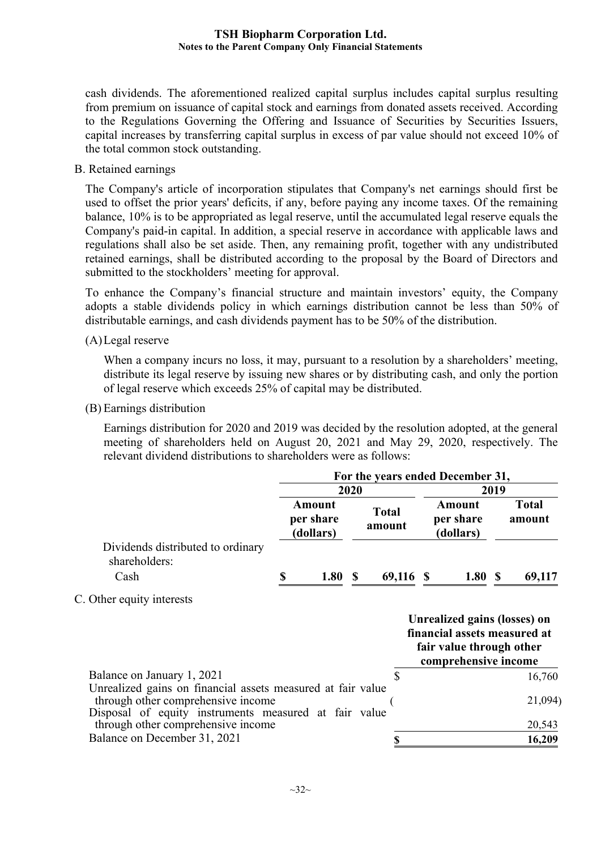cash dividends. The aforementioned realized capital surplus includes capital surplus resulting from premium on issuance of capital stock and earnings from donated assets received. According to the Regulations Governing the Offering and Issuance of Securities by Securities Issuers, capital increases by transferring capital surplus in excess of par value should not exceed 10% of the total common stock outstanding.

B. Retained earnings

The Company's article of incorporation stipulates that Company's net earnings should first be used to offset the prior years' deficits, if any, before paying any income taxes. Of the remaining balance, 10% is to be appropriated as legal reserve, until the accumulated legal reserve equals the Company's paid-in capital. In addition, a special reserve in accordance with applicable laws and regulations shall also be set aside. Then, any remaining profit, together with any undistributed retained earnings, shall be distributed according to the proposal by the Board of Directors and submitted to the stockholders' meeting for approval.

To enhance the Company's financial structure and maintain investors' equity, the Company adopts a stable dividends policy in which earnings distribution cannot be less than 50% of distributable earnings, and cash dividends payment has to be 50% of the distribution.

(A)Legal reserve

When a company incurs no loss, it may, pursuant to a resolution by a shareholders' meeting, distribute its legal reserve by issuing new shares or by distributing cash, and only the portion of legal reserve which exceeds 25% of capital may be distributed.

(B) Earnings distribution

Earnings distribution for 2020 and 2019 was decided by the resolution adopted, at the general meeting of shareholders held on August 20, 2021 and May 29, 2020, respectively. The relevant dividend distributions to shareholders were as follows:

|                                                                                                                                                            | For the years ended December 31, |                                         |  |                        |                                                                                                                  |       |                        |
|------------------------------------------------------------------------------------------------------------------------------------------------------------|----------------------------------|-----------------------------------------|--|------------------------|------------------------------------------------------------------------------------------------------------------|-------|------------------------|
|                                                                                                                                                            |                                  | 2020                                    |  |                        |                                                                                                                  | 2019  |                        |
|                                                                                                                                                            |                                  | <b>Amount</b><br>per share<br>(dollars) |  | <b>Total</b><br>amount | Amount<br>per share<br>(dollars)                                                                                 |       | <b>Total</b><br>amount |
| Dividends distributed to ordinary<br>shareholders:                                                                                                         |                                  |                                         |  |                        |                                                                                                                  |       |                        |
| Cash                                                                                                                                                       | S                                | 1.80S                                   |  | 69,116 \$              |                                                                                                                  | 1.80S | 69,117                 |
| C. Other equity interests                                                                                                                                  |                                  |                                         |  |                        |                                                                                                                  |       |                        |
|                                                                                                                                                            |                                  |                                         |  |                        | Unrealized gains (losses) on<br>financial assets measured at<br>fair value through other<br>comprehensive income |       |                        |
| Balance on January 1, 2021                                                                                                                                 |                                  |                                         |  | $\mathbb{S}$           |                                                                                                                  |       | 16,760                 |
| Unrealized gains on financial assets measured at fair value<br>through other comprehensive income<br>Disposal of equity instruments measured at fair value |                                  |                                         |  |                        |                                                                                                                  |       | 21,094)                |
| through other comprehensive income                                                                                                                         |                                  |                                         |  |                        |                                                                                                                  |       | 20,543                 |
| Balance on December 31, 2021                                                                                                                               |                                  |                                         |  | \$                     |                                                                                                                  |       | 16,209                 |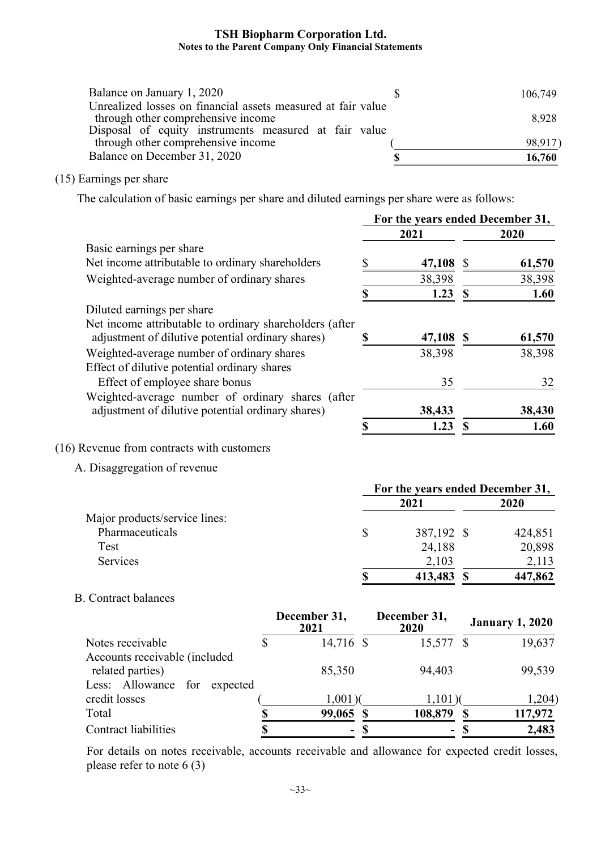| Balance on January 1, 2020                                   | 106,749 |
|--------------------------------------------------------------|---------|
| Unrealized losses on financial assets measured at fair value |         |
| through other comprehensive income                           | 8,928   |
| Disposal of equity instruments measured at fair value        |         |
| through other comprehensive income                           | 98,917  |
| Balance on December 31, 2020                                 | 16,760  |

## (15) Earnings per share

The calculation of basic earnings per share and diluted earnings per share were as follows:

|                                                         |           | For the years ended December 31, |                           |                        |
|---------------------------------------------------------|-----------|----------------------------------|---------------------------|------------------------|
|                                                         |           | 2021                             |                           | 2020                   |
| Basic earnings per share                                |           |                                  |                           |                        |
| Net income attributable to ordinary shareholders        | \$        | 47,108                           | $\mathcal{S}$             | 61,570                 |
| Weighted-average number of ordinary shares              |           | 38,398                           |                           | 38,398                 |
|                                                         | \$        | 1.23                             | $\mathbf S$               | 1.60                   |
| Diluted earnings per share                              |           |                                  |                           |                        |
| Net income attributable to ordinary shareholders (after |           |                                  |                           |                        |
| adjustment of dilutive potential ordinary shares)       | \$        | 47,108                           | $\boldsymbol{\mathsf{S}}$ | 61,570                 |
| Weighted-average number of ordinary shares              |           | 38,398                           |                           | 38,398                 |
| Effect of dilutive potential ordinary shares            |           |                                  |                           |                        |
| Effect of employee share bonus                          |           | 35                               |                           | 32                     |
| Weighted-average number of ordinary shares (after       |           |                                  |                           |                        |
| adjustment of dilutive potential ordinary shares)       |           | 38,433                           |                           | 38,430                 |
|                                                         | \$        | 1.23                             | $\boldsymbol{\mathsf{S}}$ | 1.60                   |
| A. Disaggregation of revenue                            |           | For the years ended December 31, |                           |                        |
|                                                         |           | 2021                             |                           | 2020                   |
| Major products/service lines:                           |           |                                  |                           |                        |
| Pharmaceuticals                                         | \$        | 387,192                          | $\mathbb{S}$              | 424,851                |
| Test                                                    |           | 24,188                           |                           | 20,898                 |
| Services                                                |           | 2,103                            |                           | 2,113                  |
|                                                         | \$        | 413,483                          | $\mathbb{S}$              | 447,862                |
| <b>B.</b> Contract balances                             |           |                                  |                           |                        |
| December 31,<br>2021                                    |           |                                  |                           |                        |
|                                                         |           | December 31,<br>2020             |                           | <b>January 1, 2020</b> |
| $\mathbb{S}$<br>Notes receivable                        | 14,716 \$ | 15,577                           | $\mathcal{S}$             |                        |
| Accounts receivable (included                           |           |                                  |                           |                        |
| related parties)<br>$\sim$                              | 85,350    | 94,403                           |                           | 19,637<br>99,539       |

| Less: Allowance for expected |                          |         |         |
|------------------------------|--------------------------|---------|---------|
| credit losses                | 1.001                    | 1.101   | ,204)   |
| Total                        | 99,065 \$                | 108,879 | 117.972 |
| Contract liabilities         | $\overline{\phantom{a}}$ | $\sim$  | 2,483   |

For details on notes receivable, accounts receivable and allowance for expected credit losses, please refer to note 6 (3)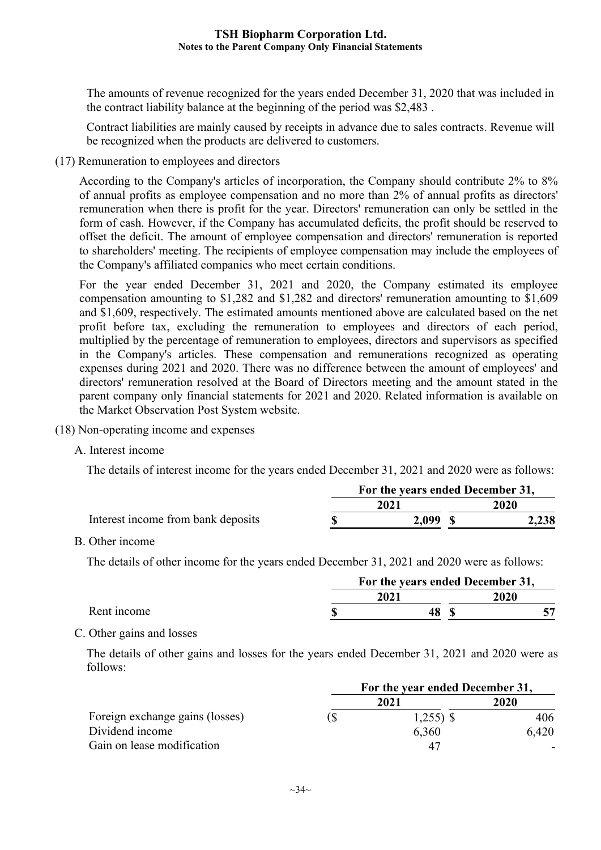The amounts of revenue recognized for the years ended December 31, 2020 that was included in the contract liability balance at the beginning of the period was \$2,483 .

Contract liabilities are mainly caused by receipts in advance due to sales contracts. Revenue will be recognized when the products are delivered to customers.

(17) Remuneration to employees and directors

According to the Company's articles of incorporation, the Company should contribute 2% to 8% of annual profits as employee compensation and no more than 2% of annual profits as directors' remuneration when there is profit for the year. Directors' remuneration can only be settled in the form of cash. However, if the Company has accumulated deficits, the profit should be reserved to offset the deficit. The amount of employee compensation and directors' remuneration is reported to shareholders' meeting. The recipients of employee compensation may include the employees of the Company's affiliated companies who meet certain conditions.

For the year ended December 31, 2021 and 2020, the Company estimated its employee compensation amounting to \$1,282 and \$1,282 and directors' remuneration amounting to \$1,609 and \$1,609, respectively. The estimated amounts mentioned above are calculated based on the net profit before tax, excluding the remuneration to employees and directors of each period, multiplied by the percentage of remuneration to employees, directors and supervisors as specified in the Company's articles. These compensation and remunerations recognized as operating expenses during 2021 and 2020. There was no difference between the amount of employees' and directors' remuneration resolved at the Board of Directors meeting and the amount stated in the parent company only financial statements for 2021 and 2020. Related information is available on the Market Observation Post System website.

- (18) Non-operating income and expenses
	- A. Interest income

The details of interest income for the years ended December 31, 2021 and 2020 were as follows:

|                                    |       | For the years ended December 31, |       |  |  |
|------------------------------------|-------|----------------------------------|-------|--|--|
|                                    | 2021  | 2020                             |       |  |  |
| Interest income from bank deposits | 2.099 |                                  | 2,238 |  |  |

B. Other income

The details of other income for the years ended December 31, 2021 and 2020 were as follows:

|             | For the years ended December 31, |      |  |             |  |  |  |
|-------------|----------------------------------|------|--|-------------|--|--|--|
|             |                                  | 2021 |  | <b>2020</b> |  |  |  |
| Rent income |                                  |      |  |             |  |  |  |

## C. Other gains and losses

The details of other gains and losses for the years ended December 31, 2021 and 2020 were as follows:

|                                 | For the year ended December 31, |              |       |  |  |  |  |
|---------------------------------|---------------------------------|--------------|-------|--|--|--|--|
|                                 |                                 | 2021         | 2020  |  |  |  |  |
| Foreign exchange gains (losses) |                                 | $1,255$ ) \$ | 406   |  |  |  |  |
| Dividend income                 |                                 | 6,360        | 6,420 |  |  |  |  |
| Gain on lease modification      |                                 | 47           |       |  |  |  |  |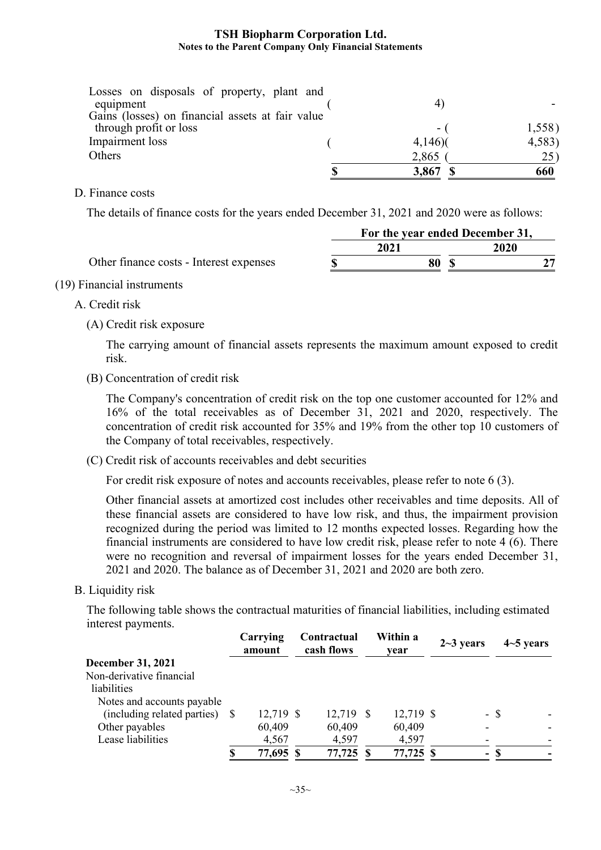| Losses on disposals of property, plant and       |           |        |
|--------------------------------------------------|-----------|--------|
| equipment                                        |           |        |
| Gains (losses) on financial assets at fair value |           |        |
| through profit or loss                           | - 1       | 1,558) |
| Impairment loss                                  | $4,146$ ) | 4,583  |
| Others                                           | 2,865     | 25)    |
|                                                  | 3,867 \$  | 660    |

D. Finance costs

The details of finance costs for the years ended December 31, 2021 and 2020 were as follows:

|                                         | For the year ended December 31, |      |  |             |  |  |  |
|-----------------------------------------|---------------------------------|------|--|-------------|--|--|--|
|                                         |                                 | 2021 |  | <b>2020</b> |  |  |  |
| Other finance costs - Interest expenses |                                 | 80   |  |             |  |  |  |

#### (19) Financial instruments

#### A. Credit risk

(A) Credit risk exposure

The carrying amount of financial assets represents the maximum amount exposed to credit risk.

(B) Concentration of credit risk

The Company's concentration of credit risk on the top one customer accounted for 12% and 16% of the total receivables as of December 31, 2021 and 2020, respectively. The concentration of credit risk accounted for 35% and 19% from the other top 10 customers of the Company of total receivables, respectively.

(C) Credit risk of accounts receivables and debt securities

For credit risk exposure of notes and accounts receivables, please refer to note 6 (3).

Other financial assets at amortized cost includes other receivables and time deposits. All of these financial assets are considered to have low risk, and thus, the impairment provision recognized during the period was limited to 12 months expected losses. Regarding how the financial instruments are considered to have low credit risk, please refer to note 4 (6). There were no recognition and reversal of impairment losses for the years ended December 31, 2021 and 2020. The balance as of December 31, 2021 and 2020 are both zero.

B. Liquidity risk

The following table shows the contractual maturities of financial liabilities, including estimated interest payments.

|                                | Carrying<br>amount |  | Contractual<br>cash flows | Within a<br>vear |  | $2 - 3$ years            | $4-5$ years |                |
|--------------------------------|--------------------|--|---------------------------|------------------|--|--------------------------|-------------|----------------|
| <b>December 31, 2021</b>       |                    |  |                           |                  |  |                          |             |                |
| Non-derivative financial       |                    |  |                           |                  |  |                          |             |                |
| liabilities                    |                    |  |                           |                  |  |                          |             |                |
| Notes and accounts payable     |                    |  |                           |                  |  |                          |             |                |
| (including related parties) \$ | 12,719 \$          |  | 12,719 \$                 | 12,719 \$        |  |                          | $-$ \$      |                |
| Other payables                 | 60,409             |  | 60,409                    | 60,409           |  | $\overline{\phantom{0}}$ |             |                |
| Lease liabilities              | 4,567              |  | 4,597                     | 4,597            |  | $\overline{\phantom{a}}$ |             | $\overline{a}$ |
|                                | 77,695 \$          |  | 77,725 \$                 | 77,725 \$        |  |                          | $-$ \$      |                |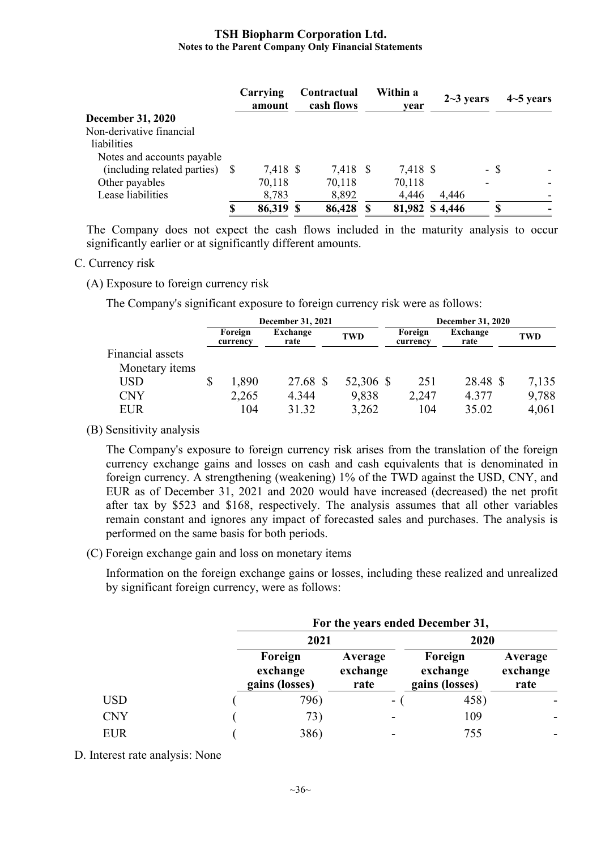|                                | Carrying<br>amount | Contractual<br>cash flows | Within a<br>year | $2 - 3$ years |      | $4-5$ years |
|--------------------------------|--------------------|---------------------------|------------------|---------------|------|-------------|
| <b>December 31, 2020</b>       |                    |                           |                  |               |      |             |
| Non-derivative financial       |                    |                           |                  |               |      |             |
| liabilities                    |                    |                           |                  |               |      |             |
| Notes and accounts payable     |                    |                           |                  |               |      |             |
| (including related parties) \$ | 7,418 \$           | 7,418 \$                  | 7,418 \$         |               | - \$ |             |
| Other payables                 | 70,118             | 70,118                    | 70,118           |               |      |             |
| Lease liabilities              | 8,783              | 8,892                     | 4,446            | 4,446         |      |             |
|                                | 86,319 \$          | 86,428                    | 81,982 \$4,446   |               | S.   |             |

The Company does not expect the cash flows included in the maturity analysis to occur significantly earlier or at significantly different amounts.

#### C. Currency risk

(A) Exposure to foreign currency risk

The Company's significant exposure to foreign currency risk were as follows:

|                  | December 31, 2021   |                  |  |            |  | December 31, 2020   |                  |       |  |  |
|------------------|---------------------|------------------|--|------------|--|---------------------|------------------|-------|--|--|
|                  | Foreign<br>currency | Exchange<br>rate |  | <b>TWD</b> |  | Foreign<br>currency | Exchange<br>rate | TWD   |  |  |
| Financial assets |                     |                  |  |            |  |                     |                  |       |  |  |
| Monetary items   |                     |                  |  |            |  |                     |                  |       |  |  |
| USD              | 1,890               | 27.68 \$         |  | 52,306 \$  |  | 251                 | 28.48 \$         | 7,135 |  |  |
| CNY              | 2,265               | 4.344            |  | 9,838      |  | 2,247               | 4.377            | 9,788 |  |  |
| <b>EUR</b>       | 104                 | 31.32            |  | 3,262      |  | 104                 | 35.02            | 4,061 |  |  |

(B) Sensitivity analysis

The Company's exposure to foreign currency risk arises from the translation of the foreign currency exchange gains and losses on cash and cash equivalents that is denominated in foreign currency. A strengthening (weakening) 1% of the TWD against the USD, CNY, and EUR as of December 31, 2021 and 2020 would have increased (decreased) the net profit after tax by \$523 and \$168, respectively. The analysis assumes that all other variables remain constant and ignores any impact of forecasted sales and purchases. The analysis is performed on the same basis for both periods.

(C) Foreign exchange gain and loss on monetary items

Information on the foreign exchange gains or losses, including these realized and unrealized by significant foreign currency, were as follows:

|            | For the years ended December 31,      |                             |                                       |                             |  |  |  |  |  |  |  |
|------------|---------------------------------------|-----------------------------|---------------------------------------|-----------------------------|--|--|--|--|--|--|--|
|            | 2021                                  |                             | 2020                                  |                             |  |  |  |  |  |  |  |
|            | Foreign<br>exchange<br>gains (losses) | Average<br>exchange<br>rate | Foreign<br>exchange<br>gains (losses) | Average<br>exchange<br>rate |  |  |  |  |  |  |  |
| <b>USD</b> | 796)                                  | $\sim$                      | 458)                                  |                             |  |  |  |  |  |  |  |
| <b>CNY</b> | 73)                                   |                             | 109                                   |                             |  |  |  |  |  |  |  |
| <b>EUR</b> | 386)                                  |                             | 755                                   |                             |  |  |  |  |  |  |  |

D. Interest rate analysis: None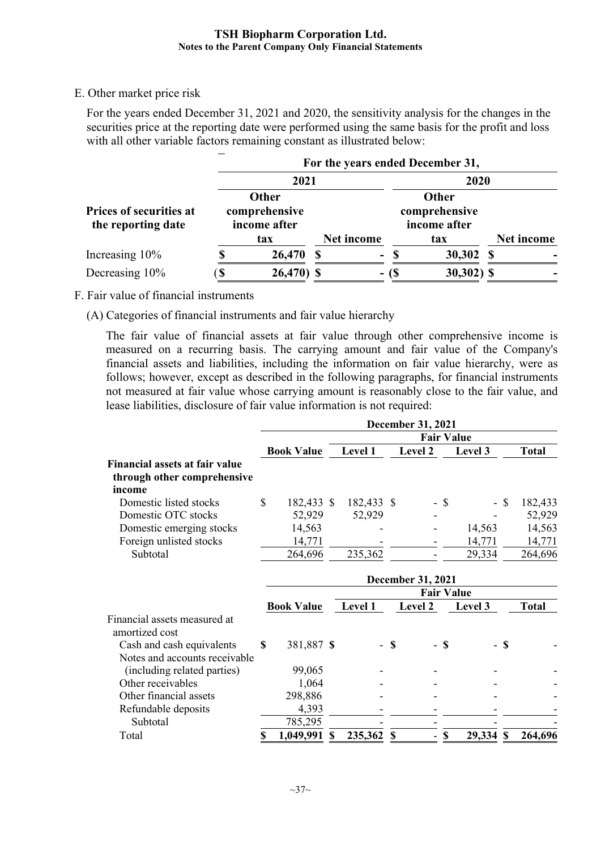## E. Other market price risk

For the years ended December 31, 2021 and 2020, the sensitivity analysis for the changes in the securities price at the reporting date were performed using the same basis for the profit and loss with all other variable factors remaining constant as illustrated below:

|                                                      | For the years ended December 31, |                                        |            |          |                                        |            |  |  |  |  |  |  |
|------------------------------------------------------|----------------------------------|----------------------------------------|------------|----------|----------------------------------------|------------|--|--|--|--|--|--|
|                                                      |                                  | 2021                                   |            |          | 2020                                   |            |  |  |  |  |  |  |
| <b>Prices of securities at</b><br>the reporting date |                                  | Other<br>comprehensive<br>income after |            |          | Other<br>comprehensive<br>income after |            |  |  |  |  |  |  |
|                                                      |                                  | tax                                    | Net income |          | tax                                    | Net income |  |  |  |  |  |  |
| Increasing 10%                                       |                                  | 26,470                                 |            | -8<br>Ξ. | 30,302                                 | -SS        |  |  |  |  |  |  |
| Decreasing 10%                                       | ۰D                               | 26,470) \$                             |            | - (\$    | $30,302)$ \$                           |            |  |  |  |  |  |  |

F. Fair value of financial instruments

(A) Categories of financial instruments and fair value hierarchy

The fair value of financial assets at fair value through other comprehensive income is measured on a recurring basis. The carrying amount and fair value of the Company's financial assets and liabilities, including the information on fair value hierarchy, were as follows; however, except as described in the following paragraphs, for financial instruments not measured at fair value whose carrying amount is reasonably close to the fair value, and lease liabilities, disclosure of fair value information is not required:

|                                                |    |                   |   |                   |               | <b>December 31, 2021</b> |                           |                   |        |              |
|------------------------------------------------|----|-------------------|---|-------------------|---------------|--------------------------|---------------------------|-------------------|--------|--------------|
|                                                |    |                   |   | <b>Fair Value</b> |               |                          |                           |                   |        |              |
|                                                |    | <b>Book Value</b> |   | Level 1           |               | Level 2                  |                           | Level 3           |        | <b>Total</b> |
| <b>Financial assets at fair value</b>          |    |                   |   |                   |               |                          |                           |                   |        |              |
| through other comprehensive                    |    |                   |   |                   |               |                          |                           |                   |        |              |
| income                                         |    |                   |   |                   |               |                          |                           |                   |        |              |
| Domestic listed stocks                         | \$ | 182,433 \$        |   | 182,433 \$        |               |                          | - \$                      |                   | $-$ \$ | 182,433      |
| Domestic OTC stocks                            |    | 52,929            |   | 52,929            |               |                          |                           |                   |        | 52,929       |
| Domestic emerging stocks                       |    | 14,563            |   |                   |               |                          |                           | 14,563            |        | 14,563       |
| Foreign unlisted stocks                        |    | 14,771            |   |                   |               |                          |                           | 14,771            |        | 14,771       |
| Subtotal                                       |    | 264,696           |   | 235,362           |               |                          |                           | 29,334            |        | 264,696      |
|                                                |    |                   |   |                   |               | <b>December 31, 2021</b> |                           |                   |        |              |
|                                                |    |                   |   |                   |               |                          |                           | <b>Fair Value</b> |        |              |
|                                                |    | <b>Book Value</b> |   | Level 1           |               | Level 2                  |                           | Level 3           |        | <b>Total</b> |
| Financial assets measured at<br>amortized cost |    |                   |   |                   |               |                          |                           |                   |        |              |
| Cash and cash equivalents                      | S  | 381,887 \$        |   |                   | <sup>\$</sup> |                          | - \$                      |                   | - \$   |              |
| Notes and accounts receivable                  |    |                   |   |                   |               |                          |                           |                   |        |              |
| (including related parties)                    |    | 99,065            |   |                   |               |                          |                           |                   |        |              |
| Other receivables                              |    | 1,064             |   |                   |               |                          |                           |                   |        |              |
| Other financial assets                         |    | 298,886           |   |                   |               |                          |                           |                   |        |              |
| Refundable deposits                            |    | 4,393             |   |                   |               |                          |                           |                   |        |              |
| Subtotal                                       |    | 785,295           |   |                   |               |                          |                           |                   |        |              |
| Total                                          | \$ | 1,049,991         | S | 235,362           | S             | ÷,                       | $\boldsymbol{\mathsf{S}}$ | 29,334 \$         |        | 264,696      |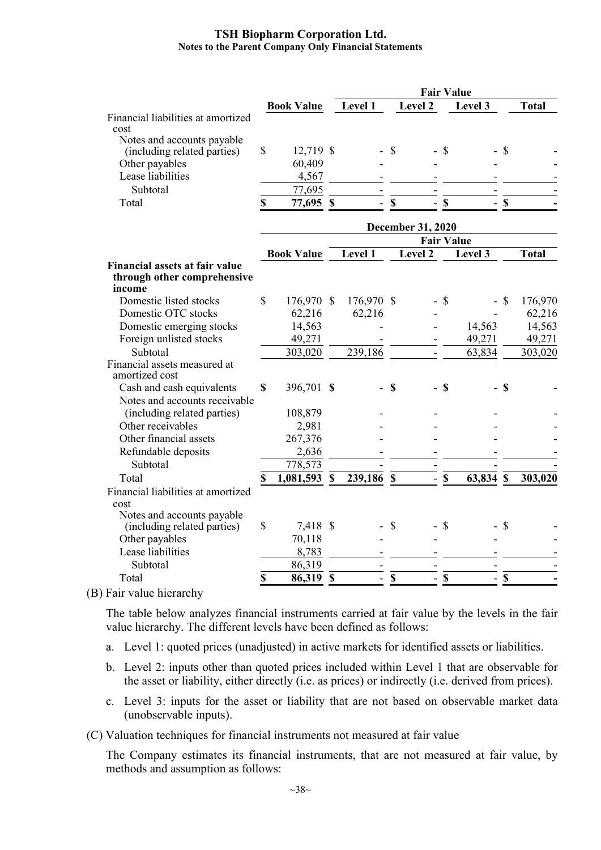|                                                                                |              |                   | <b>Fair Value</b>        |                          |               |                          |                           |                   |                           |              |
|--------------------------------------------------------------------------------|--------------|-------------------|--------------------------|--------------------------|---------------|--------------------------|---------------------------|-------------------|---------------------------|--------------|
|                                                                                |              | <b>Book Value</b> |                          | Level 1                  |               | Level 2                  |                           | Level 3           |                           | <b>Total</b> |
| Financial liabilities at amortized                                             |              |                   |                          |                          |               |                          |                           |                   |                           |              |
| cost                                                                           |              |                   |                          |                          |               |                          |                           |                   |                           |              |
| Notes and accounts payable<br>(including related parties)                      | \$           | 12,719 \$         |                          |                          | \$            |                          | - \$                      |                   | <b>S</b>                  |              |
| Other payables                                                                 |              | 60,409            |                          |                          |               |                          |                           |                   |                           |              |
| Lease liabilities                                                              |              | 4,567             |                          |                          |               |                          |                           |                   |                           |              |
| Subtotal                                                                       |              | 77,695            |                          |                          |               |                          |                           |                   |                           |              |
| Total                                                                          | \$           | 77,695 \$         |                          | ÷.                       | $\mathbf S$   | $\overline{\phantom{0}}$ | $\boldsymbol{\mathsf{S}}$ | $\mathbf{r}$      | $\boldsymbol{\mathsf{S}}$ |              |
|                                                                                |              |                   |                          |                          |               |                          |                           |                   |                           |              |
|                                                                                |              |                   | <b>December 31, 2020</b> |                          |               |                          |                           |                   |                           |              |
|                                                                                |              |                   |                          |                          |               |                          |                           | <b>Fair Value</b> |                           |              |
|                                                                                |              | <b>Book Value</b> |                          | Level 1                  |               | Level 2                  |                           | Level 3           |                           | <b>Total</b> |
| <b>Financial assets at fair value</b><br>through other comprehensive<br>income |              |                   |                          |                          |               |                          |                           |                   |                           |              |
| Domestic listed stocks                                                         | $\mathbb{S}$ | 176,970 \$        |                          | 176,970 \$               |               |                          | $-$ \$                    |                   | - \$                      | 176,970      |
| Domestic OTC stocks                                                            |              | 62,216            |                          | 62,216                   |               |                          |                           |                   |                           | 62,216       |
| Domestic emerging stocks                                                       |              | 14,563            |                          |                          |               |                          |                           | 14,563            |                           | 14,563       |
| Foreign unlisted stocks                                                        |              | 49,271            |                          |                          |               |                          |                           | 49,271            |                           | 49,271       |
| Subtotal                                                                       |              | 303,020           |                          | 239,186                  |               |                          |                           | 63,834            |                           | 303,020      |
| Financial assets measured at                                                   |              |                   |                          |                          |               |                          |                           |                   |                           |              |
| amortized cost                                                                 |              |                   |                          |                          |               |                          |                           |                   |                           |              |
| Cash and cash equivalents                                                      | \$           | 396,701 \$        |                          |                          | <sup>\$</sup> |                          | $-$ \$                    |                   | $-$ \$                    |              |
| Notes and accounts receivable                                                  |              |                   |                          |                          |               |                          |                           |                   |                           |              |
| (including related parties)                                                    |              | 108,879           |                          |                          |               |                          |                           |                   |                           |              |
| Other receivables                                                              |              | 2,981             |                          |                          |               |                          |                           |                   |                           |              |
| Other financial assets                                                         |              | 267,376           |                          |                          |               |                          |                           |                   |                           |              |
| Refundable deposits                                                            |              | 2,636             |                          |                          |               |                          |                           |                   |                           |              |
| Subtotal                                                                       |              | 778,573           |                          |                          |               |                          |                           |                   |                           |              |
| Total                                                                          | \$           | 1,081,593 \$      |                          | 239,186 \$               |               |                          | $-$ \$                    | 63,834 \$         |                           | 303,020      |
| Financial liabilities at amortized<br>cost                                     |              |                   |                          |                          |               |                          |                           |                   |                           |              |
| Notes and accounts payable                                                     |              |                   |                          |                          |               |                          |                           |                   |                           |              |
| (including related parties)                                                    | \$           | 7,418 \$          |                          |                          | \$            |                          | $\mathcal{S}$             |                   | $\boldsymbol{\mathsf{S}}$ |              |
| Other payables                                                                 |              | 70,118            |                          |                          |               |                          |                           |                   |                           |              |
| Lease liabilities                                                              |              | 8,783             |                          |                          |               |                          |                           |                   |                           |              |
| Subtotal                                                                       |              | 86,319            |                          |                          |               |                          |                           |                   |                           |              |
| Total                                                                          | \$           | 86,319 \$         |                          | $\overline{\phantom{0}}$ | $\mathbb S$   | $\blacksquare$           | $\mathbb S$               | $\blacksquare$    | $\boldsymbol{\mathsf{S}}$ |              |
|                                                                                |              |                   |                          |                          |               |                          |                           |                   |                           |              |

(B) Fair value hierarchy

The table below analyzes financial instruments carried at fair value by the levels in the fair value hierarchy. The different levels have been defined as follows:

- a. Level 1: quoted prices (unadjusted) in active markets for identified assets or liabilities.
- b. Level 2: inputs other than quoted prices included within Level 1 that are observable for the asset or liability, either directly (i.e. as prices) or indirectly (i.e. derived from prices).
- c. Level 3: inputs for the asset or liability that are not based on observable market data (unobservable inputs).

(C) Valuation techniques for financial instruments not measured at fair value

The Company estimates its financial instruments, that are not measured at fair value, by methods and assumption as follows: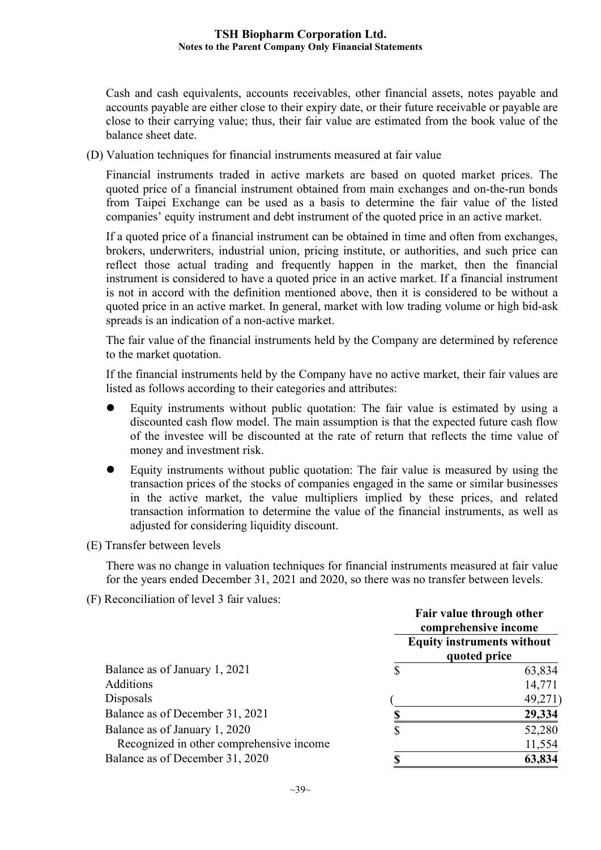Cash and cash equivalents, accounts receivables, other financial assets, notes payable and accounts payable are either close to their expiry date, or their future receivable or payable are close to their carrying value; thus, their fair value are estimated from the book value of the balance sheet date.

(D) Valuation techniques for financial instruments measured at fair value

Financial instruments traded in active markets are based on quoted market prices. The quoted price of a financial instrument obtained from main exchanges and on-the-run bonds from Taipei Exchange can be used as a basis to determine the fair value of the listed companies' equity instrument and debt instrument of the quoted price in an active market.

If a quoted price of a financial instrument can be obtained in time and often from exchanges, brokers, underwriters, industrial union, pricing institute, or authorities, and such price can reflect those actual trading and frequently happen in the market, then the financial instrument is considered to have a quoted price in an active market. If a financial instrument is not in accord with the definition mentioned above, then it is considered to be without a quoted price in an active market. In general, market with low trading volume or high bid-ask spreads is an indication of a non-active market.

The fair value of the financial instruments held by the Company are determined by reference to the market quotation.

If the financial instruments held by the Company have no active market, their fair values are listed as follows according to their categories and attributes:

- Equity instruments without public quotation: The fair value is estimated by using a discounted cash flow model. The main assumption is that the expected future cash flow of the investee will be discounted at the rate of return that reflects the time value of money and investment risk.
- Equity instruments without public quotation: The fair value is measured by using the transaction prices of the stocks of companies engaged in the same or similar businesses in the active market, the value multipliers implied by these prices, and related transaction information to determine the value of the financial instruments, as well as adjusted for considering liquidity discount.
- (E) Transfer between levels

There was no change in valuation techniques for financial instruments measured at fair value for the years ended December 31, 2021 and 2020, so there was no transfer between levels.

(F) Reconciliation of level 3 fair values:

|                                          | Fair value through other<br>comprehensive income |                                                   |  |  |
|------------------------------------------|--------------------------------------------------|---------------------------------------------------|--|--|
|                                          |                                                  | <b>Equity instruments without</b><br>quoted price |  |  |
| Balance as of January 1, 2021            |                                                  | 63,834                                            |  |  |
| Additions                                |                                                  | 14,771                                            |  |  |
| Disposals                                |                                                  | 49,271                                            |  |  |
| Balance as of December 31, 2021          |                                                  | 29,334                                            |  |  |
| Balance as of January 1, 2020            | S                                                | 52,280                                            |  |  |
| Recognized in other comprehensive income |                                                  | 11,554                                            |  |  |
| Balance as of December 31, 2020          |                                                  | 63,834                                            |  |  |
|                                          |                                                  |                                                   |  |  |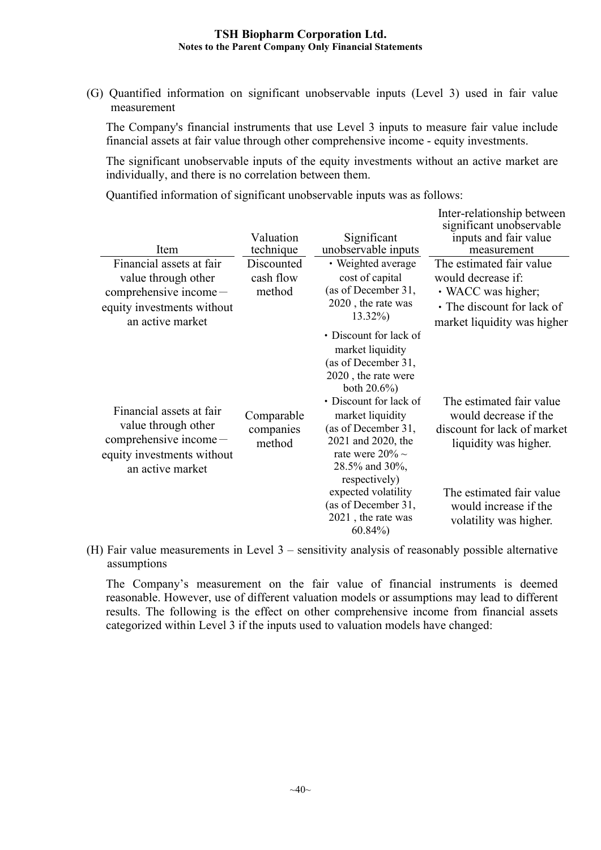(G) Quantified information on significant unobservable inputs (Level 3) used in fair value measurement

The Company's financial instruments that use Level 3 inputs to measure fair value include financial assets at fair value through other comprehensive income - equity investments.

The significant unobservable inputs of the equity investments without an active market are individually, and there is no correlation between them.

Quantified information of significant unobservable inputs was as follows:

| Item                                                                                                                          | Valuation<br>technique            | Significant<br>unobservable inputs                                                                                                                                                                                                                                                                                                                  | Inter-relationship between<br>significant unobservable<br>inputs and fair value<br>measurement                                                                                           |
|-------------------------------------------------------------------------------------------------------------------------------|-----------------------------------|-----------------------------------------------------------------------------------------------------------------------------------------------------------------------------------------------------------------------------------------------------------------------------------------------------------------------------------------------------|------------------------------------------------------------------------------------------------------------------------------------------------------------------------------------------|
| Financial assets at fair<br>value through other<br>$comprehensive income -$<br>equity investments without<br>an active market | Discounted<br>cash flow<br>method | • Weighted average<br>cost of capital<br>(as of December 31,<br>2020, the rate was<br>$13.32\%$                                                                                                                                                                                                                                                     | The estimated fair value<br>would decrease if:<br>• WACC was higher;<br>• The discount for lack of<br>market liquidity was higher                                                        |
| Financial assets at fair<br>value through other<br>$comprehensive income -$<br>equity investments without<br>an active market | Comparable<br>companies<br>method | • Discount for lack of<br>market liquidity<br>(as of December 31,<br>2020, the rate were<br>both $20.6\%$ )<br>• Discount for lack of<br>market liquidity<br>(as of December 31,<br>2021 and 2020, the<br>rate were $20\% \sim$<br>28.5% and 30%,<br>respectively)<br>expected volatility<br>(as of December 31,<br>2021, the rate was<br>$60.84\%$ | The estimated fair value<br>would decrease if the<br>discount for lack of market<br>liquidity was higher.<br>The estimated fair value<br>would increase if the<br>volatility was higher. |

(H) Fair value measurements in Level 3 – sensitivity analysis of reasonably possible alternative assumptions

The Company's measurement on the fair value of financial instruments is deemed reasonable. However, use of different valuation models or assumptions may lead to different results. The following is the effect on other comprehensive income from financial assets categorized within Level 3 if the inputs used to valuation models have changed: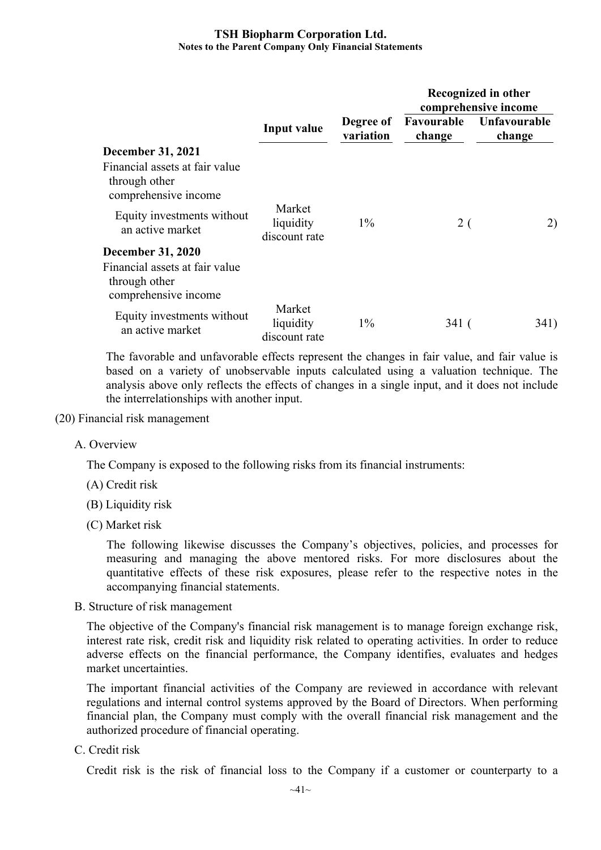|                                                                         |                                      |                        | Recognized in other<br>comprehensive income |                        |  |  |
|-------------------------------------------------------------------------|--------------------------------------|------------------------|---------------------------------------------|------------------------|--|--|
|                                                                         | Input value                          | Degree of<br>variation | Favourable<br>change                        | Unfavourable<br>change |  |  |
| <b>December 31, 2021</b>                                                |                                      |                        |                                             |                        |  |  |
| Financial assets at fair value<br>through other<br>comprehensive income |                                      |                        |                                             |                        |  |  |
| Equity investments without<br>an active market                          | Market<br>liquidity<br>discount rate | $1\%$                  | 2(                                          | 2)                     |  |  |
| <b>December 31, 2020</b>                                                |                                      |                        |                                             |                        |  |  |
| Financial assets at fair value<br>through other<br>comprehensive income |                                      |                        |                                             |                        |  |  |
| Equity investments without<br>an active market                          | Market<br>liquidity<br>discount rate | $1\%$                  | 341 (                                       | 341)                   |  |  |

The favorable and unfavorable effects represent the changes in fair value, and fair value is based on a variety of unobservable inputs calculated using a valuation technique. The analysis above only reflects the effects of changes in a single input, and it does not include the interrelationships with another input.

#### (20) Financial risk management

A. Overview

The Company is exposed to the following risks from its financial instruments:

- (A) Credit risk
- (B) Liquidity risk
- (C) Market risk

The following likewise discusses the Company's objectives, policies, and processes for measuring and managing the above mentored risks. For more disclosures about the quantitative effects of these risk exposures, please refer to the respective notes in the accompanying financial statements.

B. Structure of risk management

The objective of the Company's financial risk management is to manage foreign exchange risk, interest rate risk, credit risk and liquidity risk related to operating activities. In order to reduce adverse effects on the financial performance, the Company identifies, evaluates and hedges market uncertainties.

The important financial activities of the Company are reviewed in accordance with relevant regulations and internal control systems approved by the Board of Directors. When performing financial plan, the Company must comply with the overall financial risk management and the authorized procedure of financial operating.

C. Credit risk

Credit risk is the risk of financial loss to the Company if a customer or counterparty to a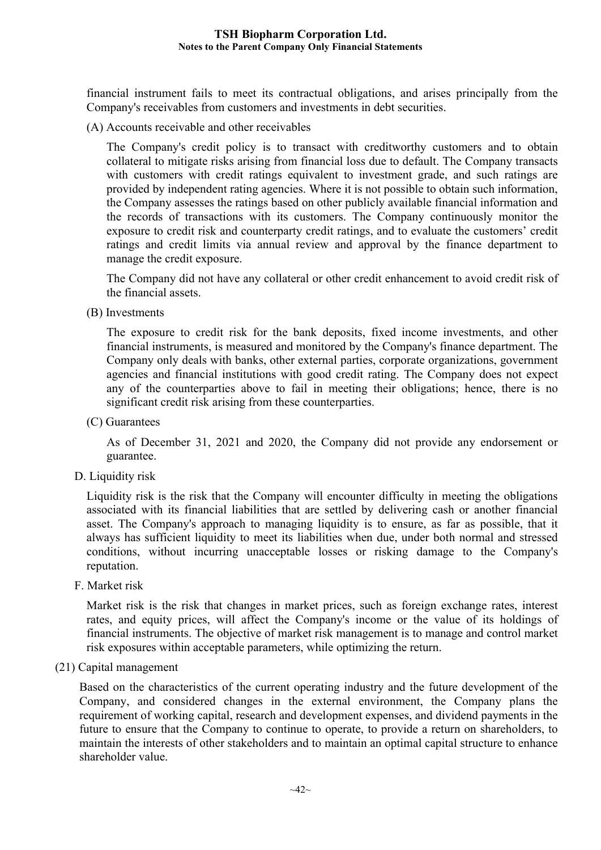financial instrument fails to meet its contractual obligations, and arises principally from the Company's receivables from customers and investments in debt securities.

(A) Accounts receivable and other receivables

The Company's credit policy is to transact with creditworthy customers and to obtain collateral to mitigate risks arising from financial loss due to default. The Company transacts with customers with credit ratings equivalent to investment grade, and such ratings are provided by independent rating agencies. Where it is not possible to obtain such information, the Company assesses the ratings based on other publicly available financial information and the records of transactions with its customers. The Company continuously monitor the exposure to credit risk and counterparty credit ratings, and to evaluate the customers' credit ratings and credit limits via annual review and approval by the finance department to manage the credit exposure.

The Company did not have any collateral or other credit enhancement to avoid credit risk of the financial assets.

(B) Investments

The exposure to credit risk for the bank deposits, fixed income investments, and other financial instruments, is measured and monitored by the Company's finance department. The Company only deals with banks, other external parties, corporate organizations, government agencies and financial institutions with good credit rating. The Company does not expect any of the counterparties above to fail in meeting their obligations; hence, there is no significant credit risk arising from these counterparties.

(C) Guarantees

As of December 31, 2021 and 2020, the Company did not provide any endorsement or guarantee.

D. Liquidity risk

Liquidity risk is the risk that the Company will encounter difficulty in meeting the obligations associated with its financial liabilities that are settled by delivering cash or another financial asset. The Company's approach to managing liquidity is to ensure, as far as possible, that it always has sufficient liquidity to meet its liabilities when due, under both normal and stressed conditions, without incurring unacceptable losses or risking damage to the Company's reputation.

F. Market risk

Market risk is the risk that changes in market prices, such as foreign exchange rates, interest rates, and equity prices, will affect the Company's income or the value of its holdings of financial instruments. The objective of market risk management is to manage and control market risk exposures within acceptable parameters, while optimizing the return.

#### (21) Capital management

Based on the characteristics of the current operating industry and the future development of the Company, and considered changes in the external environment, the Company plans the requirement of working capital, research and development expenses, and dividend payments in the future to ensure that the Company to continue to operate, to provide a return on shareholders, to maintain the interests of other stakeholders and to maintain an optimal capital structure to enhance shareholder value.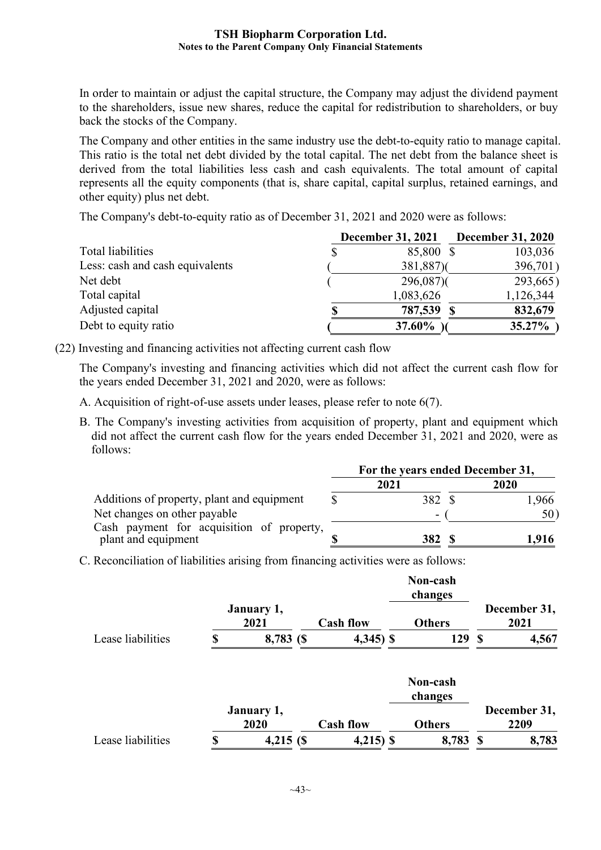In order to maintain or adjust the capital structure, the Company may adjust the dividend payment to the shareholders, issue new shares, reduce the capital for redistribution to shareholders, or buy back the stocks of the Company.

The Company and other entities in the same industry use the debt-to-equity ratio to manage capital. This ratio is the total net debt divided by the total capital. The net debt from the balance sheet is derived from the total liabilities less cash and cash equivalents. The total amount of capital represents all the equity components (that is, share capital, capital surplus, retained earnings, and other equity) plus net debt.

The Company's debt-to-equity ratio as of December 31, 2021 and 2020 were as follows:

|                                 | <b>December 31, 2021</b> | <b>December 31, 2020</b> |
|---------------------------------|--------------------------|--------------------------|
| Total liabilities               | 85,800 \$                | 103,036                  |
| Less: cash and cash equivalents | 381,887)                 | 396,701)                 |
| Net debt                        | $296,087$ )              | 293,665                  |
| Total capital                   | 1,083,626                | 1,126,344                |
| Adjusted capital                | 787,539 \$               | 832,679                  |
| Debt to equity ratio            | <b>37.60%</b>            | $35.27\%$                |

(22) Investing and financing activities not affecting current cash flow

The Company's investing and financing activities which did not affect the current cash flow for the years ended December 31, 2021 and 2020, were as follows:

- A. Acquisition of right-of-use assets under leases, please refer to note 6(7).
- B. The Company's investing activities from acquisition of property, plant and equipment which did not affect the current cash flow for the years ended December 31, 2021 and 2020, were as follows:

|                                                                  | For the years ended December 31, |        |  |       |  |
|------------------------------------------------------------------|----------------------------------|--------|--|-------|--|
|                                                                  |                                  | 2021   |  | 2020  |  |
| Additions of property, plant and equipment                       |                                  | 382 \$ |  | 1,966 |  |
| Net changes on other payable                                     |                                  | -      |  | 50)   |  |
| Cash payment for acquisition of property,<br>plant and equipment |                                  | 382    |  | 1,916 |  |

C. Reconciliation of liabilities arising from financing activities were as follows:

|                   |                    |                  | Non-cash<br>changes |                      |
|-------------------|--------------------|------------------|---------------------|----------------------|
|                   | January 1,<br>2021 | <b>Cash flow</b> | <b>Others</b>       | December 31,<br>2021 |
| Lease liabilities | 8,783 (\$          | $4,345$ ) \$     | 129                 | 4,567                |

|                   |                    |                  | Non-cash<br>changes |   |                      |
|-------------------|--------------------|------------------|---------------------|---|----------------------|
|                   | January 1,<br>2020 | <b>Cash flow</b> | <b>Others</b>       |   | December 31,<br>2209 |
| Lease liabilities | $4,215$ (\$)       | $4,215$ ) \$     | 8,783               | S | 8,783                |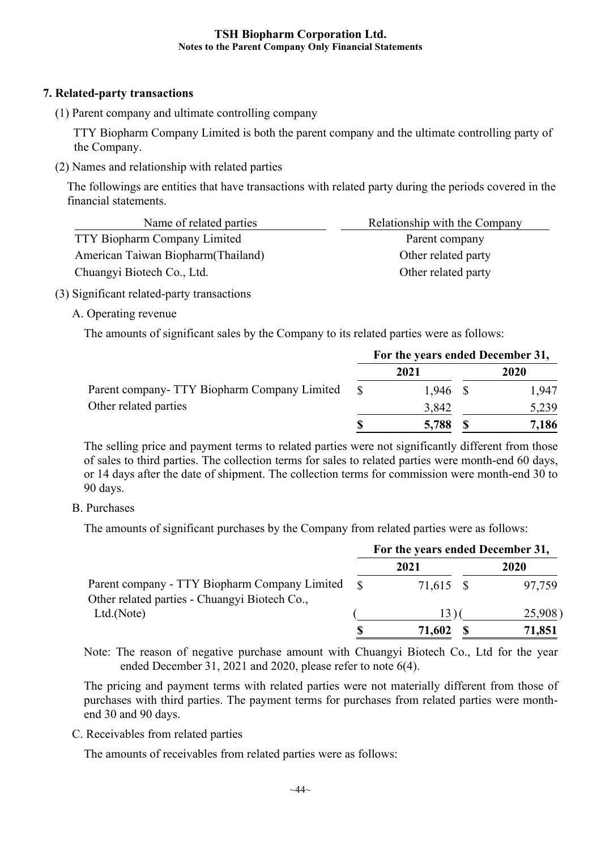## **7. Related-party transactions**

(1) Parent company and ultimate controlling company

 TTY Biopharm Company Limited is both the parent company and the ultimate controlling party of the Company.

(2) Names and relationship with related parties

The followings are entities that have transactions with related party during the periods covered in the financial statements.

| Name of related parties             | Relationship with the Company |
|-------------------------------------|-------------------------------|
| <b>TTY Biopharm Company Limited</b> | Parent company                |
| American Taiwan Biopharm (Thailand) | Other related party           |
| Chuangyi Biotech Co., Ltd.          | Other related party           |

- (3) Significant related-party transactions
	- A. Operating revenue

The amounts of significant sales by the Company to its related parties were as follows:

|                                              | For the years ended December 31, |            |  |       |
|----------------------------------------------|----------------------------------|------------|--|-------|
|                                              |                                  | 2021       |  | 2020  |
| Parent company- TTY Biopharm Company Limited | $\mathcal{S}$                    | $1,946$ \$ |  | 1,947 |
| Other related parties                        |                                  | 3,842      |  | 5,239 |
|                                              |                                  | 5,788      |  | 7,186 |

The selling price and payment terms to related parties were not significantly different from those of sales to third parties. The collection terms for sales to related parties were month-end 60 days, or 14 days after the date of shipment. The collection terms for commission were month-end 30 to 90 days.

## B. Purchases

The amounts of significant purchases by the Company from related parties were as follows:

|                                                                                                |  | For the years ended December 31, |  |        |  |
|------------------------------------------------------------------------------------------------|--|----------------------------------|--|--------|--|
|                                                                                                |  | 2021                             |  | 2020   |  |
| Parent company - TTY Biopharm Company Limited<br>Other related parties - Chuangyi Biotech Co., |  | 71,615 \$                        |  | 97,759 |  |
| Ltd.(Note)                                                                                     |  | 13.                              |  | 25,908 |  |
|                                                                                                |  | 71,602                           |  | 71,851 |  |

Note: The reason of negative purchase amount with Chuangyi Biotech Co., Ltd for the year ended December 31, 2021 and 2020, please refer to note 6(4).

The pricing and payment terms with related parties were not materially different from those of purchases with third parties. The payment terms for purchases from related parties were monthend 30 and 90 days.

C. Receivables from related parties

The amounts of receivables from related parties were as follows: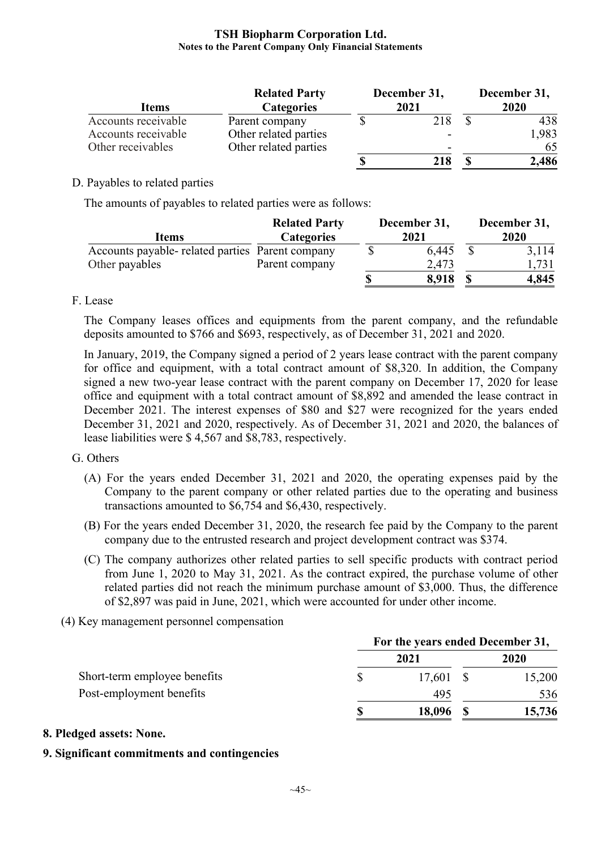| <b>Items</b>        | <b>Related Party</b><br><b>Categories</b> | December 31,<br>2021 |  | December 31,<br>2020 |  |
|---------------------|-------------------------------------------|----------------------|--|----------------------|--|
| Accounts receivable | Parent company                            | 218                  |  | 438                  |  |
| Accounts receivable | Other related parties                     |                      |  | 1,983                |  |
| Other receivables   | Other related parties                     | -                    |  | 65                   |  |
|                     |                                           | 218                  |  | 2,486                |  |

## D. Payables to related parties

The amounts of payables to related parties were as follows:

| <b>Items</b>                                     | <b>Related Party</b><br><b>Categories</b> | December 31,<br>2021 | December 31,<br>2020 |
|--------------------------------------------------|-------------------------------------------|----------------------|----------------------|
| Accounts payable- related parties Parent company |                                           | 6,445                | 3,114                |
| Other payables                                   | Parent company                            | 2,473                | 1,731                |
|                                                  |                                           | 8,918                | 4,845                |

## F. Lease

The Company leases offices and equipments from the parent company, and the refundable deposits amounted to \$766 and \$693, respectively, as of December 31, 2021 and 2020.

In January, 2019, the Company signed a period of 2 years lease contract with the parent company for office and equipment, with a total contract amount of \$8,320. In addition, the Company signed a new two-year lease contract with the parent company on December 17, 2020 for lease office and equipment with a total contract amount of \$8,892 and amended the lease contract in December 2021. The interest expenses of \$80 and \$27 were recognized for the years ended December 31, 2021 and 2020, respectively. As of December 31, 2021 and 2020, the balances of lease liabilities were \$ 4,567 and \$8,783, respectively.

#### G. Others

- (A) For the years ended December 31, 2021 and 2020, the operating expenses paid by the Company to the parent company or other related parties due to the operating and business transactions amounted to \$6,754 and \$6,430, respectively.
- (B) For the years ended December 31, 2020, the research fee paid by the Company to the parent company due to the entrusted research and project development contract was \$374.
- (C) The company authorizes other related parties to sell specific products with contract period from June 1, 2020 to May 31, 2021. As the contract expired, the purchase volume of other related parties did not reach the minimum purchase amount of \$3,000. Thus, the difference of \$2,897 was paid in June, 2021, which were accounted for under other income.
- (4) Key management personnel compensation

|                              | For the years ended December 31, |           |  |        |
|------------------------------|----------------------------------|-----------|--|--------|
|                              |                                  | 2021      |  | 2020   |
| Short-term employee benefits |                                  | 17,601 \$ |  | 15,200 |
| Post-employment benefits     |                                  | 495       |  | 536    |
|                              |                                  | 18,096    |  | 15,736 |

#### **8. Pledged assets: None.**

## **9. Significant commitments and contingencies**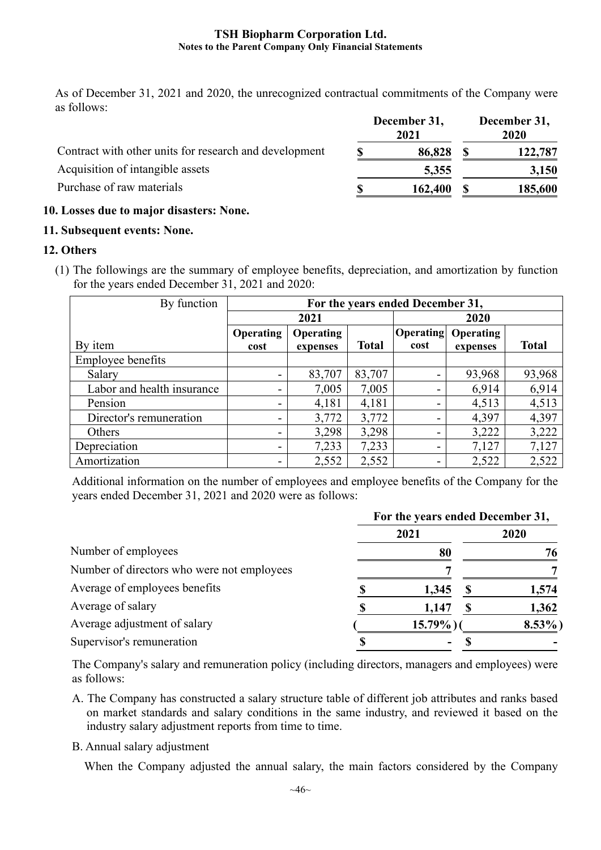As of December 31, 2021 and 2020, the unrecognized contractual commitments of the Company were as follows:

|                                                        | December 31,<br>2021 | December 31,<br>2020 |
|--------------------------------------------------------|----------------------|----------------------|
| Contract with other units for research and development | 86,828               | 122,787              |
| Acquisition of intangible assets                       | 5,355                | 3,150                |
| Purchase of raw materials                              | 162,400              | 185,600              |

## **10. Losses due to major disasters: None.**

## **11. Subsequent events: None.**

## **12. Others**

(1) The followings are the summary of employee benefits, depreciation, and amortization by function for the years ended December 31, 2021 and 2020:

| By function                | For the years ended December 31, |                  |              |                  |                  |              |  |  |  |
|----------------------------|----------------------------------|------------------|--------------|------------------|------------------|--------------|--|--|--|
|                            |                                  | 2021             |              |                  | 2020             |              |  |  |  |
|                            | <b>Operating</b>                 | <b>Operating</b> |              | <b>Operating</b> | <b>Operating</b> |              |  |  |  |
| By item                    | cost                             | expenses         | <b>Total</b> | cost             | expenses         | <b>Total</b> |  |  |  |
| Employee benefits          |                                  |                  |              |                  |                  |              |  |  |  |
| Salary                     |                                  | 83,707           | 83,707       | -                | 93,968           | 93,968       |  |  |  |
| Labor and health insurance |                                  | 7,005            | 7,005        | -                | 6,914            | 6,914        |  |  |  |
| Pension                    |                                  | 4,181            | 4,181        | -                | 4,513            | 4,513        |  |  |  |
| Director's remuneration    |                                  | 3,772            | 3,772        | -                | 4,397            | 4,397        |  |  |  |
| Others                     | ۰.                               | 3,298            | 3,298        | -                | 3,222            | 3,222        |  |  |  |
| Depreciation               |                                  | 7,233            | 7,233        | -                | 7,127            | 7,127        |  |  |  |
| Amortization               |                                  | 2,552            | 2,552        | -                | 2,522            | 2,522        |  |  |  |

Additional information on the number of employees and employee benefits of the Company for the years ended December 31, 2021 and 2020 were as follows:

|                                            | For the years ended December 31, |             |  |          |  |  |  |
|--------------------------------------------|----------------------------------|-------------|--|----------|--|--|--|
|                                            |                                  | 2021        |  | 2020     |  |  |  |
| Number of employees                        |                                  | 80          |  | 76       |  |  |  |
| Number of directors who were not employees |                                  |             |  |          |  |  |  |
| Average of employees benefits              |                                  | 1,345       |  | 1,574    |  |  |  |
| Average of salary                          |                                  | 1,147       |  | 1,362    |  |  |  |
| Average adjustment of salary               |                                  | $15.79\%$ ) |  | $8.53\%$ |  |  |  |
| Supervisor's remuneration                  |                                  |             |  |          |  |  |  |

The Company's salary and remuneration policy (including directors, managers and employees) were as follows:

- A. The Company has constructed a salary structure table of different job attributes and ranks based on market standards and salary conditions in the same industry, and reviewed it based on the industry salary adjustment reports from time to time.
- B. Annual salary adjustment

When the Company adjusted the annual salary, the main factors considered by the Company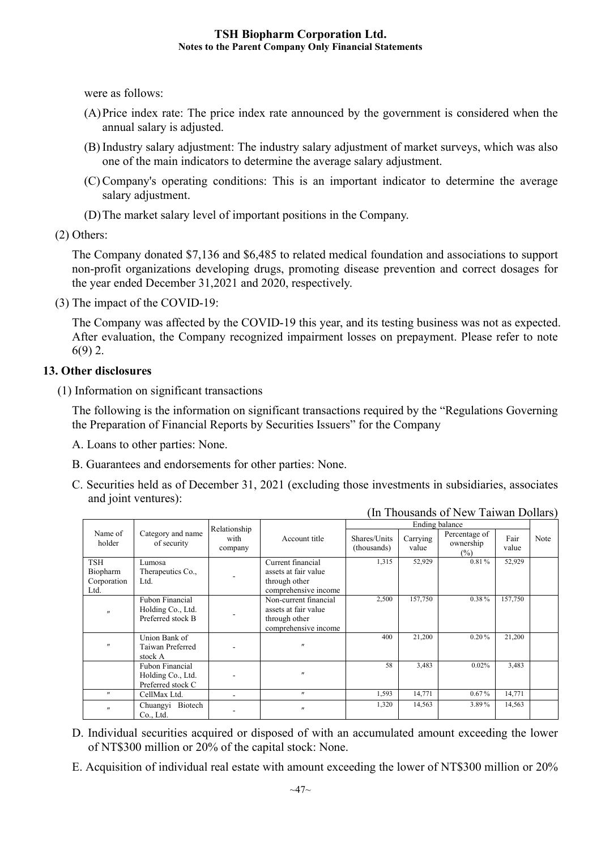were as follows:

- (A)Price index rate: The price index rate announced by the government is considered when the annual salary is adjusted.
- (B) Industry salary adjustment: The industry salary adjustment of market surveys, which was also one of the main indicators to determine the average salary adjustment.
- (C) Company's operating conditions: This is an important indicator to determine the average salary adjustment.
- (D)The market salary level of important positions in the Company.

(2) Others:

The Company donated \$7,136 and \$6,485 to related medical foundation and associations to support non-profit organizations developing drugs, promoting disease prevention and correct dosages for the year ended December 31,2021 and 2020, respectively.

(3) The impact of the COVID-19:

The Company was affected by the COVID-19 this year, and its testing business was not as expected. After evaluation, the Company recognized impairment losses on prepayment. Please refer to note 6(9) 2.

## **13. Other disclosures**

(1) Information on significant transactions

The following is the information on significant transactions required by the "Regulations Governing the Preparation of Financial Reports by Securities Issuers" for the Company

- A. Loans to other parties: None.
- B. Guarantees and endorsements for other parties: None.
- C. Securities held as of December 31, 2021 (excluding those investments in subsidiaries, associates and joint ventures):

|                                                       |                   | Relationship    |                       |                             |                   |                                      |               |      |
|-------------------------------------------------------|-------------------|-----------------|-----------------------|-----------------------------|-------------------|--------------------------------------|---------------|------|
| Name of<br>Category and name<br>holder<br>of security |                   | with<br>company | Account title         | Shares/Units<br>(thousands) | Carrying<br>value | Percentage of<br>ownership<br>$(\%)$ | Fair<br>value | Note |
| <b>TSH</b>                                            | Lumosa            |                 | Current financial     | 1,315                       | 52,929            | 0.81%                                | 52,929        |      |
| Biopharm                                              | Therapeutics Co., |                 | assets at fair value  |                             |                   |                                      |               |      |
| Corporation                                           | Ltd.              |                 | through other         |                             |                   |                                      |               |      |
| Ltd.                                                  |                   |                 | comprehensive income  |                             |                   |                                      |               |      |
|                                                       | Fubon Financial   |                 | Non-current financial | 2,500                       | 157,750           | 0.38%                                | 157,750       |      |
| $^{\prime\prime}$                                     | Holding Co., Ltd. |                 | assets at fair value  |                             |                   |                                      |               |      |
|                                                       | Preferred stock B |                 | through other         |                             |                   |                                      |               |      |
|                                                       |                   |                 | comprehensive income  |                             |                   |                                      |               |      |
|                                                       | Union Bank of     |                 |                       | 400                         | 21,200            | 0.20%                                | 21,200        |      |
| $^{\prime\prime}$                                     | Taiwan Preferred  |                 | $^{\prime\prime}$     |                             |                   |                                      |               |      |
|                                                       | stock A           |                 |                       |                             |                   |                                      |               |      |
|                                                       | Fubon Financial   |                 |                       | 58                          | 3,483             | 0.02%                                | 3,483         |      |
|                                                       | Holding Co., Ltd. |                 | $^{\prime}$           |                             |                   |                                      |               |      |
|                                                       | Preferred stock C |                 |                       |                             |                   |                                      |               |      |
| $^{\prime\prime}$                                     | CellMax Ltd.      |                 | $^{\prime\prime}$     | 1,593                       | 14,771            | 0.67%                                | 14,771        |      |
| $^{\prime\prime}$                                     | Chuangyi Biotech  |                 | $^{\prime\prime}$     | 1,320                       | 14,563            | 3.89%                                | 14,563        |      |
|                                                       | Co., Ltd.         |                 |                       |                             |                   |                                      |               |      |

(In Thousands of New Taiwan Dollars)

- D. Individual securities acquired or disposed of with an accumulated amount exceeding the lower of NT\$300 million or 20% of the capital stock: None.
- E. Acquisition of individual real estate with amount exceeding the lower of NT\$300 million or 20%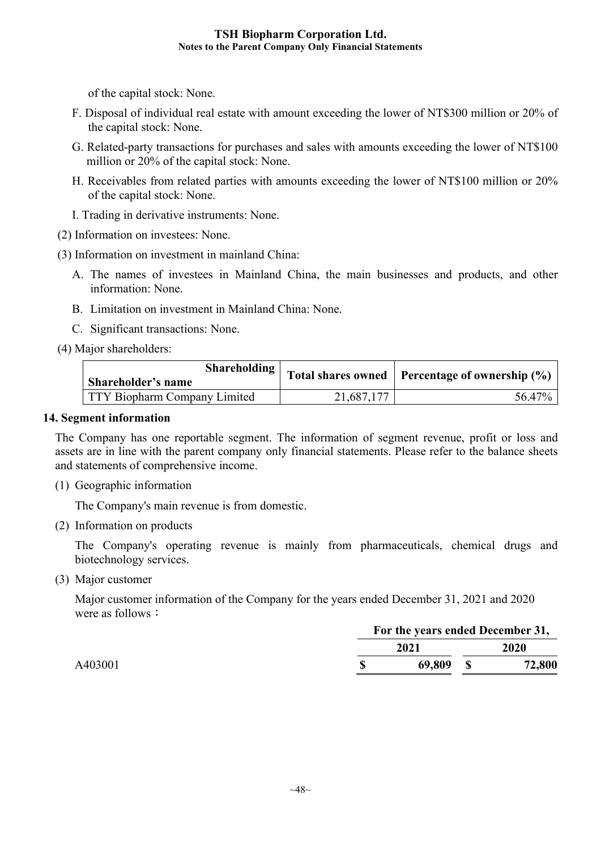of the capital stock: None.

- F. Disposal of individual real estate with amount exceeding the lower of NT\$300 million or 20% of the capital stock: None.
- G. Related-party transactions for purchases and sales with amounts exceeding the lower of NT\$100 million or 20% of the capital stock: None.
- H. Receivables from related parties with amounts exceeding the lower of NT\$100 million or 20% of the capital stock: None.
- I. Trading in derivative instruments: None.

(2) Information on investees: None.

- (3) Information on investment in mainland China:
	- A. The names of investees in Mainland China, the main businesses and products, and other information: None.
	- B. Limitation on investment in Mainland China: None.
	- C. Significant transactions: None.
- (4) Major shareholders:

| Shareholding<br>Shareholder's name |            | Total shares owned   Percentage of ownership $(\%)$ |
|------------------------------------|------------|-----------------------------------------------------|
| TTY Biopharm Company Limited       | 21,687,177 | 56.47%                                              |

#### **14. Segment information**

The Company has one reportable segment. The information of segment revenue, profit or loss and assets are in line with the parent company only financial statements. Please refer to the balance sheets and statements of comprehensive income.

(1) Geographic information

The Company's main revenue is from domestic.

(2) Information on products

The Company's operating revenue is mainly from pharmaceuticals, chemical drugs and biotechnology services.

(3) Major customer

Major customer information of the Company for the years ended December 31, 2021 and 2020 were as follows:

| 2021   | 2020                             |
|--------|----------------------------------|
| 69,809 | 72,800                           |
|        | For the years ended December 31, |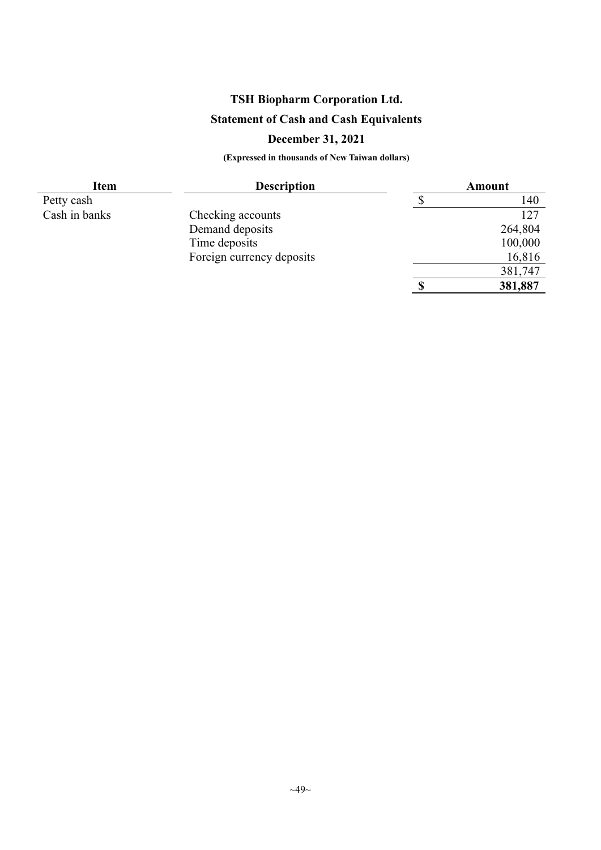# **Statement of Cash and Cash Equivalents**

## **December 31, 2021**

| <b>Item</b>   | <b>Description</b>        | <b>Amount</b> |         |  |  |  |
|---------------|---------------------------|---------------|---------|--|--|--|
| Petty cash    |                           |               | 140     |  |  |  |
| Cash in banks | Checking accounts         |               | 127     |  |  |  |
|               | Demand deposits           |               | 264,804 |  |  |  |
|               | Time deposits             |               | 100,000 |  |  |  |
|               | Foreign currency deposits |               | 16,816  |  |  |  |
|               |                           |               | 381,747 |  |  |  |
|               |                           |               | 381,887 |  |  |  |
|               |                           |               |         |  |  |  |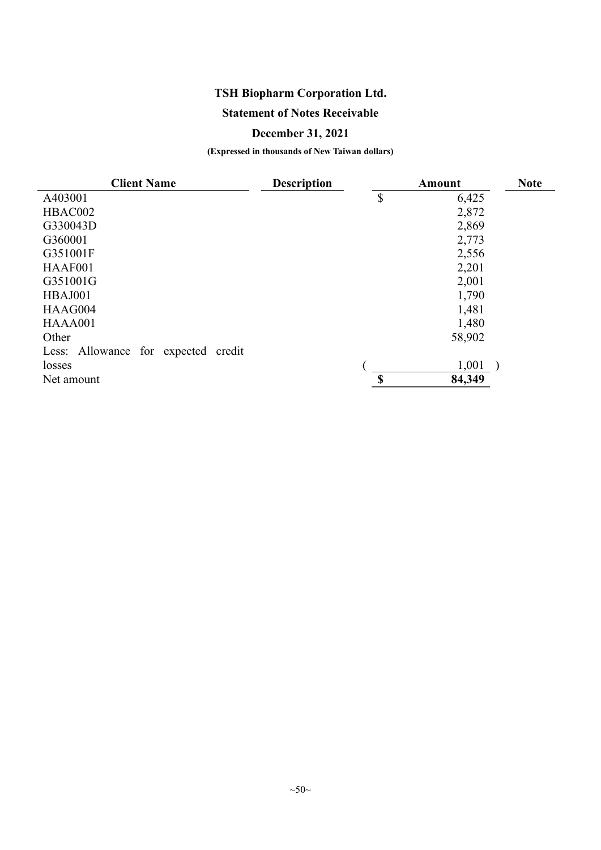## **Statement of Notes Receivable**

## **December 31, 2021**

| <b>Client Name</b>                  | <b>Description</b> |               | <b>Amount</b> | <b>Note</b> |
|-------------------------------------|--------------------|---------------|---------------|-------------|
| A403001                             |                    | $\mathcal{S}$ | 6,425         |             |
| HBAC002                             |                    |               | 2,872         |             |
| G330043D                            |                    |               | 2,869         |             |
| G360001                             |                    |               | 2,773         |             |
| G351001F                            |                    |               | 2,556         |             |
| HAAF001                             |                    |               | 2,201         |             |
| G351001G                            |                    |               | 2,001         |             |
| HBAJ001                             |                    |               | 1,790         |             |
| HAAG004                             |                    |               | 1,481         |             |
| HAAA001                             |                    |               | 1,480         |             |
| Other                               |                    |               | 58,902        |             |
| Less: Allowance for expected credit |                    |               |               |             |
| losses                              |                    |               | 1,001         |             |
| Net amount                          |                    | $\mathbf S$   | 84,349        |             |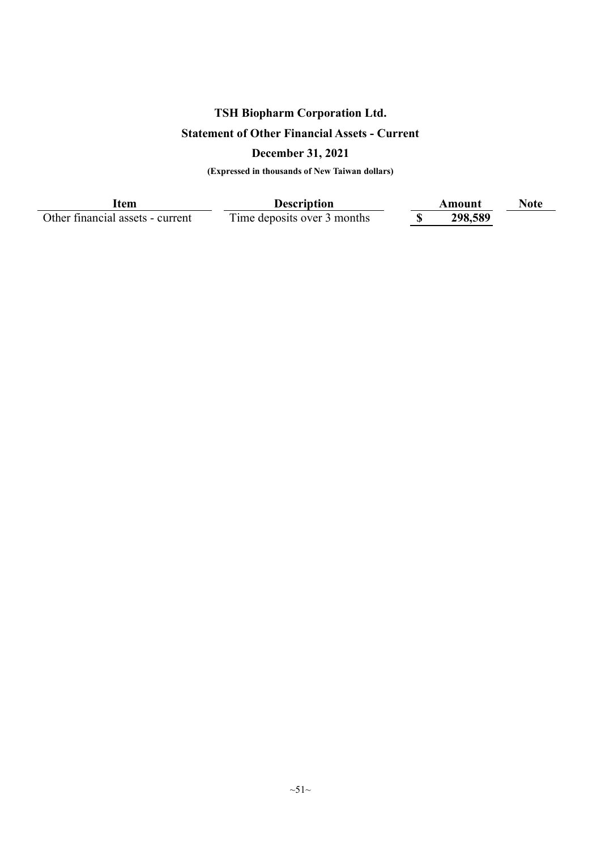# **TSH Biopharm Corporation Ltd. Statement of Other Financial Assets - Current**

# **December 31, 2021**

**(Expressed in thousands of New Taiwan dollars)**

Other financial assets - current

**Item**<br>Il assets - current Time deposits over 3 months <br>Time deposits over 3 months <br>**Amount** <br>**COMP**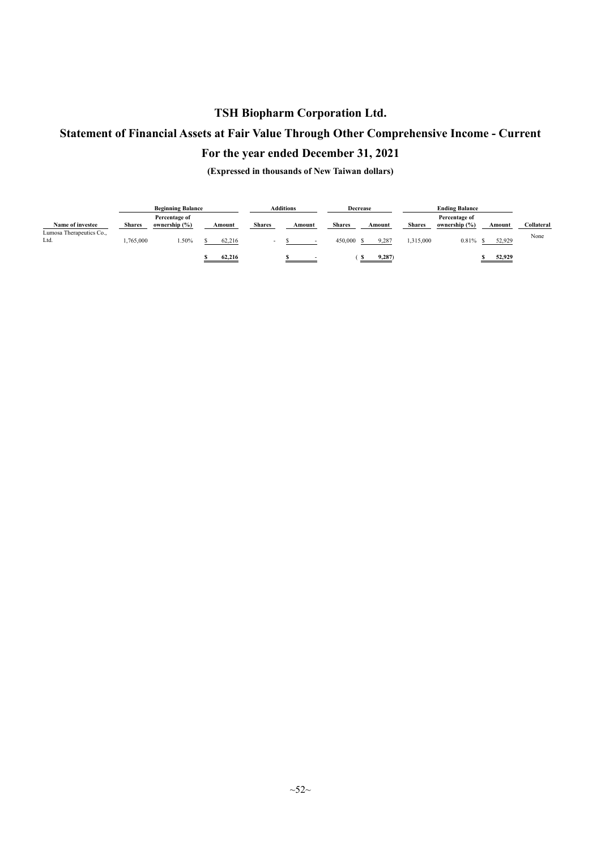# **Statement of Financial Assets at Fair Value Through Other Comprehensive Income - Current**

## **For the year ended December 31, 2021**

|                                  |           | <b>Additions</b>               |        |               | <b>Decrease</b> |        |               | <b>Ending Balance</b> |        |               |                                |        |        |            |
|----------------------------------|-----------|--------------------------------|--------|---------------|-----------------|--------|---------------|-----------------------|--------|---------------|--------------------------------|--------|--------|------------|
| Name of investee                 | Shares    | Percentage of<br>ownership (%) | Amount | <b>Shares</b> |                 | Amount | <b>Shares</b> |                       | Amount | <b>Shares</b> | Percentage of<br>ownership (%) | Amount |        | Collateral |
| Lumosa Therapeutics Co.,<br>Ltd. | 1,765,000 | .50%                           | 62,216 |               |                 |        | 450,000       |                       | 9,287  | 1,315,000     | 0.81%                          |        | 52,929 | None       |
|                                  |           |                                | 62,216 |               |                 |        |               |                       | 9,287  |               |                                |        | 52,929 |            |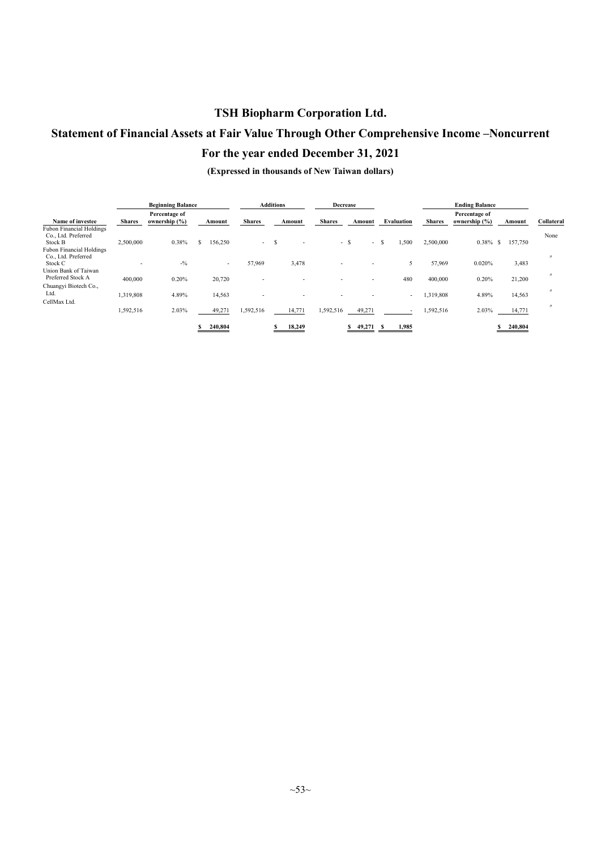# **Statement of Financial Assets at Fair Value Through Other Comprehensive Income –Noncurrent**

## **For the year ended December 31, 2021**

|                                                                   |                          | <b>Beginning Balance</b>       |         |               | <b>Additions</b> |        |               | Decrease |                          |    |            |               | <b>Ending Balance</b>          |               |                   |
|-------------------------------------------------------------------|--------------------------|--------------------------------|---------|---------------|------------------|--------|---------------|----------|--------------------------|----|------------|---------------|--------------------------------|---------------|-------------------|
| Name of investee                                                  | <b>Shares</b>            | Percentage of<br>ownership (%) | Amount  | <b>Shares</b> |                  | Amount | <b>Shares</b> |          | Amount                   |    | Evaluation | <b>Shares</b> | Percentage of<br>ownership (%) | Amount        | Collateral        |
| <b>Fubon Financial Holdings</b><br>Co., Ltd. Preferred<br>Stock B | 2,500,000                | 0.38%                          | 156,250 | $\sim$        | S                |        |               | - S      | $\sim$                   | -S | 1,500      | 2,500,000     | $0.38\%$                       | 157,750<br>S. | None              |
| <b>Fubon Financial Holdings</b><br>Co., Ltd. Preferred            |                          |                                |         |               |                  |        |               |          |                          |    |            |               |                                |               | $^{\prime\prime}$ |
| Stock C<br>Union Bank of Taiwan                                   | $\overline{\phantom{0}}$ | $-9/0$                         | $\sim$  | 57,969        |                  | 3,478  | -             |          | $\overline{\phantom{0}}$ |    | 5          | 57,969        | 0.020%                         | 3,483         |                   |
| Preferred Stock A<br>Chuangyi Biotech Co.,                        | 400,000                  | 0.20%                          | 20,720  |               |                  |        |               |          |                          |    | 480        | 400,000       | 0.20%                          | 21,200        |                   |
| Ltd.<br>CellMax Ltd.                                              | 1,319,808                | 4.89%                          | 14,563  |               |                  |        |               |          |                          |    | $\sim$     | 1,319,808     | 4.89%                          | 14,563        |                   |
|                                                                   | 1,592,516                | 2.03%                          | 49,271  | 1,592,516     |                  | 14,771 | 1,592,516     |          | 49,271                   |    |            | 1,592,516     | 2.03%                          | 14,771        | $^{\prime}$       |
|                                                                   |                          |                                | 240,804 |               |                  | 18,249 |               |          | 49,271                   |    | 1,985      |               |                                | 240,804       |                   |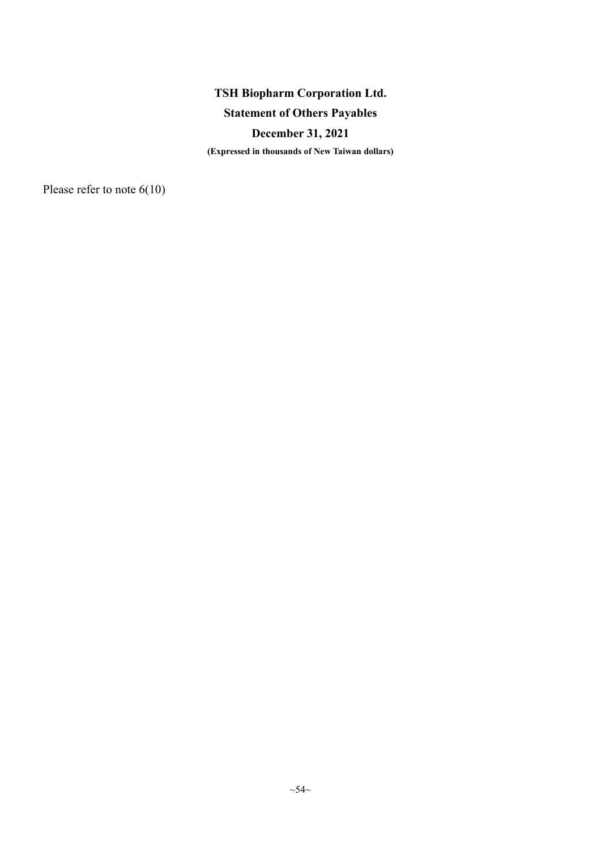## **Statement of Others Payables**

## **December 31, 2021**

**(Expressed in thousands of New Taiwan dollars)**

Please refer to note 6(10)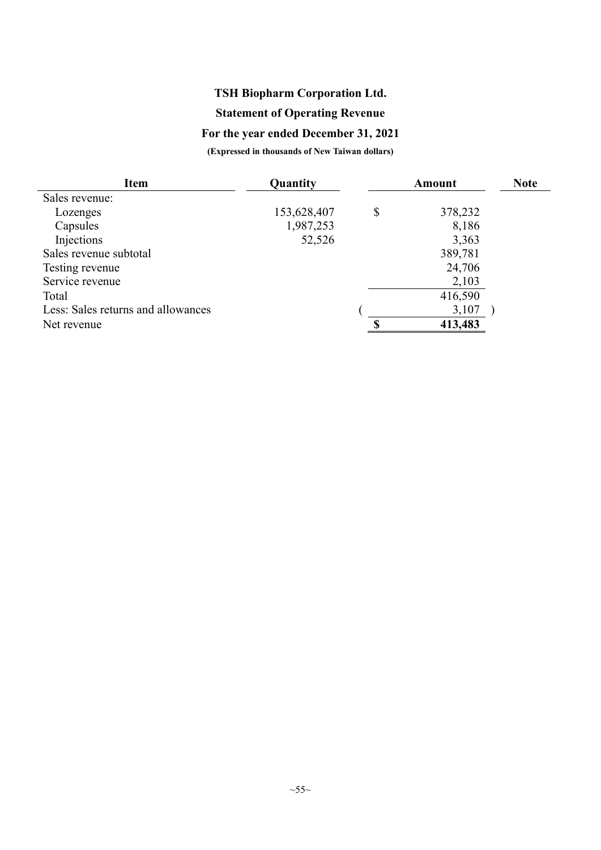## **Statement of Operating Revenue**

# **For the year ended December 31, 2021**

| <b>Item</b>                        | Quantity    | <b>Amount</b> |  |  |
|------------------------------------|-------------|---------------|--|--|
| Sales revenue:                     |             |               |  |  |
| Lozenges                           | 153,628,407 | \$<br>378,232 |  |  |
| Capsules                           | 1,987,253   | 8,186         |  |  |
| Injections                         | 52,526      | 3,363         |  |  |
| Sales revenue subtotal             |             | 389,781       |  |  |
| Testing revenue                    |             | 24,706        |  |  |
| Service revenue                    |             | 2,103         |  |  |
| Total                              |             | 416,590       |  |  |
| Less: Sales returns and allowances |             | 3,107         |  |  |
| Net revenue                        |             | 413,483       |  |  |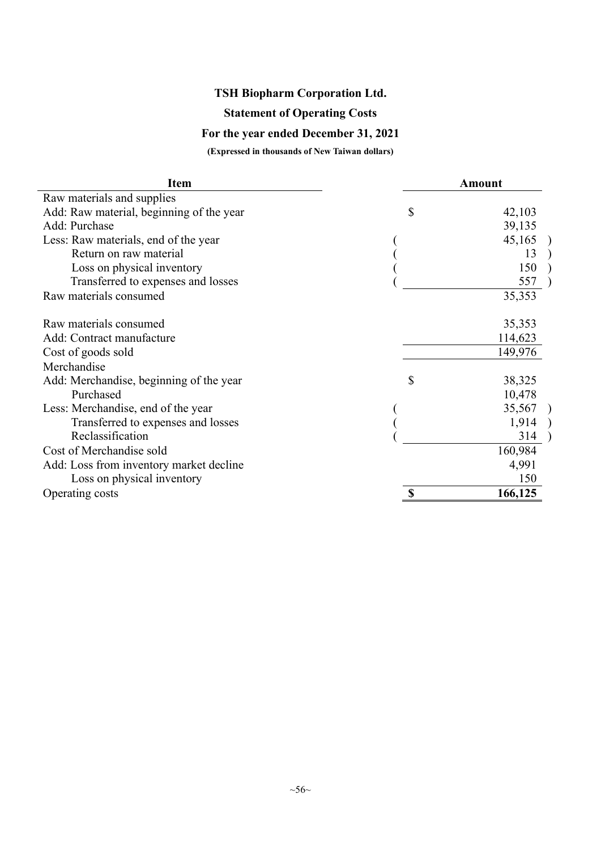## **Statement of Operating Costs**

## **For the year ended December 31, 2021**

| <b>Item</b>                              | <b>Amount</b> |
|------------------------------------------|---------------|
| Raw materials and supplies               |               |
| Add: Raw material, beginning of the year | \$<br>42,103  |
| Add: Purchase                            | 39,135        |
| Less: Raw materials, end of the year     | 45,165        |
| Return on raw material                   | 13            |
| Loss on physical inventory               | 150           |
| Transferred to expenses and losses       | 557           |
| Raw materials consumed                   | 35,353        |
| Raw materials consumed                   | 35,353        |
| Add: Contract manufacture                | 114,623       |
| Cost of goods sold                       | 149,976       |
| Merchandise                              |               |
| Add: Merchandise, beginning of the year  | \$<br>38,325  |
| Purchased                                | 10,478        |
| Less: Merchandise, end of the year       | 35,567        |
| Transferred to expenses and losses       | 1,914         |
| Reclassification                         | 314           |
| Cost of Merchandise sold                 | 160,984       |
| Add: Loss from inventory market decline  | 4,991         |
| Loss on physical inventory               | 150           |
| Operating costs                          | 166,125       |